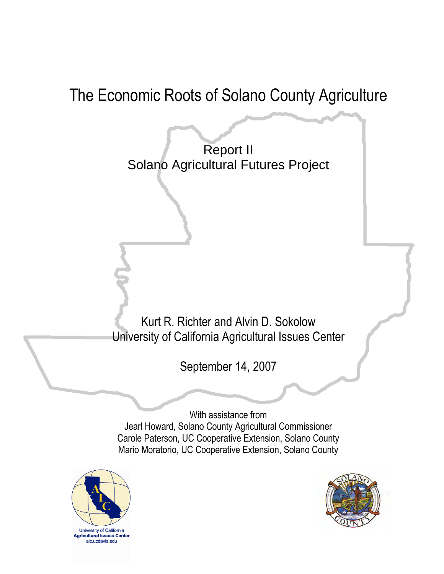# The Economic Roots of Solano County Agriculture

Report II Solano Agricultural Futures Project

Kurt R. Richter and Alvin D. Sokolow University of California Agricultural Issues Center

September 14, 2007

With assistance from Jearl Howard, Solano County Agricultural Commissioner Carole Paterson, UC Cooperative Extension, Solano County Mario Moratorio, UC Cooperative Extension, Solano County



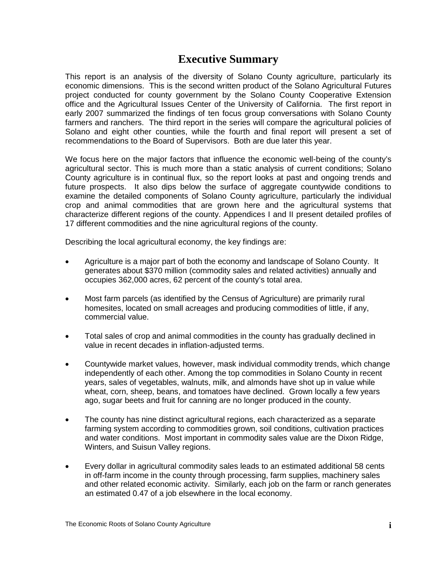# **Executive Summary**

This report is an analysis of the diversity of Solano County agriculture, particularly its economic dimensions. This is the second written product of the Solano Agricultural Futures project conducted for county government by the Solano County Cooperative Extension office and the Agricultural Issues Center of the University of California. The first report in early 2007 summarized the findings of ten focus group conversations with Solano County farmers and ranchers. The third report in the series will compare the agricultural policies of Solano and eight other counties, while the fourth and final report will present a set of recommendations to the Board of Supervisors. Both are due later this year.

We focus here on the major factors that influence the economic well-being of the county's agricultural sector. This is much more than a static analysis of current conditions; Solano County agriculture is in continual flux, so the report looks at past and ongoing trends and future prospects. It also dips below the surface of aggregate countywide conditions to examine the detailed components of Solano County agriculture, particularly the individual crop and animal commodities that are grown here and the agricultural systems that characterize different regions of the county. Appendices I and II present detailed profiles of 17 different commodities and the nine agricultural regions of the county.

Describing the local agricultural economy, the key findings are:

- Agriculture is a major part of both the economy and landscape of Solano County. It generates about \$370 million (commodity sales and related activities) annually and occupies 362,000 acres, 62 percent of the county's total area.
- Most farm parcels (as identified by the Census of Agriculture) are primarily rural homesites, located on small acreages and producing commodities of little, if any, commercial value.
- Total sales of crop and animal commodities in the county has gradually declined in value in recent decades in inflation-adjusted terms.
- Countywide market values, however, mask individual commodity trends, which change independently of each other. Among the top commodities in Solano County in recent years, sales of vegetables, walnuts, milk, and almonds have shot up in value while wheat, corn, sheep, beans, and tomatoes have declined. Grown locally a few years ago, sugar beets and fruit for canning are no longer produced in the county.
- The county has nine distinct agricultural regions, each characterized as a separate farming system according to commodities grown, soil conditions, cultivation practices and water conditions. Most important in commodity sales value are the Dixon Ridge, Winters, and Suisun Valley regions.
- Every dollar in agricultural commodity sales leads to an estimated additional 58 cents in off-farm income in the county through processing, farm supplies, machinery sales and other related economic activity. Similarly, each job on the farm or ranch generates an estimated 0.47 of a job elsewhere in the local economy.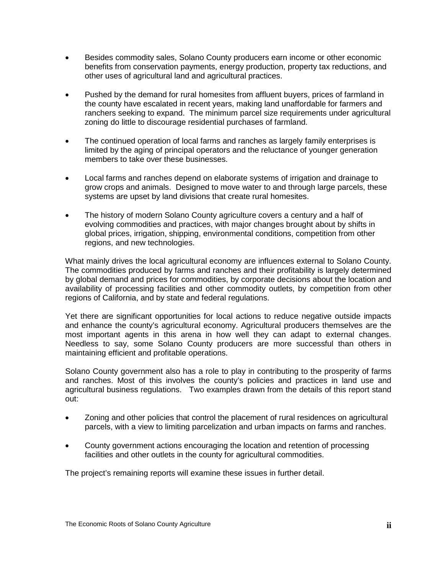- Besides commodity sales, Solano County producers earn income or other economic benefits from conservation payments, energy production, property tax reductions, and other uses of agricultural land and agricultural practices.
- Pushed by the demand for rural homesites from affluent buyers, prices of farmland in the county have escalated in recent years, making land unaffordable for farmers and ranchers seeking to expand. The minimum parcel size requirements under agricultural zoning do little to discourage residential purchases of farmland.
- The continued operation of local farms and ranches as largely family enterprises is limited by the aging of principal operators and the reluctance of younger generation members to take over these businesses.
- Local farms and ranches depend on elaborate systems of irrigation and drainage to grow crops and animals. Designed to move water to and through large parcels, these systems are upset by land divisions that create rural homesites.
- The history of modern Solano County agriculture covers a century and a half of evolving commodities and practices, with major changes brought about by shifts in global prices, irrigation, shipping, environmental conditions, competition from other regions, and new technologies.

What mainly drives the local agricultural economy are influences external to Solano County. The commodities produced by farms and ranches and their profitability is largely determined by global demand and prices for commodities, by corporate decisions about the location and availability of processing facilities and other commodity outlets, by competition from other regions of California, and by state and federal regulations.

Yet there are significant opportunities for local actions to reduce negative outside impacts and enhance the county's agricultural economy. Agricultural producers themselves are the most important agents in this arena in how well they can adapt to external changes. Needless to say, some Solano County producers are more successful than others in maintaining efficient and profitable operations.

Solano County government also has a role to play in contributing to the prosperity of farms and ranches. Most of this involves the county's policies and practices in land use and agricultural business regulations. Two examples drawn from the details of this report stand out:

- Zoning and other policies that control the placement of rural residences on agricultural parcels, with a view to limiting parcelization and urban impacts on farms and ranches.
- County government actions encouraging the location and retention of processing facilities and other outlets in the county for agricultural commodities.

The project's remaining reports will examine these issues in further detail.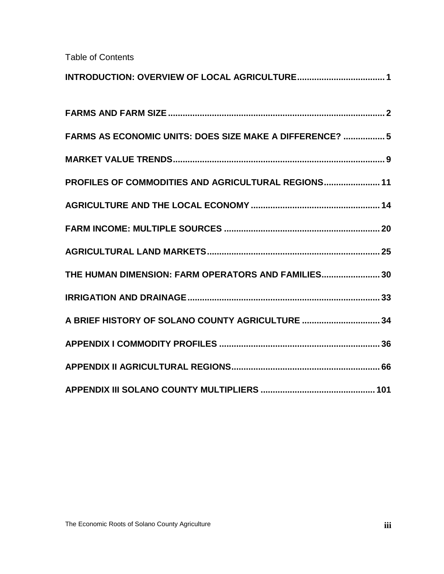Table of Contents

| FARMS AS ECONOMIC UNITS: DOES SIZE MAKE A DIFFERENCE?  5 |
|----------------------------------------------------------|
|                                                          |
| PROFILES OF COMMODITIES AND AGRICULTURAL REGIONS 11      |
|                                                          |
|                                                          |
|                                                          |
| THE HUMAN DIMENSION: FARM OPERATORS AND FAMILIES 30      |
|                                                          |
| A BRIEF HISTORY OF SOLANO COUNTY AGRICULTURE 34          |
|                                                          |
|                                                          |
|                                                          |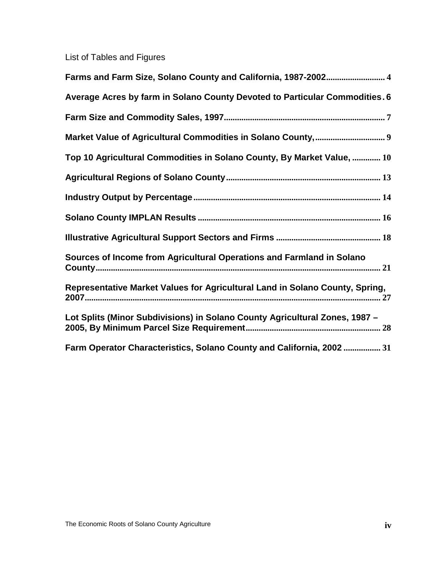List of Tables and Figures

| Farms and Farm Size, Solano County and California, 1987-2002 4               |
|------------------------------------------------------------------------------|
| Average Acres by farm in Solano County Devoted to Particular Commodities. 6  |
|                                                                              |
|                                                                              |
| Top 10 Agricultural Commodities in Solano County, By Market Value,  10       |
|                                                                              |
|                                                                              |
|                                                                              |
|                                                                              |
| Sources of Income from Agricultural Operations and Farmland in Solano        |
| Representative Market Values for Agricultural Land in Solano County, Spring, |
| Lot Splits (Minor Subdivisions) in Solano County Agricultural Zones, 1987 -  |
| Farm Operator Characteristics, Solano County and California, 2002  31        |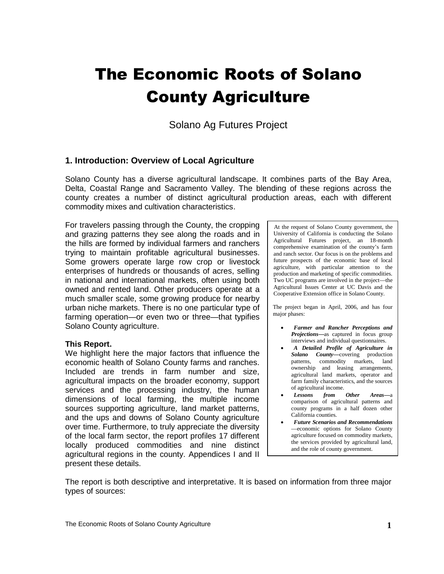# The Economic Roots of Solano County Agriculture

Solano Ag Futures Project

#### **1. Introduction: Overview of Local Agriculture**

Solano County has a diverse agricultural landscape. It combines parts of the Bay Area, Delta, Coastal Range and Sacramento Valley. The blending of these regions across the county creates a number of distinct agricultural production areas, each with different commodity mixes and cultivation characteristics.

For travelers passing through the County, the cropping and grazing patterns they see along the roads and in the hills are formed by individual farmers and ranchers trying to maintain profitable agricultural businesses. Some growers operate large row crop or livestock enterprises of hundreds or thousands of acres, selling in national and international markets, often using both owned and rented land. Other producers operate at a much smaller scale, some growing produce for nearby urban niche markets. There is no one particular type of farming operation—or even two or three—that typifies Solano County agriculture.

#### **This Report.**

We highlight here the major factors that influence the economic health of Solano County farms and ranches. Included are trends in farm number and size, agricultural impacts on the broader economy, support services and the processing industry, the human dimensions of local farming, the multiple income sources supporting agriculture, land market patterns, and the ups and downs of Solano County agriculture over time. Furthermore, to truly appreciate the diversity of the local farm sector, the report profiles 17 different locally produced commodities and nine distinct agricultural regions in the county. Appendices I and II present these details.

At the request of Solano County government, the University of California is conducting the Solano Agricultural Futures project, an 18-month comprehensive examination of the county's farm and ranch sector. Our focus is on the problems and future prospects of the economic base of local agriculture, with particular attention to the production and marketing of specific commodities. Two UC programs are involved in the project—the Agricultural Issues Center at UC Davis and the Cooperative Extension office in Solano County.

The project began in April, 2006, and has four major phases:

- *Farmer and Rancher Perceptions and Projections***—**as captured in focus group interviews and individual questionnaires.
- *A Detailed Profile of Agriculture in Solano County***—**covering production patterns, commodity markets, land ownership and leasing arrangements, agricultural land markets, operator and farm family characteristics, and the sources of agricultural income.
- *Lessons from Other Areas***—**a comparison of agricultural patterns and county programs in a half dozen other California counties.
- *Future Scenarios and Recommendations* —economic options for Solano County agriculture focused on commodity markets, the services provided by agricultural land, and the role of county government.

The report is both descriptive and interpretative. It is based on information from three major types of sources: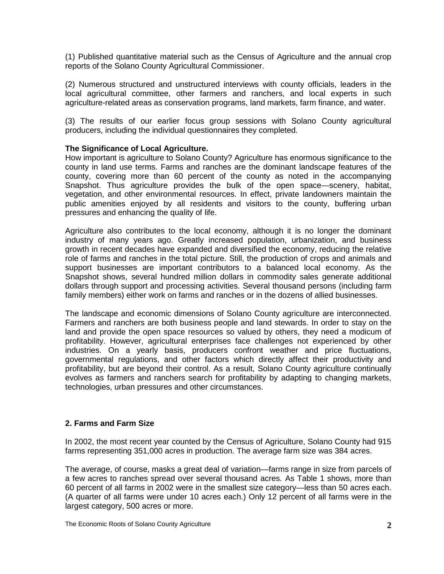(1) Published quantitative material such as the Census of Agriculture and the annual crop reports of the Solano County Agricultural Commissioner.

(2) Numerous structured and unstructured interviews with county officials, leaders in the local agricultural committee, other farmers and ranchers, and local experts in such agriculture-related areas as conservation programs, land markets, farm finance, and water.

(3) The results of our earlier focus group sessions with Solano County agricultural producers, including the individual questionnaires they completed.

#### **The Significance of Local Agriculture.**

How important is agriculture to Solano County? Agriculture has enormous significance to the county in land use terms. Farms and ranches are the dominant landscape features of the county, covering more than 60 percent of the county as noted in the accompanying Snapshot. Thus agriculture provides the bulk of the open space—scenery, habitat, vegetation, and other environmental resources. In effect, private landowners maintain the public amenities enjoyed by all residents and visitors to the county, buffering urban pressures and enhancing the quality of life.

Agriculture also contributes to the local economy, although it is no longer the dominant industry of many years ago. Greatly increased population, urbanization, and business growth in recent decades have expanded and diversified the economy, reducing the relative role of farms and ranches in the total picture. Still, the production of crops and animals and support businesses are important contributors to a balanced local economy. As the Snapshot shows, several hundred million dollars in commodity sales generate additional dollars through support and processing activities. Several thousand persons (including farm family members) either work on farms and ranches or in the dozens of allied businesses.

The landscape and economic dimensions of Solano County agriculture are interconnected. Farmers and ranchers are both business people and land stewards. In order to stay on the land and provide the open space resources so valued by others, they need a modicum of profitability. However, agricultural enterprises face challenges not experienced by other industries. On a yearly basis, producers confront weather and price fluctuations, governmental regulations, and other factors which directly affect their productivity and profitability, but are beyond their control. As a result, Solano County agriculture continually evolves as farmers and ranchers search for profitability by adapting to changing markets, technologies, urban pressures and other circumstances.

#### <span id="page-6-0"></span>**2. Farms and Farm Size**

In 2002, the most recent year counted by the Census of Agriculture, Solano County had 915 farms representing 351,000 acres in production. The average farm size was 384 acres.

The average, of course, masks a great deal of variation—farms range in size from parcels of a few acres to ranches spread over several thousand acres. As Table 1 shows, more than 60 percent of all farms in 2002 were in the smallest size category—less than 50 acres each. (A quarter of all farms were under 10 acres each.) Only 12 percent of all farms were in the largest category, 500 acres or more.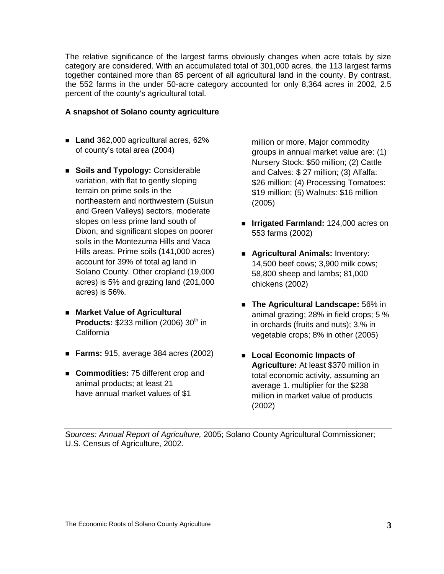The relative significance of the largest farms obviously changes when acre totals by size category are considered. With an accumulated total of 301,000 acres, the 113 largest farms together contained more than 85 percent of all agricultural land in the county. By contrast, the 552 farms in the under 50-acre category accounted for only 8,364 acres in 2002, 2.5 percent of the county's agricultural total.

#### **A snapshot of Solano county agriculture**

- **Land** 362,000 agricultural acres, 62% of county's total area (2004)
- **Soils and Typology: Considerable** variation, with flat to gently sloping terrain on prime soils in the northeastern and northwestern (Suisun and Green Valleys) sectors, moderate slopes on less prime land south of Dixon, and significant slopes on poorer soils in the Montezuma Hills and Vaca Hills areas. Prime soils (141,000 acres) account for 39% of total ag land in Solano County. Other cropland (19,000 acres) is 5% and grazing land (201,000 acres) is 56%.
- **Market Value of Agricultural Products: \$233 million (2006) 30<sup>th</sup> in** California
- **Farms:** 915, average 384 acres (2002)
- **Commodities:** 75 different crop and animal products; at least 21 have annual market values of \$1

million or more. Major commodity groups in annual market value are: (1) Nursery Stock: \$50 million; (2) Cattle and Calves: \$ 27 million; (3) Alfalfa: \$26 million; (4) Processing Tomatoes: \$19 million; (5) Walnuts: \$16 million (2005)

- **Irrigated Farmland:** 124,000 acres on 553 farms (2002)
- **Agricultural Animals:** Inventory: 14,500 beef cows; 3,900 milk cows; 58,800 sheep and lambs; 81,000 chickens (2002)
- **The Agricultural Landscape:** 56% in animal grazing; 28% in field crops; 5 % in orchards (fruits and nuts); 3.% in vegetable crops; 8% in other (2005)
- **Local Economic Impacts of Agriculture:** At least \$370 million in total economic activity, assuming an average 1. multiplier for the \$238 million in market value of products (2002)

*Sources: Annual Report of Agriculture,* 2005; Solano County Agricultural Commissioner; U.S. Census of Agriculture, 2002.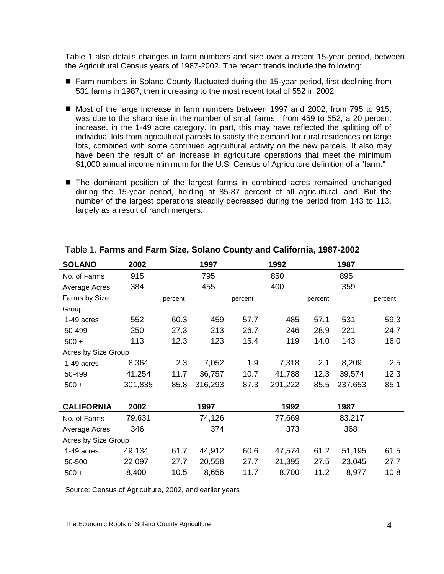Table 1 also details changes in farm numbers and size over a recent 15-year period, between the Agricultural Census years of 1987-2002. The recent trends include the following:

- Farm numbers in Solano County fluctuated during the 15-year period, first declining from 531 farms in 1987, then increasing to the most recent total of 552 in 2002.
- Most of the large increase in farm numbers between 1997 and 2002, from 795 to 915, was due to the sharp rise in the number of small farms—from 459 to 552, a 20 percent increase, in the 1-49 acre category. In part, this may have reflected the splitting off of individual lots from agricultural parcels to satisfy the demand for rural residences on large lots, combined with some continued agricultural activity on the new parcels. It also may have been the result of an increase in agriculture operations that meet the minimum \$1,000 annual income minimum for the U.S. Census of Agriculture definition of a "farm."
- The dominant position of the largest farms in combined acres remained unchanged during the 15-year period, holding at 85-87 percent of all agricultural land. But the number of the largest operations steadily decreased during the period from 143 to 113, largely as a result of ranch mergers.

| <b>SOLANO</b>       | 2002    |         | 1997    |         | 1992    |         | 1987    |         |
|---------------------|---------|---------|---------|---------|---------|---------|---------|---------|
| No. of Farms        | 915     |         | 795     |         | 850     |         | 895     |         |
| Average Acres       | 384     |         | 455     |         | 400     |         | 359     |         |
| Farms by Size       |         | percent |         | percent |         | percent |         | percent |
| Group               |         |         |         |         |         |         |         |         |
| 1-49 acres          | 552     | 60.3    | 459     | 57.7    | 485     | 57.1    | 531     | 59.3    |
| 50-499              | 250     | 27.3    | 213     | 26.7    | 246     | 28.9    | 221     | 24.7    |
| $500 +$             | 113     | 12.3    | 123     | 15.4    | 119     | 14.0    | 143     | 16.0    |
| Acres by Size Group |         |         |         |         |         |         |         |         |
| 1-49 acres          | 8,364   | 2.3     | 7,052   | 1.9     | 7,318   | 2.1     | 8,209   | 2.5     |
| 50-499              | 41,254  | 11.7    | 36,757  | 10.7    | 41,788  | 12.3    | 39,574  | 12.3    |
| $500 +$             | 301,835 | 85.8    | 316,293 | 87.3    | 291,222 | 85.5    | 237,653 | 85.1    |
|                     |         |         |         |         |         |         |         |         |
| <b>CALIFORNIA</b>   | 2002    |         | 1997    |         | 1992    |         | 1987    |         |
| No. of Farms        | 79,631  |         | 74,126  |         | 77,669  |         | 83.217  |         |
| Average Acres       | 346     |         | 374     |         | 373     |         | 368     |         |
| Acres by Size Group |         |         |         |         |         |         |         |         |
| 1-49 acres          | 49,134  | 61.7    | 44,912  | 60.6    | 47,574  | 61.2    | 51,195  | 61.5    |
| 50-500              | 22,097  | 27.7    | 20,558  | 27.7    | 21,395  | 27.5    | 23,045  | 27.7    |
| $500 +$             | 8,400   | 10.5    | 8,656   | 11.7    | 8,700   | 11.2    | 8,977   | 10.8    |

#### <span id="page-8-0"></span>Table 1. **Farms and Farm Size, Solano County and California, 1987-2002**

Source: Census of Agriculture, 2002, and earlier years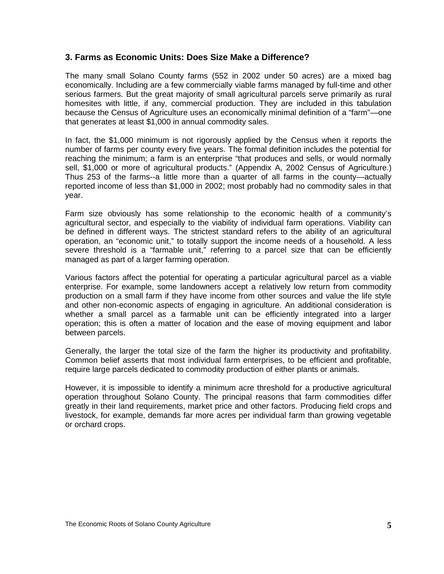#### <span id="page-9-0"></span>**3. Farms as Economic Units: Does Size Make a Difference?**

The many small Solano County farms (552 in 2002 under 50 acres) are a mixed bag economically. Including are a few commercially viable farms managed by full-time and other serious farmers. But the great majority of small agricultural parcels serve primarily as rural homesites with little, if any, commercial production. They are included in this tabulation because the Census of Agriculture uses an economically minimal definition of a "farm"—one that generates at least \$1,000 in annual commodity sales.

In fact, the \$1,000 minimum is not rigorously applied by the Census when it reports the number of farms per county every five years. The formal definition includes the potential for reaching the minimum; a farm is an enterprise "that produces and sells, or would normally sell, \$1,000 or more of agricultural products." (Appendix A, 2002 Census of Agriculture.) Thus 253 of the farms--a little more than a quarter of all farms in the county—actually reported income of less than \$1,000 in 2002; most probably had no commodity sales in that year.

Farm size obviously has some relationship to the economic health of a community's agricultural sector, and especially to the viability of individual farm operations. Viability can be defined in different ways. The strictest standard refers to the ability of an agricultural operation, an "economic unit," to totally support the income needs of a household. A less severe threshold is a "farmable unit," referring to a parcel size that can be efficiently managed as part of a larger farming operation.

Various factors affect the potential for operating a particular agricultural parcel as a viable enterprise. For example, some landowners accept a relatively low return from commodity production on a small farm if they have income from other sources and value the life style and other non-economic aspects of engaging in agriculture. An additional consideration is whether a small parcel as a farmable unit can be efficiently integrated into a larger operation; this is often a matter of location and the ease of moving equipment and labor between parcels.

Generally, the larger the total size of the farm the higher its productivity and profitability. Common belief asserts that most individual farm enterprises, to be efficient and profitable, require large parcels dedicated to commodity production of either plants or animals.

However, it is impossible to identify a minimum acre threshold for a productive agricultural operation throughout Solano County. The principal reasons that farm commodities differ greatly in their land requirements, market price and other factors. Producing field crops and livestock, for example, demands far more acres per individual farm than growing vegetable or orchard crops.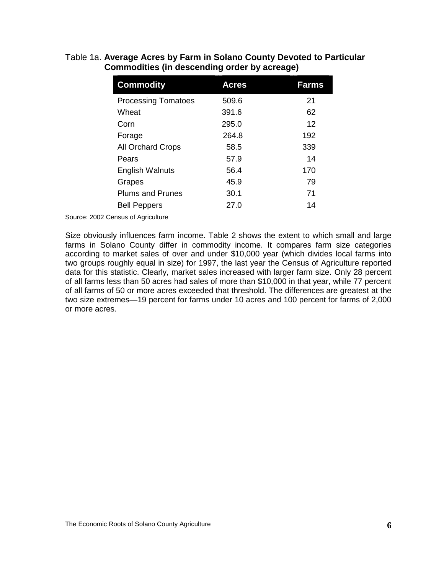<span id="page-10-0"></span>

| <b>Commodity</b>           | <b>Acres</b> | <b>Farms</b> |
|----------------------------|--------------|--------------|
| <b>Processing Tomatoes</b> | 509.6        | 21           |
| Wheat                      | 391.6        | 62           |
| Corn                       | 295.0        | 12           |
| Forage                     | 264.8        | 192          |
| <b>All Orchard Crops</b>   | 58.5         | 339          |
| Pears                      | 57.9         | 14           |
| <b>English Walnuts</b>     | 56.4         | 170          |
| Grapes                     | 45.9         | 79           |
| <b>Plums and Prunes</b>    | 30.1         | 71           |
| <b>Bell Peppers</b>        | 27.0         | 14           |

#### Table 1a. **Average Acres by Farm in Solano County Devoted to Particular Commodities (in descending order by acreage)**

Source: 2002 Census of Agriculture

Size obviously influences farm income. Table 2 shows the extent to which small and large farms in Solano County differ in commodity income. It compares farm size categories according to market sales of over and under \$10,000 year (which divides local farms into two groups roughly equal in size) for 1997, the last year the Census of Agriculture reported data for this statistic. Clearly, market sales increased with larger farm size. Only 28 percent of all farms less than 50 acres had sales of more than \$10,000 in that year, while 77 percent of all farms of 50 or more acres exceeded that threshold. The differences are greatest at the two size extremes—19 percent for farms under 10 acres and 100 percent for farms of 2,000 or more acres.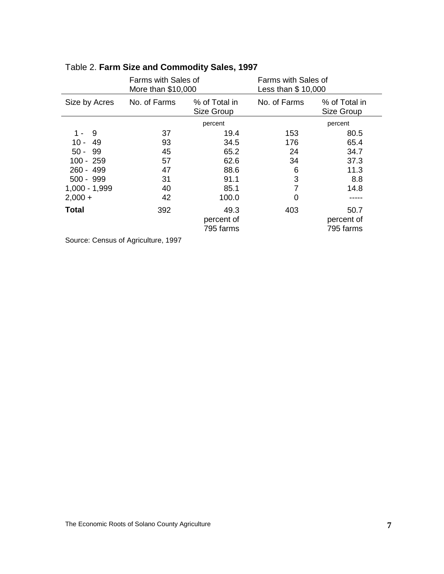|                                                      | Farms with Sales of<br>More than \$10,000 |                             | Farms with Sales of<br>Less than \$ 10,000 |                             |  |
|------------------------------------------------------|-------------------------------------------|-----------------------------|--------------------------------------------|-----------------------------|--|
| Size by Acres                                        | No. of Farms                              | % of Total in<br>Size Group | No. of Farms                               | % of Total in<br>Size Group |  |
|                                                      |                                           | percent                     |                                            | percent                     |  |
| 9<br>1 -                                             | 37                                        | 19.4                        | 153                                        | 80.5                        |  |
| $10 -$<br>49                                         | 93                                        | 34.5                        | 176                                        | 65.4                        |  |
| $50 -$<br>99                                         | 45                                        | 65.2                        | 24                                         | 34.7                        |  |
| 100 - 259                                            | 57                                        | 62.6                        | 34                                         | 37.3                        |  |
| 260 - 499                                            | 47                                        | 88.6                        | 6                                          | 11.3                        |  |
| $500 - 999$                                          | 31                                        | 91.1                        | 3                                          | 8.8                         |  |
| $1,000 - 1,999$                                      | 40                                        | 85.1                        | 7                                          | 14.8                        |  |
| $2,000 +$                                            | 42                                        | 100.0                       | 0                                          |                             |  |
| <b>Total</b>                                         | 392                                       | 49.3                        | 403                                        | 50.7                        |  |
|                                                      |                                           | percent of                  |                                            | percent of                  |  |
|                                                      |                                           | 795 farms                   |                                            | 795 farms                   |  |
| $\sim$ $\sim$ $\sim$ $\sim$ $\sim$ $\sim$<br>$100 -$ |                                           |                             |                                            |                             |  |

# <span id="page-11-0"></span>Table 2. **Farm Size and Commodity Sales, 1997**

Source: Census of Agriculture, 1997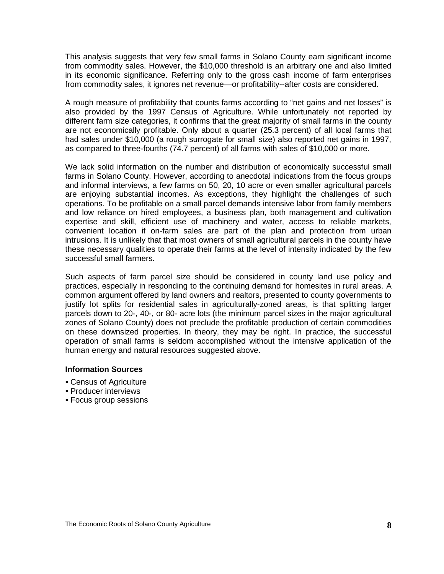This analysis suggests that very few small farms in Solano County earn significant income from commodity sales. However, the \$10,000 threshold is an arbitrary one and also limited in its economic significance. Referring only to the gross cash income of farm enterprises from commodity sales, it ignores net revenue—or profitability--after costs are considered.

A rough measure of profitability that counts farms according to "net gains and net losses" is also provided by the 1997 Census of Agriculture. While unfortunately not reported by different farm size categories, it confirms that the great majority of small farms in the county are not economically profitable. Only about a quarter (25.3 percent) of all local farms that had sales under \$10,000 (a rough surrogate for small size) also reported net gains in 1997, as compared to three-fourths (74.7 percent) of all farms with sales of \$10,000 or more.

We lack solid information on the number and distribution of economically successful small farms in Solano County. However, according to anecdotal indications from the focus groups and informal interviews, a few farms on 50, 20, 10 acre or even smaller agricultural parcels are enjoying substantial incomes. As exceptions, they highlight the challenges of such operations. To be profitable on a small parcel demands intensive labor from family members and low reliance on hired employees, a business plan, both management and cultivation expertise and skill, efficient use of machinery and water, access to reliable markets, convenient location if on-farm sales are part of the plan and protection from urban intrusions. It is unlikely that that most owners of small agricultural parcels in the county have these necessary qualities to operate their farms at the level of intensity indicated by the few successful small farmers.

Such aspects of farm parcel size should be considered in county land use policy and practices, especially in responding to the continuing demand for homesites in rural areas. A common argument offered by land owners and realtors, presented to county governments to justify lot splits for residential sales in agriculturally-zoned areas, is that splitting larger parcels down to 20-, 40-, or 80- acre lots (the minimum parcel sizes in the major agricultural zones of Solano County) does not preclude the profitable production of certain commodities on these downsized properties. In theory, they may be right. In practice, the successful operation of small farms is seldom accomplished without the intensive application of the human energy and natural resources suggested above.

#### **Information Sources**

- Census of Agriculture
- **Producer interviews**
- Focus group sessions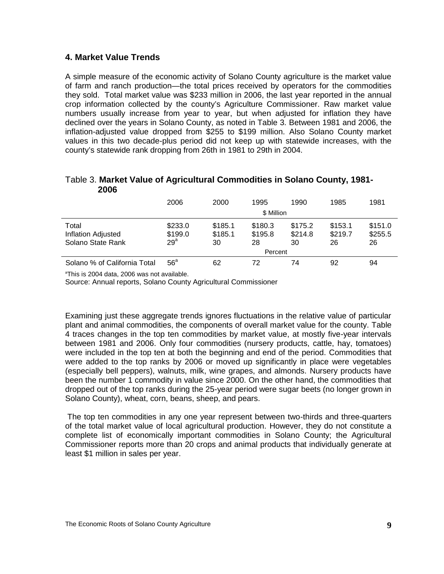#### <span id="page-13-0"></span>**4. Market Value Trends**

A simple measure of the economic activity of Solano County agriculture is the market value of farm and ranch production—the total prices received by operators for the commodities they sold. Total market value was \$233 million in 2006, the last year reported in the annual crop information collected by the county's Agriculture Commissioner. Raw market value numbers usually increase from year to year, but when adjusted for inflation they have declined over the years in Solano County, as noted in Table 3. Between 1981 and 2006, the inflation-adjusted value dropped from \$255 to \$199 million. Also Solano County market values in this two decade-plus period did not keep up with statewide increases, with the county's statewide rank dropping from 26th in 1981 to 29th in 2004.

#### <span id="page-13-1"></span>Table 3. **Market Value of Agricultural Commodities in Solano County, 1981- 2006**

|                                                  | 2006                                  | 2000                     | 1995                                | 1990                     | 1985                     | 1981                     |
|--------------------------------------------------|---------------------------------------|--------------------------|-------------------------------------|--------------------------|--------------------------|--------------------------|
|                                                  |                                       |                          | \$ Million                          |                          |                          |                          |
| Total<br>Inflation Adjusted<br>Solano State Rank | \$233.0<br>\$199.0<br>29 <sup>a</sup> | \$185.1<br>\$185.1<br>30 | \$180.3<br>\$195.8<br>28<br>Percent | \$175.2<br>\$214.8<br>30 | \$153.1<br>\$219.7<br>26 | \$151.0<br>\$255.5<br>26 |
| Solano % of California Total                     | 56 <sup>a</sup>                       | 62                       | 72                                  | 74                       | 92                       | 94                       |

<sup>a</sup>This is 2004 data, 2006 was not available.

Source: Annual reports, Solano County Agricultural Commissioner

Examining just these aggregate trends ignores fluctuations in the relative value of particular plant and animal commodities, the components of overall market value for the county. Table 4 traces changes in the top ten commodities by market value, at mostly five-year intervals between 1981 and 2006. Only four commodities (nursery products, cattle, hay, tomatoes) were included in the top ten at both the beginning and end of the period. Commodities that were added to the top ranks by 2006 or moved up significantly in place were vegetables (especially bell peppers), walnuts, milk, wine grapes, and almonds. Nursery products have been the number 1 commodity in value since 2000. On the other hand, the commodities that dropped out of the top ranks during the 25-year period were sugar beets (no longer grown in Solano County), wheat, corn, beans, sheep, and pears.

The top ten commodities in any one year represent between two-thirds and three-quarters of the total market value of local agricultural production. However, they do not constitute a complete list of economically important commodities in Solano County; the Agricultural Commissioner reports more than 20 crops and animal products that individually generate at least \$1 million in sales per year.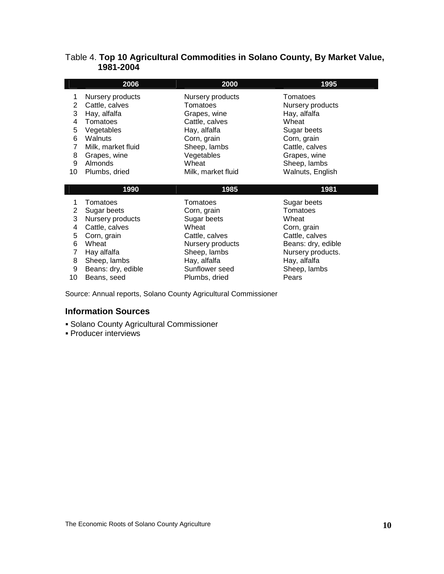#### <span id="page-14-0"></span>Table 4. **Top 10 Agricultural Commodities in Solano County, By Market Value, 1981-2004**

|    | 2006               | 2000               | 1995             |
|----|--------------------|--------------------|------------------|
|    | Nursery products   | Nursery products   | Tomatoes         |
| 2  | Cattle, calves     | Tomatoes           | Nursery products |
| 3  | Hay, alfalfa       | Grapes, wine       | Hay, alfalfa     |
| 4  | Tomatoes           | Cattle, calves     | Wheat            |
| 5  | Vegetables         | Hay, alfalfa       | Sugar beets      |
| 6  | Walnuts            | Corn, grain        | Corn, grain      |
|    | Milk, market fluid | Sheep, lambs       | Cattle, calves   |
| 8  | Grapes, wine       | Vegetables         | Grapes, wine     |
| 9  | Almonds            | Wheat              | Sheep, lambs     |
| 10 | Plumbs, dried      | Milk, market fluid | Walnuts, English |
|    |                    |                    |                  |
|    | 1990               | 1985               | 1981             |
|    | Tomatoes           | Tomatoes           | Sugar heets      |

| 3<br>4<br>5<br>6 | Tomatoes<br>2 Sugar beets<br>Nursery products<br>Cattle, calves<br>Corn, grain<br>Wheat | Tomatoes<br>Corn, grain<br>Sugar beets<br>Wheat<br>Cattle, calves<br>Nursery products | Sugar beets<br>Tomatoes<br>Wheat<br>Corn, grain<br>Cattle, calves<br>Beans: dry, edible |
|------------------|-----------------------------------------------------------------------------------------|---------------------------------------------------------------------------------------|-----------------------------------------------------------------------------------------|
|                  |                                                                                         |                                                                                       |                                                                                         |
|                  |                                                                                         |                                                                                       |                                                                                         |
| 7                | Hay alfalfa                                                                             | Sheep, lambs                                                                          | Nursery products.                                                                       |
| 8                | Sheep, lambs                                                                            | Hay, alfalfa                                                                          | Hay, alfalfa                                                                            |
| 9                | Beans: dry, edible                                                                      | Sunflower seed                                                                        | Sheep, lambs                                                                            |
| 10               | Beans, seed                                                                             | Plumbs, dried                                                                         | Pears                                                                                   |
|                  |                                                                                         |                                                                                       |                                                                                         |

Source: Annual reports, Solano County Agricultural Commissioner

#### **Information Sources**

- **Solano County Agricultural Commissioner**
- Producer interviews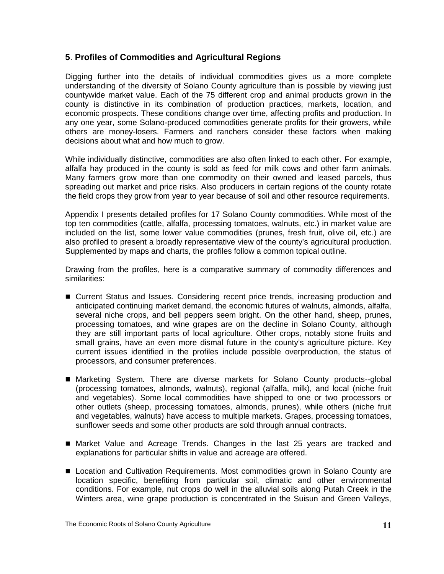#### <span id="page-15-0"></span>**5**. **Profiles of Commodities and Agricultural Regions**

Digging further into the details of individual commodities gives us a more complete understanding of the diversity of Solano County agriculture than is possible by viewing just countywide market value. Each of the 75 different crop and animal products grown in the county is distinctive in its combination of production practices, markets, location, and economic prospects. These conditions change over time, affecting profits and production. In any one year, some Solano-produced commodities generate profits for their growers, while others are money-losers. Farmers and ranchers consider these factors when making decisions about what and how much to grow.

While individually distinctive, commodities are also often linked to each other. For example, alfalfa hay produced in the county is sold as feed for milk cows and other farm animals. Many farmers grow more than one commodity on their owned and leased parcels, thus spreading out market and price risks. Also producers in certain regions of the county rotate the field crops they grow from year to year because of soil and other resource requirements.

Appendix I presents detailed profiles for 17 Solano County commodities. While most of the top ten commodities (cattle, alfalfa, processing tomatoes, walnuts, etc.) in market value are included on the list, some lower value commodities (prunes, fresh fruit, olive oil, etc.) are also profiled to present a broadly representative view of the county's agricultural production. Supplemented by maps and charts, the profiles follow a common topical outline.

Drawing from the profiles, here is a comparative summary of commodity differences and similarities:

- Current Status and Issues*.* Considering recent price trends, increasing production and anticipated continuing market demand, the economic futures of walnuts, almonds, alfalfa, several niche crops, and bell peppers seem bright. On the other hand, sheep, prunes, processing tomatoes, and wine grapes are on the decline in Solano County, although they are still important parts of local agriculture. Other crops, notably stone fruits and small grains, have an even more dismal future in the county's agriculture picture. Key current issues identified in the profiles include possible overproduction, the status of processors, and consumer preferences.
- Marketing System*.* There are diverse markets for Solano County products--global (processing tomatoes, almonds, walnuts), regional (alfalfa, milk), and local (niche fruit and vegetables). Some local commodities have shipped to one or two processors or other outlets (sheep, processing tomatoes, almonds, prunes), while others (niche fruit and vegetables, walnuts) have access to multiple markets. Grapes, processing tomatoes, sunflower seeds and some other products are sold through annual contracts.
- Market Value and Acreage Trends*.* Changes in the last 25 years are tracked and explanations for particular shifts in value and acreage are offered.
- Location and Cultivation Requirements. Most commodities grown in Solano County are location specific, benefiting from particular soil, climatic and other environmental conditions. For example, nut crops do well in the alluvial soils along Putah Creek in the Winters area, wine grape production is concentrated in the Suisun and Green Valleys,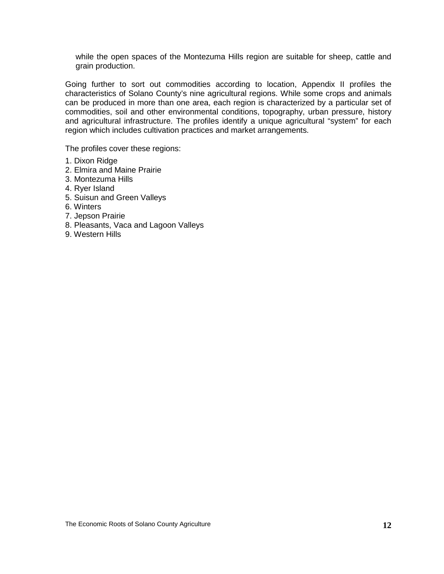while the open spaces of the Montezuma Hills region are suitable for sheep, cattle and grain production.

Going further to sort out commodities according to location, Appendix II profiles the characteristics of Solano County's nine agricultural regions. While some crops and animals can be produced in more than one area, each region is characterized by a particular set of commodities, soil and other environmental conditions, topography, urban pressure, history and agricultural infrastructure. The profiles identify a unique agricultural "system" for each region which includes cultivation practices and market arrangements.

The profiles cover these regions:

- 1. Dixon Ridge
- 2. Elmira and Maine Prairie
- 3. Montezuma Hills
- 4. Ryer Island
- 5. Suisun and Green Valleys
- 6. Winters
- 7. Jepson Prairie
- 8. Pleasants, Vaca and Lagoon Valleys
- 9. Western Hills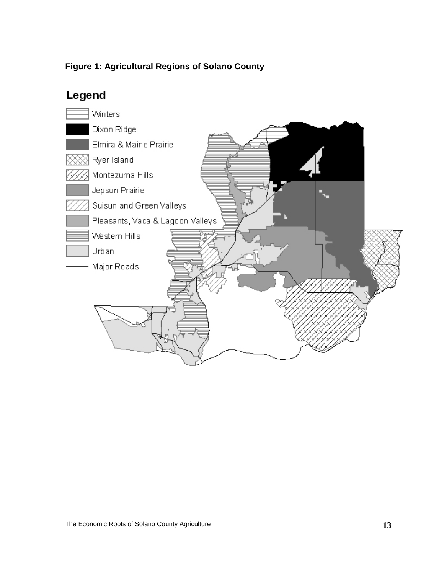### <span id="page-17-0"></span>**Figure 1: Agricultural Regions of Solano County**

# Legend

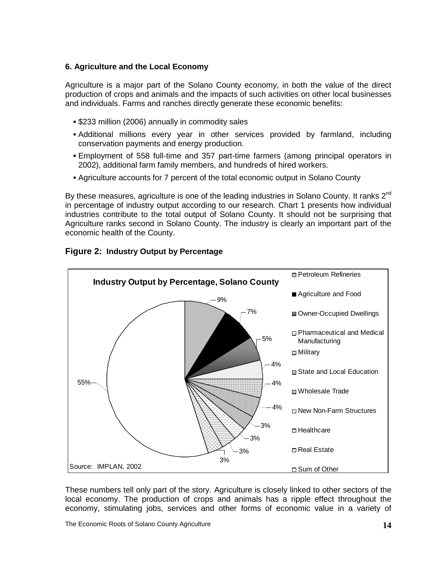#### <span id="page-18-0"></span>**6. Agriculture and the Local Economy**

Agriculture is a major part of the Solano County economy, in both the value of the direct production of crops and animals and the impacts of such activities on other local businesses and individuals. Farms and ranches directly generate these economic benefits:

- **.** \$233 million (2006) annually in commodity sales
- Additional millions every year in other services provided by farmland, including conservation payments and energy production.
- Employment of 558 full-time and 357 part-time farmers (among principal operators in 2002), additional farm family members, and hundreds of hired workers.
- Agriculture accounts for 7 percent of the total economic output in Solano County

By these measures, agriculture is one of the leading industries in Solano County. It ranks  $2^{nd}$ in percentage of industry output according to our research. Chart 1 presents how individual industries contribute to the total output of Solano County. It should not be surprising that Agriculture ranks second in Solano County. The industry is clearly an important part of the economic health of the County.



#### <span id="page-18-1"></span>**Figure 2: Industry Output by Percentage**

These numbers tell only part of the story. Agriculture is closely linked to other sectors of the local economy. The production of crops and animals has a ripple effect throughout the economy, stimulating jobs, services and other forms of economic value in a variety of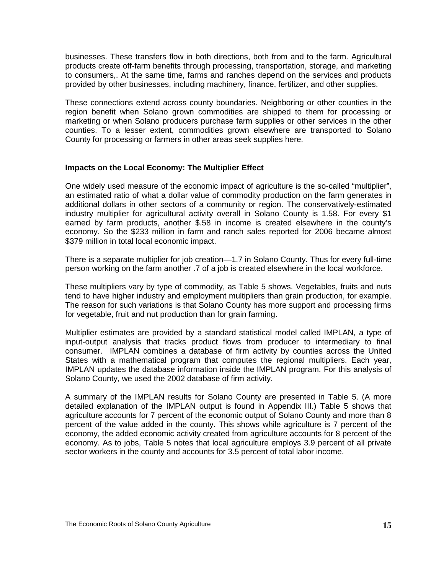businesses. These transfers flow in both directions, both from and to the farm. Agricultural products create off-farm benefits through processing, transportation, storage, and marketing to consumers,. At the same time, farms and ranches depend on the services and products provided by other businesses, including machinery, finance, fertilizer, and other supplies.

These connections extend across county boundaries. Neighboring or other counties in the region benefit when Solano grown commodities are shipped to them for processing or marketing or when Solano producers purchase farm supplies or other services in the other counties. To a lesser extent, commodities grown elsewhere are transported to Solano County for processing or farmers in other areas seek supplies here.

#### **Impacts on the Local Economy: The Multiplier Effect**

One widely used measure of the economic impact of agriculture is the so-called "multiplier", an estimated ratio of what a dollar value of commodity production on the farm generates in additional dollars in other sectors of a community or region. The conservatively-estimated industry multiplier for agricultural activity overall in Solano County is 1.58. For every \$1 earned by farm products, another \$.58 in income is created elsewhere in the county's economy. So the \$233 million in farm and ranch sales reported for 2006 became almost \$379 million in total local economic impact.

There is a separate multiplier for job creation—1.7 in Solano County. Thus for every full-time person working on the farm another .7 of a job is created elsewhere in the local workforce.

These multipliers vary by type of commodity, as Table 5 shows. Vegetables, fruits and nuts tend to have higher industry and employment multipliers than grain production, for example. The reason for such variations is that Solano County has more support and processing firms for vegetable, fruit and nut production than for grain farming.

Multiplier estimates are provided by a standard statistical model called IMPLAN, a type of input-output analysis that tracks product flows from producer to intermediary to final consumer. IMPLAN combines a database of firm activity by counties across the United States with a mathematical program that computes the regional multipliers. Each year, IMPLAN updates the database information inside the IMPLAN program. For this analysis of Solano County, we used the 2002 database of firm activity.

A summary of the IMPLAN results for Solano County are presented in Table 5. (A more detailed explanation of the IMPLAN output is found in Appendix III.) Table 5 shows that agriculture accounts for 7 percent of the economic output of Solano County and more than 8 percent of the value added in the county. This shows while agriculture is 7 percent of the economy, the added economic activity created from agriculture accounts for 8 percent of the economy. As to jobs, Table 5 notes that local agriculture employs 3.9 percent of all private sector workers in the county and accounts for 3.5 percent of total labor income.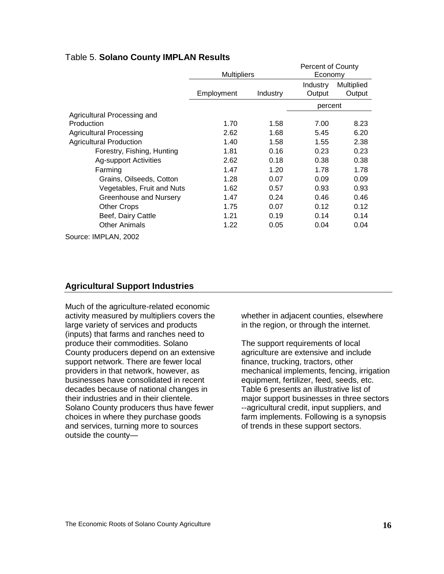#### <span id="page-20-0"></span>Table 5. **Solano County IMPLAN Results**

|                                |                    |          | <b>Percent of County</b> |            |
|--------------------------------|--------------------|----------|--------------------------|------------|
|                                | <b>Multipliers</b> |          | Economy                  |            |
|                                |                    |          | Industry                 | Multiplied |
|                                | Employment         | Industry | Output                   | Output     |
|                                |                    |          | percent                  |            |
| Agricultural Processing and    |                    |          |                          |            |
| Production                     | 1.70               | 1.58     | 7.00                     | 8.23       |
| <b>Agricultural Processing</b> | 2.62               | 1.68     | 5.45                     | 6.20       |
| <b>Agricultural Production</b> | 1.40               | 1.58     | 1.55                     | 2.38       |
| Forestry, Fishing, Hunting     | 1.81               | 0.16     | 0.23                     | 0.23       |
| <b>Ag-support Activities</b>   | 2.62               | 0.18     | 0.38                     | 0.38       |
| Farming                        | 1.47               | 1.20     | 1.78                     | 1.78       |
| Grains, Oilseeds, Cotton       | 1.28               | 0.07     | 0.09                     | 0.09       |
| Vegetables, Fruit and Nuts     | 1.62               | 0.57     | 0.93                     | 0.93       |
| Greenhouse and Nursery         | 1.47               | 0.24     | 0.46                     | 0.46       |
| <b>Other Crops</b>             | 1.75               | 0.07     | 0.12                     | 0.12       |
| Beef, Dairy Cattle             | 1.21               | 0.19     | 0.14                     | 0.14       |
| <b>Other Animals</b>           | 1.22               | 0.05     | 0.04                     | 0.04       |
| Source: IMPLAN, 2002           |                    |          |                          |            |

#### **Agricultural Support Industries**

Much of the agriculture-related economic activity measured by multipliers covers the large variety of services and products (inputs) that farms and ranches need to produce their commodities. Solano County producers depend on an extensive support network. There are fewer local providers in that network, however, as businesses have consolidated in recent decades because of national changes in their industries and in their clientele. Solano County producers thus have fewer choices in where they purchase goods and services, turning more to sources outside the county—

whether in adjacent counties, elsewhere in the region, or through the internet.

The support requirements of local agriculture are extensive and include finance, trucking, tractors, other mechanical implements, fencing, irrigation equipment, fertilizer, feed, seeds, etc. Table 6 presents an illustrative list of major support businesses in three sectors --agricultural credit, input suppliers, and farm implements. Following is a synopsis of trends in these support sectors.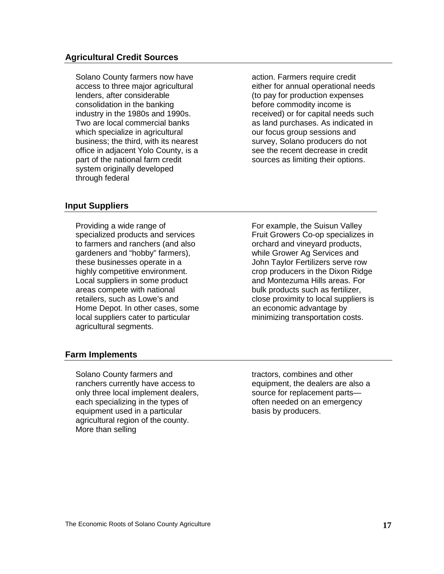#### **Agricultural Credit Sources**

Solano County farmers now have access to three major agricultural lenders, after considerable consolidation in the banking industry in the 1980s and 1990s. Two are local commercial banks which specialize in agricultural business; the third, with its nearest office in adjacent Yolo County, is a part of the national farm credit system originally developed through federal

action. Farmers require credit either for annual operational needs (to pay for production expenses before commodity income is received) or for capital needs such as land purchases. As indicated in our focus group sessions and survey, Solano producers do not see the recent decrease in credit sources as limiting their options.

#### **Input Suppliers**

Providing a wide range of specialized products and services to farmers and ranchers (and also gardeners and "hobby" farmers), these businesses operate in a highly competitive environment. Local suppliers in some product areas compete with national retailers, such as Lowe's and Home Depot. In other cases, some local suppliers cater to particular agricultural segments.

For example, the Suisun Valley Fruit Growers Co-op specializes in orchard and vineyard products, while Grower Ag Services and John Taylor Fertilizers serve row crop producers in the Dixon Ridge and Montezuma Hills areas. For bulk products such as fertilizer, close proximity to local suppliers is an economic advantage by minimizing transportation costs.

#### **Farm Implements**

Solano County farmers and ranchers currently have access to only three local implement dealers, each specializing in the types of equipment used in a particular agricultural region of the county. More than selling

tractors, combines and other equipment, the dealers are also a source for replacement parts often needed on an emergency basis by producers.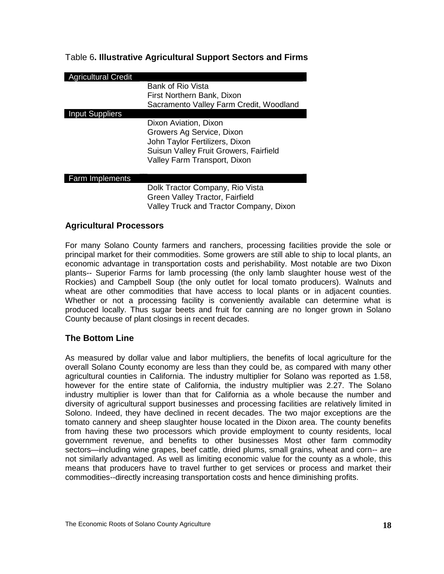#### <span id="page-22-0"></span>Table 6**. Illustrative Agricultural Support Sectors and Firms**

| <b>Agricultural Credit</b> |                                         |
|----------------------------|-----------------------------------------|
|                            | Bank of Rio Vista                       |
|                            | First Northern Bank, Dixon              |
|                            | Sacramento Valley Farm Credit, Woodland |
| <b>Input Suppliers</b>     |                                         |
|                            | Dixon Aviation, Dixon                   |
|                            | Growers Ag Service, Dixon               |
|                            | John Taylor Fertilizers, Dixon          |
|                            | Suisun Valley Fruit Growers, Fairfield  |
|                            | Valley Farm Transport, Dixon            |
|                            |                                         |
| <b>Farm Implements</b>     |                                         |
|                            | Dolk Tractor Company, Rio Vista         |
|                            | Green Valley Tractor, Fairfield         |
|                            | Valley Truck and Tractor Company, Dixon |

#### **Agricultural Processors**

For many Solano County farmers and ranchers, processing facilities provide the sole or principal market for their commodities. Some growers are still able to ship to local plants, an economic advantage in transportation costs and perishability. Most notable are two Dixon plants-- Superior Farms for lamb processing (the only lamb slaughter house west of the Rockies) and Campbell Soup (the only outlet for local tomato producers). Walnuts and wheat are other commodities that have access to local plants or in adjacent counties. Whether or not a processing facility is conveniently available can determine what is produced locally. Thus sugar beets and fruit for canning are no longer grown in Solano County because of plant closings in recent decades.

#### **The Bottom Line**

As measured by dollar value and labor multipliers, the benefits of local agriculture for the overall Solano County economy are less than they could be, as compared with many other agricultural counties in California. The industry multiplier for Solano was reported as 1.58, however for the entire state of California, the industry multiplier was 2.27. The Solano industry multiplier is lower than that for California as a whole because the number and diversity of agricultural support businesses and processing facilities are relatively limited in Solono. Indeed, they have declined in recent decades. The two major exceptions are the tomato cannery and sheep slaughter house located in the Dixon area. The county benefits from having these two processors which provide employment to county residents, local government revenue, and benefits to other businesses Most other farm commodity sectors—including wine grapes, beef cattle, dried plums, small grains, wheat and corn-- are not similarly advantaged. As well as limiting economic value for the county as a whole, this means that producers have to travel further to get services or process and market their commodities--directly increasing transportation costs and hence diminishing profits.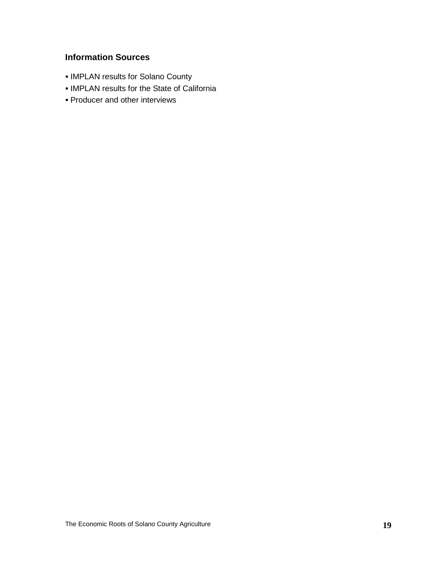# **Information Sources**

- **IMPLAN results for Solano County**
- IMPLAN results for the State of California
- **Producer and other interviews**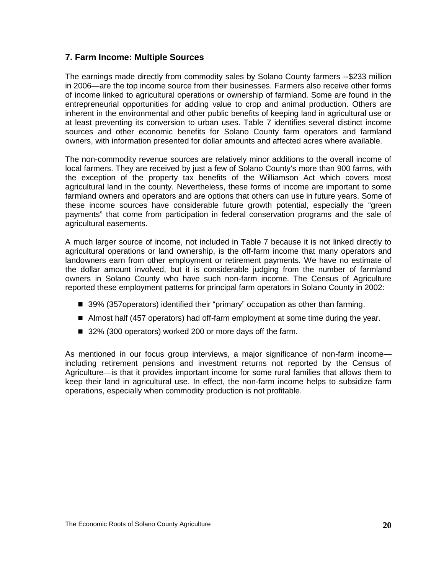#### <span id="page-24-0"></span>**7. Farm Income: Multiple Sources**

The earnings made directly from commodity sales by Solano County farmers --\$233 million in 2006—are the top income source from their businesses. Farmers also receive other forms of income linked to agricultural operations or ownership of farmland. Some are found in the entrepreneurial opportunities for adding value to crop and animal production. Others are inherent in the environmental and other public benefits of keeping land in agricultural use or at least preventing its conversion to urban uses. Table 7 identifies several distinct income sources and other economic benefits for Solano County farm operators and farmland owners, with information presented for dollar amounts and affected acres where available.

The non-commodity revenue sources are relatively minor additions to the overall income of local farmers. They are received by just a few of Solano County's more than 900 farms, with the exception of the property tax benefits of the Williamson Act which covers most agricultural land in the county. Nevertheless, these forms of income are important to some farmland owners and operators and are options that others can use in future years. Some of these income sources have considerable future growth potential, especially the "green payments" that come from participation in federal conservation programs and the sale of agricultural easements.

A much larger source of income, not included in Table 7 because it is not linked directly to agricultural operations or land ownership, is the off-farm income that many operators and landowners earn from other employment or retirement payments. We have no estimate of the dollar amount involved, but it is considerable judging from the number of farmland owners in Solano County who have such non-farm income. The Census of Agriculture reported these employment patterns for principal farm operators in Solano County in 2002:

- 39% (357operators) identified their "primary" occupation as other than farming.
- Almost half (457 operators) had off-farm employment at some time during the year.
- 32% (300 operators) worked 200 or more days off the farm.

As mentioned in our focus group interviews, a major significance of non-farm income including retirement pensions and investment returns not reported by the Census of Agriculture—is that it provides important income for some rural families that allows them to keep their land in agricultural use. In effect, the non-farm income helps to subsidize farm operations, especially when commodity production is not profitable.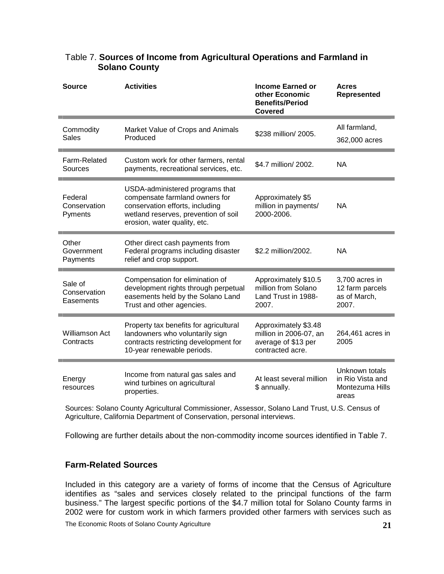| <b>Source</b>                        | <b>Activities</b>                                                                                                                                                            | <b>Income Earned or</b><br>other Economic<br><b>Benefits/Period</b><br>Covered            | <b>Acres</b><br><b>Represented</b>                             |
|--------------------------------------|------------------------------------------------------------------------------------------------------------------------------------------------------------------------------|-------------------------------------------------------------------------------------------|----------------------------------------------------------------|
| Commodity<br><b>Sales</b>            | Market Value of Crops and Animals<br>Produced                                                                                                                                | \$238 million/ 2005.                                                                      | All farmland,<br>362,000 acres                                 |
| Farm-Related<br>Sources              | Custom work for other farmers, rental<br>payments, recreational services, etc.                                                                                               | \$4.7 million/ 2002.                                                                      | <b>NA</b>                                                      |
| Federal<br>Conservation<br>Pyments   | USDA-administered programs that<br>compensate farmland owners for<br>conservation efforts, including<br>wetland reserves, prevention of soil<br>erosion, water quality, etc. | Approximately \$5<br>million in payments/<br>2000-2006.                                   | <b>NA</b>                                                      |
| Other<br>Government<br>Payments      | Other direct cash payments from<br>Federal programs including disaster<br>relief and crop support.                                                                           | \$2.2 million/2002.                                                                       | <b>NA</b>                                                      |
| Sale of<br>Conservation<br>Easements | Compensation for elimination of<br>development rights through perpetual<br>easements held by the Solano Land<br>Trust and other agencies.                                    | Approximately \$10.5<br>million from Solano<br>Land Trust in 1988-<br>2007.               | 3,700 acres in<br>12 farm parcels<br>as of March,<br>2007.     |
| <b>Williamson Act</b><br>Contracts   | Property tax benefits for agricultural<br>landowners who voluntarily sign<br>contracts restricting development for<br>10-year renewable periods.                             | Approximately \$3.48<br>million in 2006-07, an<br>average of \$13 per<br>contracted acre. | 264,461 acres in<br>2005                                       |
| Energy<br>resources                  | Income from natural gas sales and<br>wind turbines on agricultural<br>properties.                                                                                            | At least several million<br>\$ annually.                                                  | Unknown totals<br>in Rio Vista and<br>Montezuma Hills<br>areas |

#### <span id="page-25-0"></span>Table 7. **Sources of Income from Agricultural Operations and Farmland in Solano County**

Sources: Solano County Agricultural Commissioner, Assessor, Solano Land Trust, U.S. Census of Agriculture, California Department of Conservation, personal interviews.

Following are further details about the non-commodity income sources identified in Table 7.

#### **Farm-Related Sources**

Included in this category are a variety of forms of income that the Census of Agriculture identifies as "sales and services closely related to the principal functions of the farm business." The largest specific portions of the \$4.7 million total for Solano County farms in 2002 were for custom work in which farmers provided other farmers with services such as

The Economic Roots of Solano County Agriculture **21**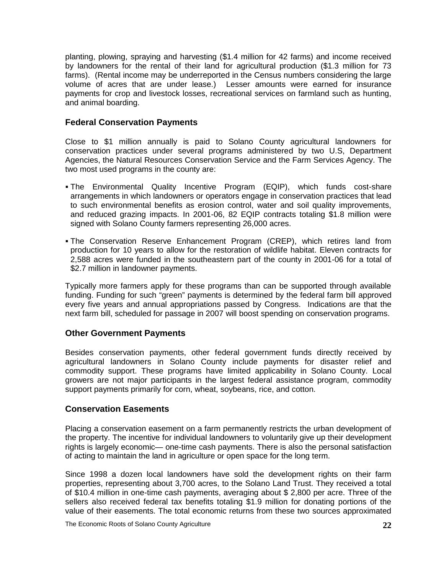planting, plowing, spraying and harvesting (\$1.4 million for 42 farms) and income received by landowners for the rental of their land for agricultural production (\$1.3 million for 73 farms). (Rental income may be underreported in the Census numbers considering the large volume of acres that are under lease.) Lesser amounts were earned for insurance payments for crop and livestock losses, recreational services on farmland such as hunting, and animal boarding.

#### **Federal Conservation Payments**

Close to \$1 million annually is paid to Solano County agricultural landowners for conservation practices under several programs administered by two U.S, Department Agencies, the Natural Resources Conservation Service and the Farm Services Agency. The two most used programs in the county are:

- The Environmental Quality Incentive Program (EQIP), which funds cost-share arrangements in which landowners or operators engage in conservation practices that lead to such environmental benefits as erosion control, water and soil quality improvements, and reduced grazing impacts. In 2001-06, 82 EQIP contracts totaling \$1.8 million were signed with Solano County farmers representing 26,000 acres.
- The Conservation Reserve Enhancement Program (CREP), which retires land from production for 10 years to allow for the restoration of wildlife habitat. Eleven contracts for 2,588 acres were funded in the southeastern part of the county in 2001-06 for a total of \$2.7 million in landowner payments.

Typically more farmers apply for these programs than can be supported through available funding. Funding for such "green" payments is determined by the federal farm bill approved every five years and annual appropriations passed by Congress. Indications are that the next farm bill, scheduled for passage in 2007 will boost spending on conservation programs.

#### **Other Government Payments**

Besides conservation payments, other federal government funds directly received by agricultural landowners in Solano County include payments for disaster relief and commodity support. These programs have limited applicability in Solano County. Local growers are not major participants in the largest federal assistance program, commodity support payments primarily for corn, wheat, soybeans, rice, and cotton.

#### **Conservation Easements**

Placing a conservation easement on a farm permanently restricts the urban development of the property. The incentive for individual landowners to voluntarily give up their development rights is largely economic— one-time cash payments. There is also the personal satisfaction of acting to maintain the land in agriculture or open space for the long term.

Since 1998 a dozen local landowners have sold the development rights on their farm properties, representing about 3,700 acres, to the Solano Land Trust. They received a total of \$10.4 million in one-time cash payments, averaging about \$ 2,800 per acre. Three of the sellers also received federal tax benefits totaling \$1.9 million for donating portions of the value of their easements. The total economic returns from these two sources approximated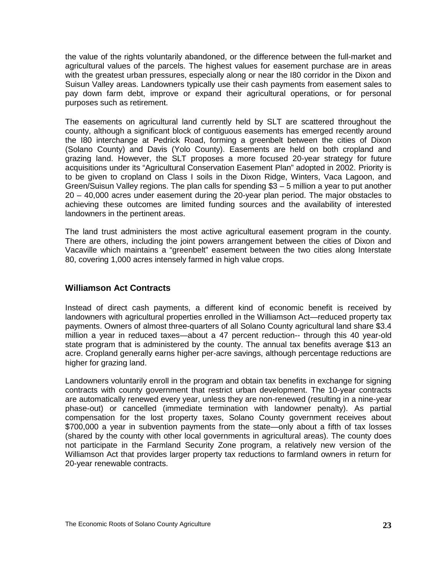the value of the rights voluntarily abandoned, or the difference between the full-market and agricultural values of the parcels. The highest values for easement purchase are in areas with the greatest urban pressures, especially along or near the I80 corridor in the Dixon and Suisun Valley areas. Landowners typically use their cash payments from easement sales to pay down farm debt, improve or expand their agricultural operations, or for personal purposes such as retirement.

The easements on agricultural land currently held by SLT are scattered throughout the county, although a significant block of contiguous easements has emerged recently around the I80 interchange at Pedrick Road, forming a greenbelt between the cities of Dixon (Solano County) and Davis (Yolo County). Easements are held on both cropland and grazing land. However, the SLT proposes a more focused 20-year strategy for future acquisitions under its "Agricultural Conservation Easement Plan" adopted in 2002. Priority is to be given to cropland on Class I soils in the Dixon Ridge, Winters, Vaca Lagoon, and Green/Suisun Valley regions. The plan calls for spending \$3 – 5 million a year to put another 20 – 40,000 acres under easement during the 20-year plan period. The major obstacles to achieving these outcomes are limited funding sources and the availability of interested landowners in the pertinent areas.

The land trust administers the most active agricultural easement program in the county. There are others, including the joint powers arrangement between the cities of Dixon and Vacaville which maintains a "greenbelt" easement between the two cities along Interstate 80, covering 1,000 acres intensely farmed in high value crops.

#### **Williamson Act Contracts**

Instead of direct cash payments, a different kind of economic benefit is received by landowners with agricultural properties enrolled in the Williamson Act—reduced property tax payments. Owners of almost three-quarters of all Solano County agricultural land share \$3.4 million a year in reduced taxes—about a 47 percent reduction-- through this 40 year-old state program that is administered by the county. The annual tax benefits average \$13 an acre. Cropland generally earns higher per-acre savings, although percentage reductions are higher for grazing land.

Landowners voluntarily enroll in the program and obtain tax benefits in exchange for signing contracts with county government that restrict urban development. The 10-year contracts are automatically renewed every year, unless they are non-renewed (resulting in a nine-year phase-out) or cancelled (immediate termination with landowner penalty). As partial compensation for the lost property taxes, Solano County government receives about \$700,000 a year in subvention payments from the state—only about a fifth of tax losses (shared by the county with other local governments in agricultural areas). The county does not participate in the Farmland Security Zone program, a relatively new version of the Williamson Act that provides larger property tax reductions to farmland owners in return for 20-year renewable contracts.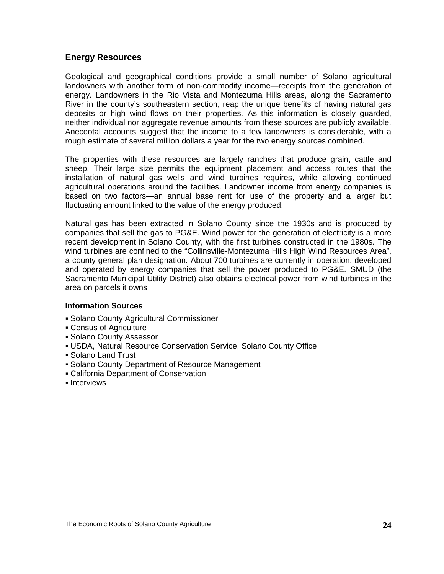#### **Energy Resources**

Geological and geographical conditions provide a small number of Solano agricultural landowners with another form of non-commodity income—receipts from the generation of energy. Landowners in the Rio Vista and Montezuma Hills areas, along the Sacramento River in the county's southeastern section, reap the unique benefits of having natural gas deposits or high wind flows on their properties. As this information is closely guarded, neither individual nor aggregate revenue amounts from these sources are publicly available. Anecdotal accounts suggest that the income to a few landowners is considerable, with a rough estimate of several million dollars a year for the two energy sources combined.

The properties with these resources are largely ranches that produce grain, cattle and sheep. Their large size permits the equipment placement and access routes that the installation of natural gas wells and wind turbines requires, while allowing continued agricultural operations around the facilities. Landowner income from energy companies is based on two factors—an annual base rent for use of the property and a larger but fluctuating amount linked to the value of the energy produced.

Natural gas has been extracted in Solano County since the 1930s and is produced by companies that sell the gas to PG&E. Wind power for the generation of electricity is a more recent development in Solano County, with the first turbines constructed in the 1980s. The wind turbines are confined to the "Collinsville-Montezuma Hills High Wind Resources Area", a county general plan designation. About 700 turbines are currently in operation, developed and operated by energy companies that sell the power produced to PG&E. SMUD (the Sacramento Municipal Utility District) also obtains electrical power from wind turbines in the area on parcels it owns

#### **Information Sources**

- Solano County Agricultural Commissioner
- Census of Agriculture
- Solano County Assessor
- USDA, Natural Resource Conservation Service, Solano County Office
- Solano Land Trust
- Solano County Department of Resource Management
- California Department of Conservation
- **Interviews**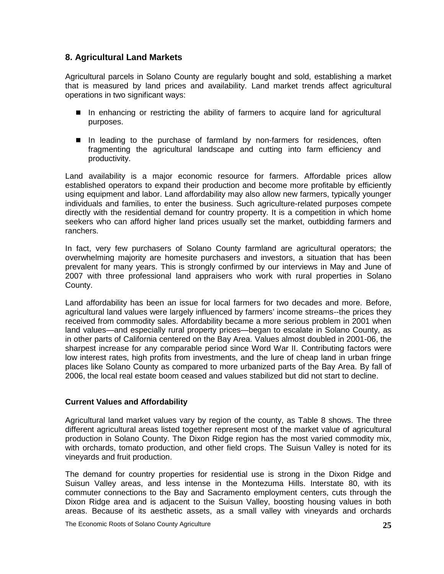#### <span id="page-29-0"></span>**8. Agricultural Land Markets**

Agricultural parcels in Solano County are regularly bought and sold, establishing a market that is measured by land prices and availability. Land market trends affect agricultural operations in two significant ways:

- In enhancing or restricting the ability of farmers to acquire land for agricultural purposes.
- In leading to the purchase of farmland by non-farmers for residences, often fragmenting the agricultural landscape and cutting into farm efficiency and productivity.

Land availability is a major economic resource for farmers. Affordable prices allow established operators to expand their production and become more profitable by efficiently using equipment and labor. Land affordability may also allow new farmers, typically younger individuals and families, to enter the business. Such agriculture-related purposes compete directly with the residential demand for country property. It is a competition in which home seekers who can afford higher land prices usually set the market, outbidding farmers and ranchers.

In fact, very few purchasers of Solano County farmland are agricultural operators; the overwhelming majority are homesite purchasers and investors, a situation that has been prevalent for many years. This is strongly confirmed by our interviews in May and June of 2007 with three professional land appraisers who work with rural properties in Solano County.

Land affordability has been an issue for local farmers for two decades and more. Before, agricultural land values were largely influenced by farmers' income streams--the prices they received from commodity sales. Affordability became a more serious problem in 2001 when land values—and especially rural property prices—began to escalate in Solano County, as in other parts of California centered on the Bay Area. Values almost doubled in 2001-06, the sharpest increase for any comparable period since Word War II. Contributing factors were low interest rates, high profits from investments, and the lure of cheap land in urban fringe places like Solano County as compared to more urbanized parts of the Bay Area. By fall of 2006, the local real estate boom ceased and values stabilized but did not start to decline.

#### **Current Values and Affordability**

Agricultural land market values vary by region of the county, as Table 8 shows. The three different agricultural areas listed together represent most of the market value of agricultural production in Solano County. The Dixon Ridge region has the most varied commodity mix, with orchards, tomato production, and other field crops. The Suisun Valley is noted for its vineyards and fruit production.

The demand for country properties for residential use is strong in the Dixon Ridge and Suisun Valley areas, and less intense in the Montezuma Hills. Interstate 80, with its commuter connections to the Bay and Sacramento employment centers, cuts through the Dixon Ridge area and is adjacent to the Suisun Valley, boosting housing values in both areas. Because of its aesthetic assets, as a small valley with vineyards and orchards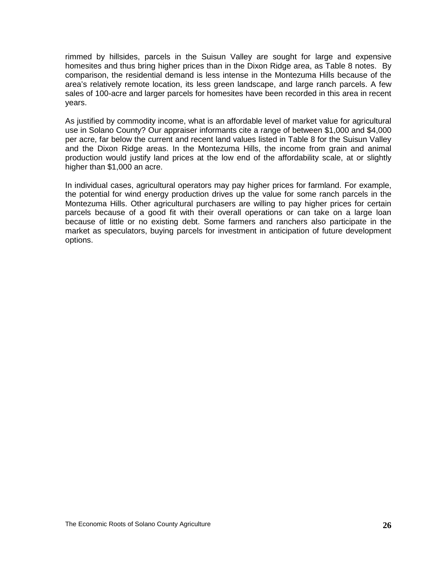rimmed by hillsides, parcels in the Suisun Valley are sought for large and expensive homesites and thus bring higher prices than in the Dixon Ridge area, as Table 8 notes. By comparison, the residential demand is less intense in the Montezuma Hills because of the area's relatively remote location, its less green landscape, and large ranch parcels. A few sales of 100-acre and larger parcels for homesites have been recorded in this area in recent years.

As justified by commodity income, what is an affordable level of market value for agricultural use in Solano County? Our appraiser informants cite a range of between \$1,000 and \$4,000 per acre, far below the current and recent land values listed in Table 8 for the Suisun Valley and the Dixon Ridge areas. In the Montezuma Hills, the income from grain and animal production would justify land prices at the low end of the affordability scale, at or slightly higher than \$1,000 an acre.

In individual cases, agricultural operators may pay higher prices for farmland. For example, the potential for wind energy production drives up the value for some ranch parcels in the Montezuma Hills. Other agricultural purchasers are willing to pay higher prices for certain parcels because of a good fit with their overall operations or can take on a large loan because of little or no existing debt. Some farmers and ranchers also participate in the market as speculators, buying parcels for investment in anticipation of future development options.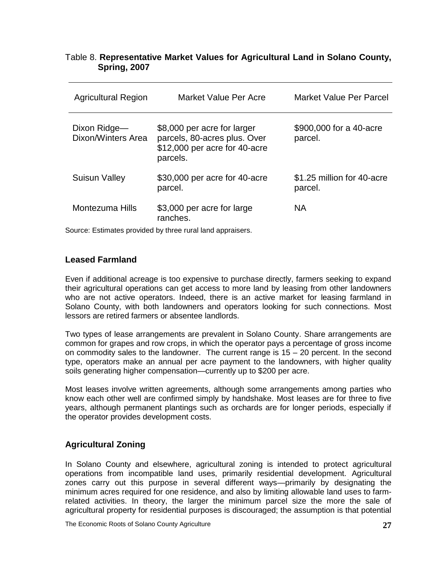#### <span id="page-31-0"></span>Table 8. **Representative Market Values for Agricultural Land in Solano County, Spring, 2007**

| <b>Agricultural Region</b>         | Market Value Per Acre                                                                                    | <b>Market Value Per Parcel</b>        |
|------------------------------------|----------------------------------------------------------------------------------------------------------|---------------------------------------|
| Dixon Ridge-<br>Dixon/Winters Area | \$8,000 per acre for larger<br>parcels, 80-acres plus. Over<br>\$12,000 per acre for 40-acre<br>parcels. | \$900,000 for a 40-acre<br>parcel.    |
| <b>Suisun Valley</b>               | \$30,000 per acre for 40-acre<br>parcel.                                                                 | \$1.25 million for 40-acre<br>parcel. |
| Montezuma Hills                    | \$3,000 per acre for large<br>ranches.                                                                   | <b>NA</b>                             |

Source: Estimates provided by three rural land appraisers.

#### **Leased Farmland**

Even if additional acreage is too expensive to purchase directly, farmers seeking to expand their agricultural operations can get access to more land by leasing from other landowners who are not active operators. Indeed, there is an active market for leasing farmland in Solano County, with both landowners and operators looking for such connections. Most lessors are retired farmers or absentee landlords.

Two types of lease arrangements are prevalent in Solano County. Share arrangements are common for grapes and row crops, in which the operator pays a percentage of gross income on commodity sales to the landowner. The current range is  $15 - 20$  percent. In the second type, operators make an annual per acre payment to the landowners, with higher quality soils generating higher compensation—currently up to \$200 per acre.

Most leases involve written agreements, although some arrangements among parties who know each other well are confirmed simply by handshake. Most leases are for three to five years, although permanent plantings such as orchards are for longer periods, especially if the operator provides development costs.

#### **Agricultural Zoning**

In Solano County and elsewhere, agricultural zoning is intended to protect agricultural operations from incompatible land uses, primarily residential development. Agricultural zones carry out this purpose in several different ways—primarily by designating the minimum acres required for one residence, and also by limiting allowable land uses to farmrelated activities. In theory, the larger the minimum parcel size the more the sale of agricultural property for residential purposes is discouraged; the assumption is that potential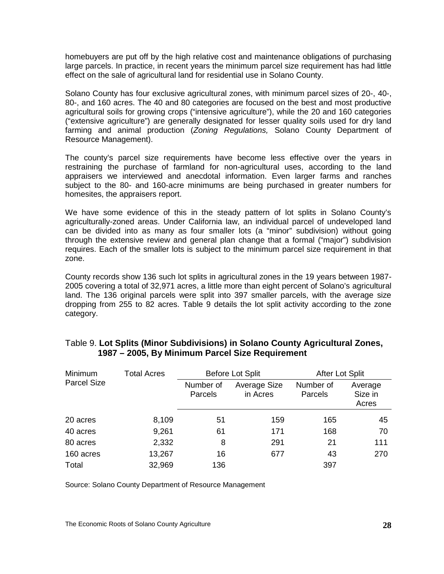homebuyers are put off by the high relative cost and maintenance obligations of purchasing large parcels. In practice, in recent years the minimum parcel size requirement has had little effect on the sale of agricultural land for residential use in Solano County.

Solano County has four exclusive agricultural zones, with minimum parcel sizes of 20-, 40-, 80-, and 160 acres. The 40 and 80 categories are focused on the best and most productive agricultural soils for growing crops ("intensive agriculture"), while the 20 and 160 categories ("extensive agriculture") are generally designated for lesser quality soils used for dry land farming and animal production (*Zoning Regulations,* Solano County Department of Resource Management).

The county's parcel size requirements have become less effective over the years in restraining the purchase of farmland for non-agricultural uses, according to the land appraisers we interviewed and anecdotal information. Even larger farms and ranches subject to the 80- and 160-acre minimums are being purchased in greater numbers for homesites, the appraisers report.

We have some evidence of this in the steady pattern of lot splits in Solano County's agriculturally-zoned areas. Under California law, an individual parcel of undeveloped land can be divided into as many as four smaller lots (a "minor" subdivision) without going through the extensive review and general plan change that a formal ("major") subdivision requires. Each of the smaller lots is subject to the minimum parcel size requirement in that zone.

County records show 136 such lot splits in agricultural zones in the 19 years between 1987- 2005 covering a total of 32,971 acres, a little more than eight percent of Solano's agricultural land. The 136 original parcels were split into 397 smaller parcels, with the average size dropping from 255 to 82 acres. Table 9 details the lot split activity according to the zone category.

| Minimum            | <b>Total Acres</b> | <b>Before Lot Split</b> |                                 | After Lot Split      |                             |
|--------------------|--------------------|-------------------------|---------------------------------|----------------------|-----------------------------|
| <b>Parcel Size</b> |                    | Number of<br>Parcels    | <b>Average Size</b><br>in Acres | Number of<br>Parcels | Average<br>Size in<br>Acres |
| 20 acres           | 8,109              | 51                      | 159                             | 165                  | 45                          |
| 40 acres           | 9,261              | 61                      | 171                             | 168                  | 70                          |
| 80 acres           | 2,332              | 8                       | 291                             | 21                   | 111                         |
| 160 acres          | 13,267             | 16                      | 677                             | 43                   | 270                         |
| Total              | 32,969             | 136                     |                                 | 397                  |                             |

#### <span id="page-32-0"></span>Table 9. **Lot Splits (Minor Subdivisions) in Solano County Agricultural Zones, 1987 – 2005, By Minimum Parcel Size Requirement**

Source: Solano County Department of Resource Management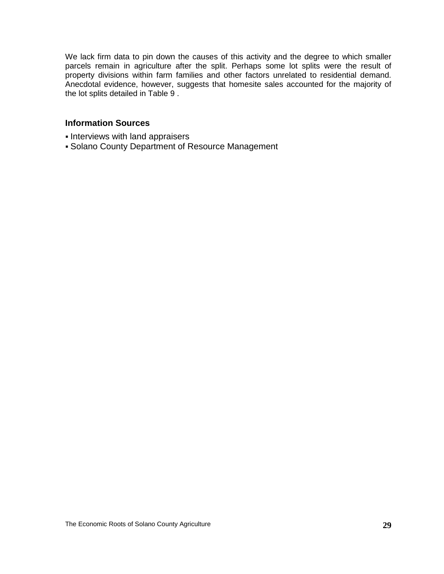We lack firm data to pin down the causes of this activity and the degree to which smaller parcels remain in agriculture after the split. Perhaps some lot splits were the result of property divisions within farm families and other factors unrelated to residential demand. Anecdotal evidence, however, suggests that homesite sales accounted for the majority of the lot splits detailed in Table 9 .

#### **Information Sources**

- **Interviews with land appraisers**
- Solano County Department of Resource Management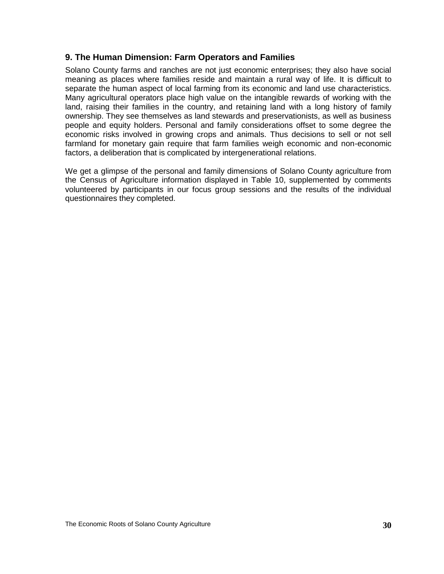#### <span id="page-34-0"></span>**9. The Human Dimension: Farm Operators and Families**

Solano County farms and ranches are not just economic enterprises; they also have social meaning as places where families reside and maintain a rural way of life. It is difficult to separate the human aspect of local farming from its economic and land use characteristics. Many agricultural operators place high value on the intangible rewards of working with the land, raising their families in the country, and retaining land with a long history of family ownership. They see themselves as land stewards and preservationists, as well as business people and equity holders. Personal and family considerations offset to some degree the economic risks involved in growing crops and animals. Thus decisions to sell or not sell farmland for monetary gain require that farm families weigh economic and non-economic factors, a deliberation that is complicated by intergenerational relations.

We get a glimpse of the personal and family dimensions of Solano County agriculture from the Census of Agriculture information displayed in Table 10, supplemented by comments volunteered by participants in our focus group sessions and the results of the individual questionnaires they completed.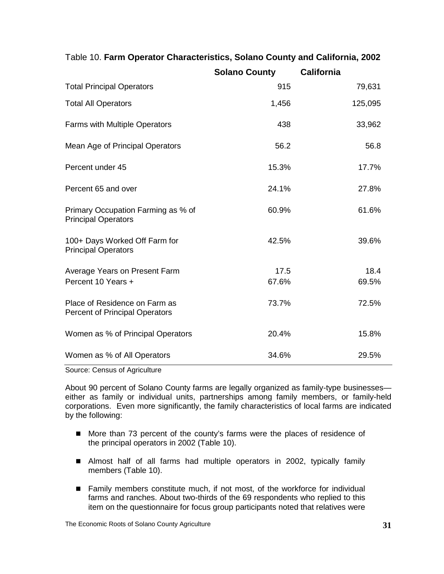|                                                                        | <b>Solano County</b> | <b>California</b> |
|------------------------------------------------------------------------|----------------------|-------------------|
| <b>Total Principal Operators</b>                                       | 915                  | 79,631            |
| <b>Total All Operators</b>                                             | 1,456                | 125,095           |
| <b>Farms with Multiple Operators</b>                                   | 438                  | 33,962            |
| Mean Age of Principal Operators                                        | 56.2                 | 56.8              |
| Percent under 45                                                       | 15.3%                | 17.7%             |
| Percent 65 and over                                                    | 24.1%                | 27.8%             |
| Primary Occupation Farming as % of<br><b>Principal Operators</b>       | 60.9%                | 61.6%             |
| 100+ Days Worked Off Farm for<br><b>Principal Operators</b>            | 42.5%                | 39.6%             |
| Average Years on Present Farm                                          | 17.5                 | 18.4              |
| Percent 10 Years +                                                     | 67.6%                | 69.5%             |
| Place of Residence on Farm as<br><b>Percent of Principal Operators</b> | 73.7%                | 72.5%             |
| Women as % of Principal Operators                                      | 20.4%                | 15.8%             |
| Women as % of All Operators                                            | 34.6%                | 29.5%             |

### <span id="page-35-0"></span>Table 10. **Farm Operator Characteristics, Solano County and California, 2002**

Source: Census of Agriculture

About 90 percent of Solano County farms are legally organized as family-type businesses either as family or individual units, partnerships among family members, or family-held corporations. Even more significantly, the family characteristics of local farms are indicated by the following:

- More than 73 percent of the county's farms were the places of residence of the principal operators in 2002 (Table 10).
- Almost half of all farms had multiple operators in 2002, typically family members (Table 10).
- Family members constitute much, if not most, of the workforce for individual farms and ranches. About two-thirds of the 69 respondents who replied to this item on the questionnaire for focus group participants noted that relatives were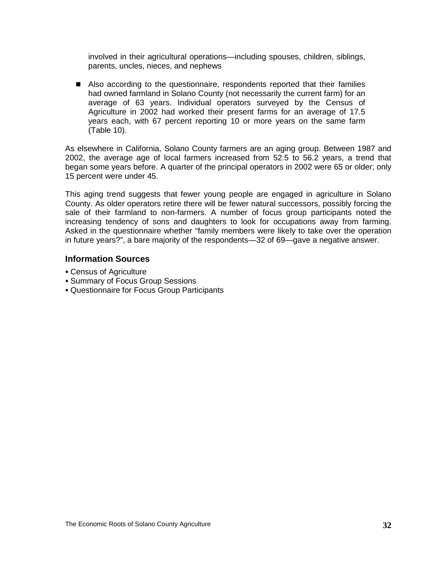involved in their agricultural operations—including spouses, children, siblings, parents, uncles, nieces, and nephews

 Also according to the questionnaire, respondents reported that their families had owned farmland in Solano County (not necessarily the current farm) for an average of 63 years. Individual operators surveyed by the Census of Agriculture in 2002 had worked their present farms for an average of 17.5 years each, with 67 percent reporting 10 or more years on the same farm (Table 10).

As elsewhere in California, Solano County farmers are an aging group. Between 1987 and 2002, the average age of local farmers increased from 52.5 to 56.2 years, a trend that began some years before. A quarter of the principal operators in 2002 were 65 or older; only 15 percent were under 45.

This aging trend suggests that fewer young people are engaged in agriculture in Solano County. As older operators retire there will be fewer natural successors, possibly forcing the sale of their farmland to non-farmers. A number of focus group participants noted the increasing tendency of sons and daughters to look for occupations away from farming. Asked in the questionnaire whether "family members were likely to take over the operation in future years?", a bare majority of the respondents—32 of 69—gave a negative answer.

#### **Information Sources**

- Census of Agriculture
- Summary of Focus Group Sessions
- Questionnaire for Focus Group Participants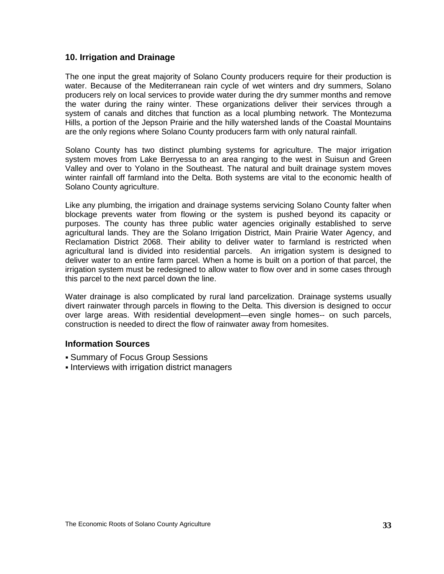#### **10. Irrigation and Drainage**

The one input the great majority of Solano County producers require for their production is water. Because of the Mediterranean rain cycle of wet winters and dry summers, Solano producers rely on local services to provide water during the dry summer months and remove the water during the rainy winter. These organizations deliver their services through a system of canals and ditches that function as a local plumbing network. The Montezuma Hills, a portion of the Jepson Prairie and the hilly watershed lands of the Coastal Mountains are the only regions where Solano County producers farm with only natural rainfall.

Solano County has two distinct plumbing systems for agriculture. The major irrigation system moves from Lake Berryessa to an area ranging to the west in Suisun and Green Valley and over to Yolano in the Southeast. The natural and built drainage system moves winter rainfall off farmland into the Delta. Both systems are vital to the economic health of Solano County agriculture.

Like any plumbing, the irrigation and drainage systems servicing Solano County falter when blockage prevents water from flowing or the system is pushed beyond its capacity or purposes. The county has three public water agencies originally established to serve agricultural lands. They are the Solano Irrigation District, Main Prairie Water Agency, and Reclamation District 2068. Their ability to deliver water to farmland is restricted when agricultural land is divided into residential parcels. An irrigation system is designed to deliver water to an entire farm parcel. When a home is built on a portion of that parcel, the irrigation system must be redesigned to allow water to flow over and in some cases through this parcel to the next parcel down the line.

Water drainage is also complicated by rural land parcelization. Drainage systems usually divert rainwater through parcels in flowing to the Delta. This diversion is designed to occur over large areas. With residential development—even single homes-- on such parcels, construction is needed to direct the flow of rainwater away from homesites.

#### **Information Sources**

- Summary of Focus Group Sessions
- **Interviews with irrigation district managers**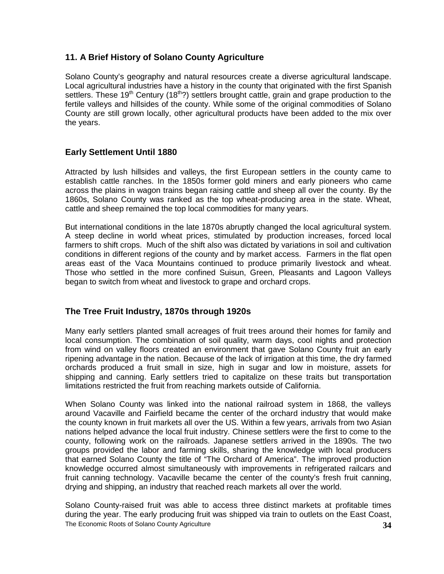## **11. A Brief History of Solano County Agriculture**

Solano County's geography and natural resources create a diverse agricultural landscape. Local agricultural industries have a history in the county that originated with the first Spanish settlers. These 19<sup>th</sup> Century (18<sup>th</sup>?) settlers brought cattle, grain and grape production to the fertile valleys and hillsides of the county. While some of the original commodities of Solano County are still grown locally, other agricultural products have been added to the mix over the years.

## **Early Settlement Until 1880**

Attracted by lush hillsides and valleys, the first European settlers in the county came to establish cattle ranches. In the 1850s former gold miners and early pioneers who came across the plains in wagon trains began raising cattle and sheep all over the county. By the 1860s, Solano County was ranked as the top wheat-producing area in the state. Wheat, cattle and sheep remained the top local commodities for many years.

But international conditions in the late 1870s abruptly changed the local agricultural system. A steep decline in world wheat prices, stimulated by production increases, forced local farmers to shift crops. Much of the shift also was dictated by variations in soil and cultivation conditions in different regions of the county and by market access. Farmers in the flat open areas east of the Vaca Mountains continued to produce primarily livestock and wheat. Those who settled in the more confined Suisun, Green, Pleasants and Lagoon Valleys began to switch from wheat and livestock to grape and orchard crops.

### **The Tree Fruit Industry, 1870s through 1920s**

Many early settlers planted small acreages of fruit trees around their homes for family and local consumption. The combination of soil quality, warm days, cool nights and protection from wind on valley floors created an environment that gave Solano County fruit an early ripening advantage in the nation. Because of the lack of irrigation at this time, the dry farmed orchards produced a fruit small in size, high in sugar and low in moisture, assets for shipping and canning. Early settlers tried to capitalize on these traits but transportation limitations restricted the fruit from reaching markets outside of California.

When Solano County was linked into the national railroad system in 1868, the valleys around Vacaville and Fairfield became the center of the orchard industry that would make the county known in fruit markets all over the US. Within a few years, arrivals from two Asian nations helped advance the local fruit industry. Chinese settlers were the first to come to the county, following work on the railroads. Japanese settlers arrived in the 1890s. The two groups provided the labor and farming skills, sharing the knowledge with local producers that earned Solano County the title of "The Orchard of America". The improved production knowledge occurred almost simultaneously with improvements in refrigerated railcars and fruit canning technology. Vacaville became the center of the county's fresh fruit canning, drying and shipping, an industry that reached reach markets all over the world.

The Economic Roots of Solano County Agriculture **34** Solano County-raised fruit was able to access three distinct markets at profitable times during the year. The early producing fruit was shipped via train to outlets on the East Coast,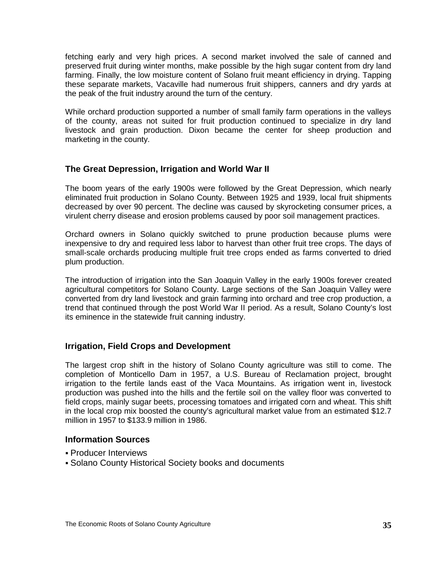fetching early and very high prices. A second market involved the sale of canned and preserved fruit during winter months, make possible by the high sugar content from dry land farming. Finally, the low moisture content of Solano fruit meant efficiency in drying. Tapping these separate markets, Vacaville had numerous fruit shippers, canners and dry yards at the peak of the fruit industry around the turn of the century.

While orchard production supported a number of small family farm operations in the valleys of the county, areas not suited for fruit production continued to specialize in dry land livestock and grain production. Dixon became the center for sheep production and marketing in the county.

#### **The Great Depression, Irrigation and World War II**

The boom years of the early 1900s were followed by the Great Depression, which nearly eliminated fruit production in Solano County. Between 1925 and 1939, local fruit shipments decreased by over 90 percent. The decline was caused by skyrocketing consumer prices, a virulent cherry disease and erosion problems caused by poor soil management practices.

Orchard owners in Solano quickly switched to prune production because plums were inexpensive to dry and required less labor to harvest than other fruit tree crops. The days of small-scale orchards producing multiple fruit tree crops ended as farms converted to dried plum production.

The introduction of irrigation into the San Joaquin Valley in the early 1900s forever created agricultural competitors for Solano County. Large sections of the San Joaquin Valley were converted from dry land livestock and grain farming into orchard and tree crop production, a trend that continued through the post World War II period. As a result, Solano County's lost its eminence in the statewide fruit canning industry.

### **Irrigation, Field Crops and Development**

The largest crop shift in the history of Solano County agriculture was still to come. The completion of Monticello Dam in 1957, a U.S. Bureau of Reclamation project, brought irrigation to the fertile lands east of the Vaca Mountains. As irrigation went in, livestock production was pushed into the hills and the fertile soil on the valley floor was converted to field crops, mainly sugar beets, processing tomatoes and irrigated corn and wheat. This shift in the local crop mix boosted the county's agricultural market value from an estimated \$12.7 million in 1957 to \$133.9 million in 1986.

#### **Information Sources**

- Producer Interviews
- Solano County Historical Society books and documents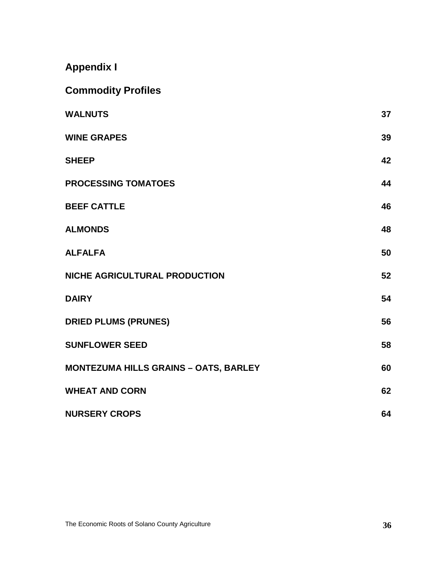**Appendix I**

| <b>Commodity Profiles</b>                    |    |
|----------------------------------------------|----|
| <b>WALNUTS</b>                               | 37 |
| <b>WINE GRAPES</b>                           | 39 |
| <b>SHEEP</b>                                 | 42 |
| <b>PROCESSING TOMATOES</b>                   | 44 |
| <b>BEEF CATTLE</b>                           | 46 |
| <b>ALMONDS</b>                               | 48 |
| <b>ALFALFA</b>                               | 50 |
| NICHE AGRICULTURAL PRODUCTION                | 52 |
| <b>DAIRY</b>                                 | 54 |
| <b>DRIED PLUMS (PRUNES)</b>                  | 56 |
| <b>SUNFLOWER SEED</b>                        | 58 |
| <b>MONTEZUMA HILLS GRAINS - OATS, BARLEY</b> | 60 |
| <b>WHEAT AND CORN</b>                        | 62 |
| <b>NURSERY CROPS</b>                         | 64 |

The Economic Roots of Solano County Agriculture **36**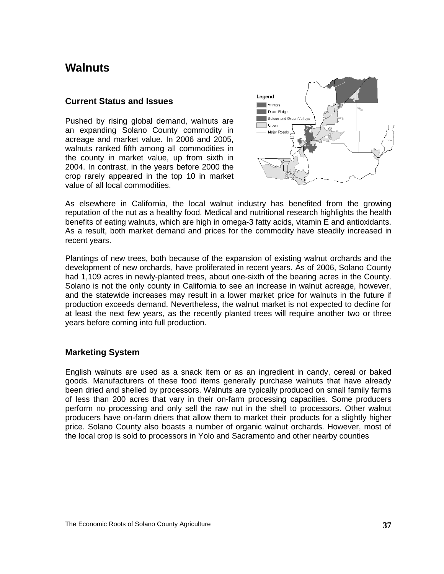## <span id="page-41-0"></span>**Walnuts**

#### **Current Status and Issues**

Pushed by rising global demand, walnuts are an expanding Solano County commodity in acreage and market value. In 2006 and 2005, walnuts ranked fifth among all commodities in the county in market value, up from sixth in 2004. In contrast, in the years before 2000 the crop rarely appeared in the top 10 in market value of all local commodities.



As elsewhere in California, the local walnut industry has benefited from the growing reputation of the nut as a healthy food. Medical and nutritional research highlights the health benefits of eating walnuts, which are high in omega-3 fatty acids, vitamin E and antioxidants. As a result, both market demand and prices for the commodity have steadily increased in recent years.

Plantings of new trees, both because of the expansion of existing walnut orchards and the development of new orchards, have proliferated in recent years. As of 2006, Solano County had 1,109 acres in newly-planted trees, about one-sixth of the bearing acres in the County. Solano is not the only county in California to see an increase in walnut acreage, however, and the statewide increases may result in a lower market price for walnuts in the future if production exceeds demand. Nevertheless, the walnut market is not expected to decline for at least the next few years, as the recently planted trees will require another two or three years before coming into full production.

### **Marketing System**

English walnuts are used as a snack item or as an ingredient in candy, cereal or baked goods. Manufacturers of these food items generally purchase walnuts that have already been dried and shelled by processors. Walnuts are typically produced on small family farms of less than 200 acres that vary in their on-farm processing capacities. Some producers perform no processing and only sell the raw nut in the shell to processors. Other walnut producers have on-farm driers that allow them to market their products for a slightly higher price. Solano County also boasts a number of organic walnut orchards. However, most of the local crop is sold to processors in Yolo and Sacramento and other nearby counties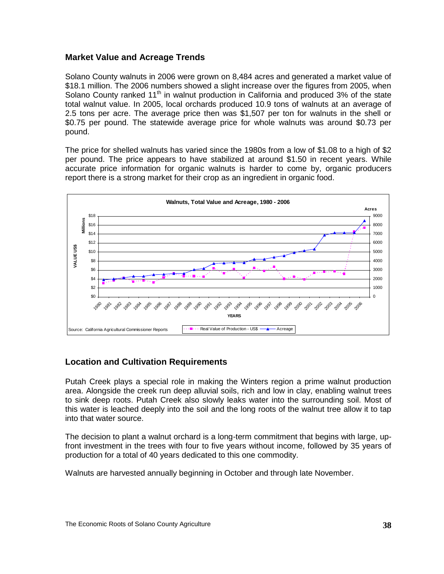## **Market Value and Acreage Trends**

Solano County walnuts in 2006 were grown on 8,484 acres and generated a market value of \$18.1 million. The 2006 numbers showed a slight increase over the figures from 2005, when Solano County ranked 11<sup>th</sup> in walnut production in California and produced 3% of the state total walnut value. In 2005, local orchards produced 10.9 tons of walnuts at an average of 2.5 tons per acre. The average price then was \$1,507 per ton for walnuts in the shell or \$0.75 per pound. The statewide average price for whole walnuts was around \$0.73 per pound.

The price for shelled walnuts has varied since the 1980s from a low of \$1.08 to a high of \$2 per pound. The price appears to have stabilized at around \$1.50 in recent years. While accurate price information for organic walnuts is harder to come by, organic producers report there is a strong market for their crop as an ingredient in organic food.



### **Location and Cultivation Requirements**

Putah Creek plays a special role in making the Winters region a prime walnut production area. Alongside the creek run deep alluvial soils, rich and low in clay, enabling walnut trees to sink deep roots. Putah Creek also slowly leaks water into the surrounding soil. Most of this water is leached deeply into the soil and the long roots of the walnut tree allow it to tap into that water source.

The decision to plant a walnut orchard is a long-term commitment that begins with large, upfront investment in the trees with four to five years without income, followed by 35 years of production for a total of 40 years dedicated to this one commodity.

Walnuts are harvested annually beginning in October and through late November.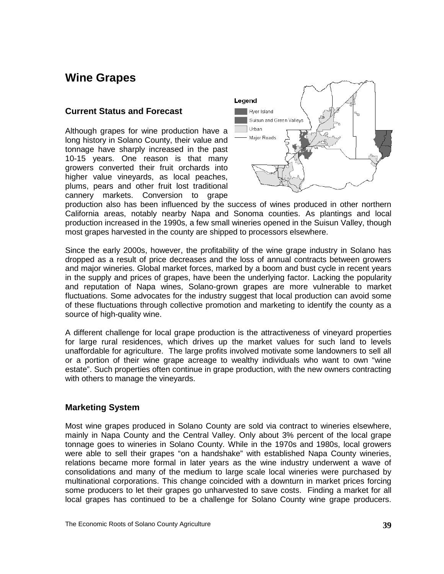## **Wine Grapes**

#### **Current Status and Forecast**

Although grapes for wine production have a long history in Solano County, their value and tonnage have sharply increased in the past 10-15 years. One reason is that many growers converted their fruit orchards into higher value vineyards, as local peaches, plums, pears and other fruit lost traditional cannery markets. Conversion to grape

<span id="page-43-0"></span>

production also has been influenced by the success of wines produced in other northern California areas, notably nearby Napa and Sonoma counties. As plantings and local production increased in the 1990s, a few small wineries opened in the Suisun Valley, though most grapes harvested in the county are shipped to processors elsewhere.

Since the early 2000s, however, the profitability of the wine grape industry in Solano has dropped as a result of price decreases and the loss of annual contracts between growers and major wineries. Global market forces, marked by a boom and bust cycle in recent years in the supply and prices of grapes, have been the underlying factor. Lacking the popularity and reputation of Napa wines, Solano-grown grapes are more vulnerable to market fluctuations. Some advocates for the industry suggest that local production can avoid some of these fluctuations through collective promotion and marketing to identify the county as a source of high-quality wine.

A different challenge for local grape production is the attractiveness of vineyard properties for large rural residences, which drives up the market values for such land to levels unaffordable for agriculture. The large profits involved motivate some landowners to sell all or a portion of their wine grape acreage to wealthy individuals who want to own "wine estate". Such properties often continue in grape production, with the new owners contracting with others to manage the vineyards.

#### **Marketing System**

Most wine grapes produced in Solano County are sold via contract to wineries elsewhere, mainly in Napa County and the Central Valley. Only about 3% percent of the local grape tonnage goes to wineries in Solano County. While in the 1970s and 1980s, local growers were able to sell their grapes "on a handshake" with established Napa County wineries, relations became more formal in later years as the wine industry underwent a wave of consolidations and many of the medium to large scale local wineries were purchased by multinational corporations. This change coincided with a downturn in market prices forcing some producers to let their grapes go unharvested to save costs. Finding a market for all local grapes has continued to be a challenge for Solano County wine grape producers.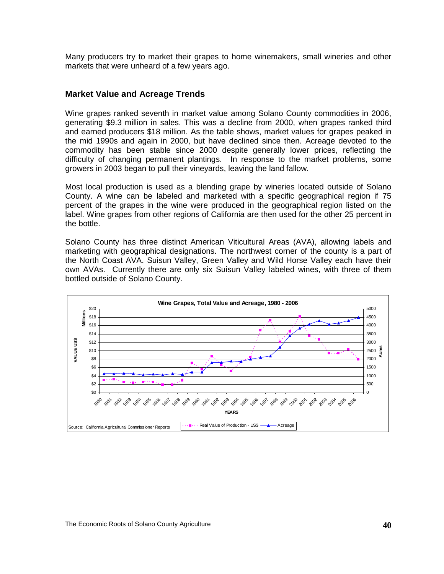Many producers try to market their grapes to home winemakers, small wineries and other markets that were unheard of a few years ago.

#### **Market Value and Acreage Trends**

Wine grapes ranked seventh in market value among Solano County commodities in 2006, generating \$9.3 million in sales. This was a decline from 2000, when grapes ranked third and earned producers \$18 million. As the table shows, market values for grapes peaked in the mid 1990s and again in 2000, but have declined since then. Acreage devoted to the commodity has been stable since 2000 despite generally lower prices, reflecting the difficulty of changing permanent plantings. In response to the market problems, some growers in 2003 began to pull their vineyards, leaving the land fallow.

Most local production is used as a blending grape by wineries located outside of Solano County. A wine can be labeled and marketed with a specific geographical region if 75 percent of the grapes in the wine were produced in the geographical region listed on the label. Wine grapes from other regions of California are then used for the other 25 percent in the bottle.

Solano County has three distinct American Viticultural Areas (AVA), allowing labels and marketing with geographical designations. The northwest corner of the county is a part of the North Coast AVA. Suisun Valley, Green Valley and Wild Horse Valley each have their own AVAs. Currently there are only six Suisun Valley labeled wines, with three of them bottled outside of Solano County.

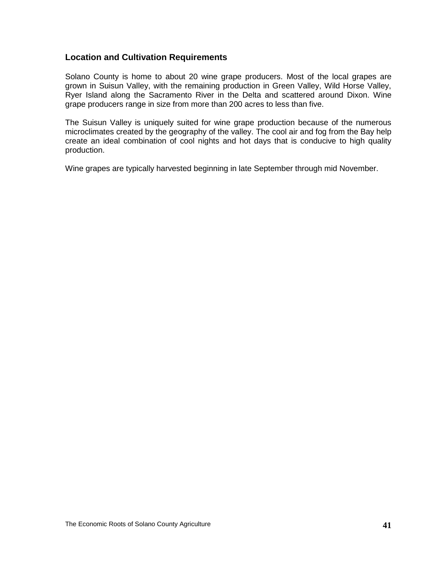#### **Location and Cultivation Requirements**

Solano County is home to about 20 wine grape producers. Most of the local grapes are grown in Suisun Valley, with the remaining production in Green Valley, Wild Horse Valley, Ryer Island along the Sacramento River in the Delta and scattered around Dixon. Wine grape producers range in size from more than 200 acres to less than five.

The Suisun Valley is uniquely suited for wine grape production because of the numerous microclimates created by the geography of the valley. The cool air and fog from the Bay help create an ideal combination of cool nights and hot days that is conducive to high quality production.

Wine grapes are typically harvested beginning in late September through mid November.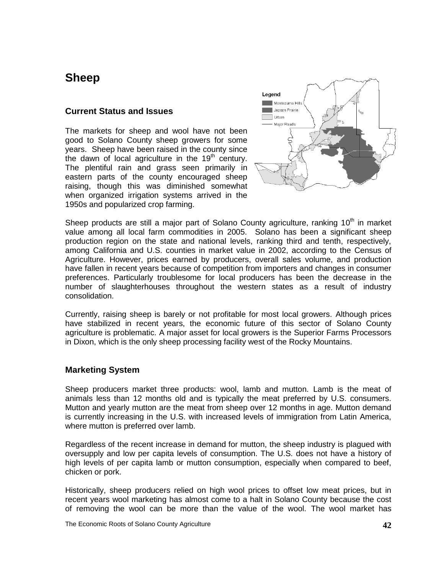## <span id="page-46-0"></span>**Sheep**

#### **Current Status and Issues**

The markets for sheep and wool have not been good to Solano County sheep growers for some years. Sheep have been raised in the county since the dawn of local agriculture in the  $19<sup>th</sup>$  century. The plentiful rain and grass seen primarily in eastern parts of the county encouraged sheep raising, though this was diminished somewhat when organized irrigation systems arrived in the 1950s and popularized crop farming.



Sheep products are still a major part of Solano County agriculture, ranking 10<sup>th</sup> in market value among all local farm commodities in 2005. Solano has been a significant sheep production region on the state and national levels, ranking third and tenth, respectively, among California and U.S. counties in market value in 2002, according to the Census of Agriculture. However, prices earned by producers, overall sales volume, and production have fallen in recent years because of competition from importers and changes in consumer preferences. Particularly troublesome for local producers has been the decrease in the number of slaughterhouses throughout the western states as a result of industry consolidation.

Currently, raising sheep is barely or not profitable for most local growers. Although prices have stabilized in recent years, the economic future of this sector of Solano County agriculture is problematic. A major asset for local growers is the Superior Farms Processors in Dixon, which is the only sheep processing facility west of the Rocky Mountains.

### **Marketing System**

Sheep producers market three products: wool, lamb and mutton. Lamb is the meat of animals less than 12 months old and is typically the meat preferred by U.S. consumers. Mutton and yearly mutton are the meat from sheep over 12 months in age. Mutton demand is currently increasing in the U.S. with increased levels of immigration from Latin America, where mutton is preferred over lamb.

Regardless of the recent increase in demand for mutton, the sheep industry is plagued with oversupply and low per capita levels of consumption. The U.S. does not have a history of high levels of per capita lamb or mutton consumption, especially when compared to beef, chicken or pork.

Historically, sheep producers relied on high wool prices to offset low meat prices, but in recent years wool marketing has almost come to a halt in Solano County because the cost of removing the wool can be more than the value of the wool. The wool market has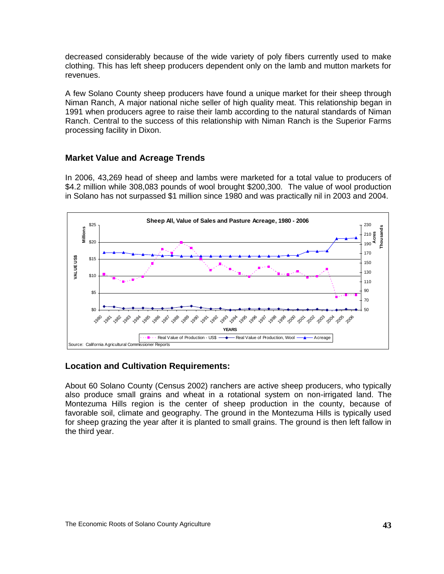decreased considerably because of the wide variety of poly fibers currently used to make clothing. This has left sheep producers dependent only on the lamb and mutton markets for revenues.

A few Solano County sheep producers have found a unique market for their sheep through Niman Ranch, A major national niche seller of high quality meat. This relationship began in 1991 when producers agree to raise their lamb according to the natural standards of Niman Ranch. Central to the success of this relationship with Niman Ranch is the Superior Farms processing facility in Dixon.

### **Market Value and Acreage Trends**

In 2006, 43,269 head of sheep and lambs were marketed for a total value to producers of \$4.2 million while 308,083 pounds of wool brought \$200,300. The value of wool production in Solano has not surpassed \$1 million since 1980 and was practically nil in 2003 and 2004.



## **Location and Cultivation Requirements:**

About 60 Solano County (Census 2002) ranchers are active sheep producers, who typically also produce small grains and wheat in a rotational system on non-irrigated land. The Montezuma Hills region is the center of sheep production in the county, because of favorable soil, climate and geography. The ground in the Montezuma Hills is typically used for sheep grazing the year after it is planted to small grains. The ground is then left fallow in the third year.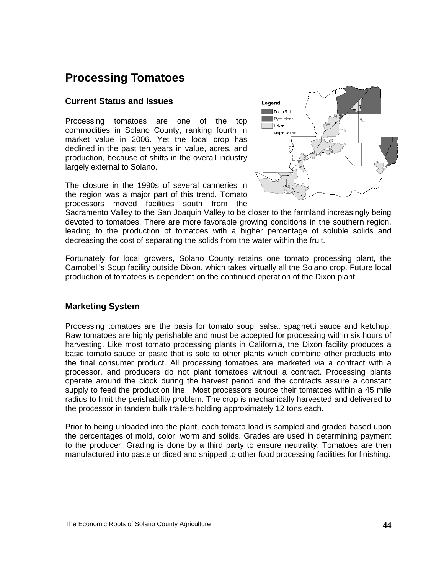## **Processing Tomatoes**

### **Current Status and Issues**

Processing tomatoes are one of the top commodities in Solano County, ranking fourth in market value in 2006. Yet the local crop has declined in the past ten years in value, acres, and production, because of shifts in the overall industry largely external to Solano.

The closure in the 1990s of several canneries in the region was a major part of this trend. Tomato processors moved facilities south from the

<span id="page-48-0"></span>

Sacramento Valley to the San Joaquin Valley to be closer to the farmland increasingly being devoted to tomatoes. There are more favorable growing conditions in the southern region, leading to the production of tomatoes with a higher percentage of soluble solids and decreasing the cost of separating the solids from the water within the fruit.

Fortunately for local growers, Solano County retains one tomato processing plant, the Campbell's Soup facility outside Dixon, which takes virtually all the Solano crop. Future local production of tomatoes is dependent on the continued operation of the Dixon plant.

### **Marketing System**

Processing tomatoes are the basis for tomato soup, salsa, spaghetti sauce and ketchup. Raw tomatoes are highly perishable and must be accepted for processing within six hours of harvesting. Like most tomato processing plants in California, the Dixon facility produces a basic tomato sauce or paste that is sold to other plants which combine other products into the final consumer product. All processing tomatoes are marketed via a contract with a processor, and producers do not plant tomatoes without a contract. Processing plants operate around the clock during the harvest period and the contracts assure a constant supply to feed the production line. Most processors source their tomatoes within a 45 mile radius to limit the perishability problem. The crop is mechanically harvested and delivered to the processor in tandem bulk trailers holding approximately 12 tons each.

Prior to being unloaded into the plant, each tomato load is sampled and graded based upon the percentages of mold, color, worm and solids. Grades are used in determining payment to the producer. Grading is done by a third party to ensure neutrality. Tomatoes are then manufactured into paste or diced and shipped to other food processing facilities for finishing**.**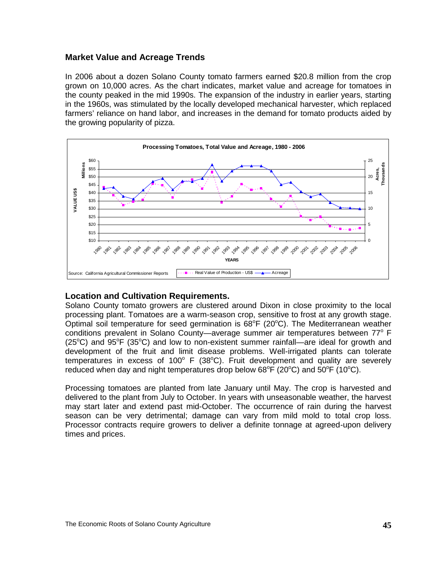#### **Market Value and Acreage Trends**

In 2006 about a dozen Solano County tomato farmers earned \$20.8 million from the crop grown on 10,000 acres. As the chart indicates, market value and acreage for tomatoes in the county peaked in the mid 1990s. The expansion of the industry in earlier years, starting in the 1960s, was stimulated by the locally developed mechanical harvester, which replaced farmers' reliance on hand labor, and increases in the demand for tomato products aided by the growing popularity of pizza.



#### **Location and Cultivation Requirements.**

Solano County tomato growers are clustered around Dixon in close proximity to the local processing plant. Tomatoes are a warm-season crop, sensitive to frost at any growth stage. Optimal soil temperature for seed germination is  $68^{\circ}F$  (20 $^{\circ}C$ ). The Mediterranean weather conditions prevalent in Solano County—average summer air temperatures between  $77^\circ$  F ( $25^{\circ}$ C) and  $95^{\circ}$ F ( $35^{\circ}$ C) and low to non-existent summer rainfall—are ideal for growth and development of the fruit and limit disease problems. Well-irrigated plants can tolerate temperatures in excess of 100 $^{\circ}$  F (38 $^{\circ}$ C). Fruit development and quality are severely reduced when day and night temperatures drop below  $68^{\circ}F(20^{\circ}C)$  and  $50^{\circ}F(10^{\circ}C)$ .

Processing tomatoes are planted from late January until May. The crop is harvested and delivered to the plant from July to October. In years with unseasonable weather, the harvest may start later and extend past mid-October. The occurrence of rain during the harvest season can be very detrimental; damage can vary from mild mold to total crop loss. Processor contracts require growers to deliver a definite tonnage at agreed-upon delivery times and prices.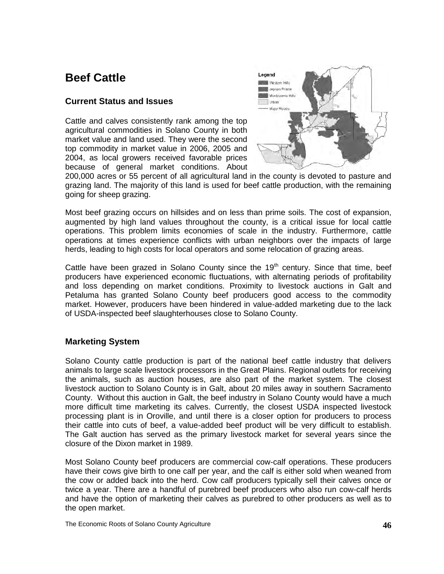## **Beef Cattle**

## **Current Status and Issues**

Cattle and calves consistently rank among the top agricultural commodities in Solano County in both market value and land used. They were the second top commodity in market value in 2006, 2005 and 2004, as local growers received favorable prices because of general market conditions. About

<span id="page-50-0"></span>

200,000 acres or 55 percent of all agricultural land in the county is devoted to pasture and grazing land. The majority of this land is used for beef cattle production, with the remaining going for sheep grazing.

Most beef grazing occurs on hillsides and on less than prime soils. The cost of expansion, augmented by high land values throughout the county, is a critical issue for local cattle operations. This problem limits economies of scale in the industry. Furthermore, cattle operations at times experience conflicts with urban neighbors over the impacts of large herds, leading to high costs for local operators and some relocation of grazing areas.

Cattle have been grazed in Solano County since the  $19<sup>th</sup>$  century. Since that time, beef producers have experienced economic fluctuations, with alternating periods of profitability and loss depending on market conditions. Proximity to livestock auctions in Galt and Petaluma has granted Solano County beef producers good access to the commodity market. However, producers have been hindered in value-added marketing due to the lack of USDA-inspected beef slaughterhouses close to Solano County.

### **Marketing System**

Solano County cattle production is part of the national beef cattle industry that delivers animals to large scale livestock processors in the Great Plains. Regional outlets for receiving the animals, such as auction houses, are also part of the market system. The closest livestock auction to Solano County is in Galt, about 20 miles away in southern Sacramento County. Without this auction in Galt, the beef industry in Solano County would have a much more difficult time marketing its calves. Currently, the closest USDA inspected livestock processing plant is in Oroville, and until there is a closer option for producers to process their cattle into cuts of beef, a value-added beef product will be very difficult to establish. The Galt auction has served as the primary livestock market for several years since the closure of the Dixon market in 1989.

Most Solano County beef producers are commercial cow-calf operations. These producers have their cows give birth to one calf per year, and the calf is either sold when weaned from the cow or added back into the herd. Cow calf producers typically sell their calves once or twice a year. There are a handful of purebred beef producers who also run cow-calf herds and have the option of marketing their calves as purebred to other producers as well as to the open market.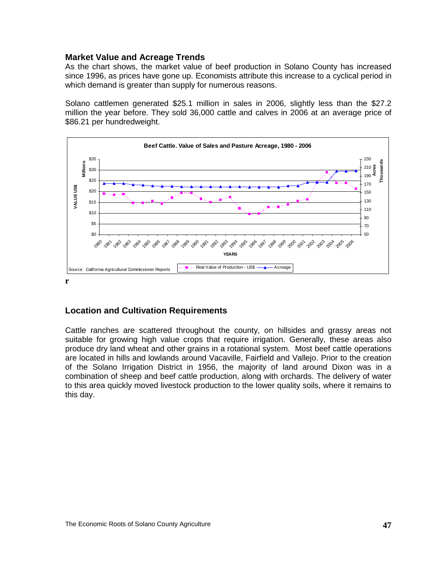#### **Market Value and Acreage Trends**

As the chart shows, the market value of beef production in Solano County has increased since 1996, as prices have gone up. Economists attribute this increase to a cyclical period in which demand is greater than supply for numerous reasons.

Solano cattlemen generated \$25.1 million in sales in 2006, slightly less than the \$27.2 million the year before. They sold 36,000 cattle and calves in 2006 at an average price of \$86.21 per hundredweight.



### **Location and Cultivation Requirements**

Cattle ranches are scattered throughout the county, on hillsides and grassy areas not suitable for growing high value crops that require irrigation. Generally, these areas also produce dry land wheat and other grains in a rotational system. Most beef cattle operations are located in hills and lowlands around Vacaville, Fairfield and Vallejo. Prior to the creation of the Solano Irrigation District in 1956, the majority of land around Dixon was in a combination of sheep and beef cattle production, along with orchards. The delivery of water to this area quickly moved livestock production to the lower quality soils, where it remains to this day.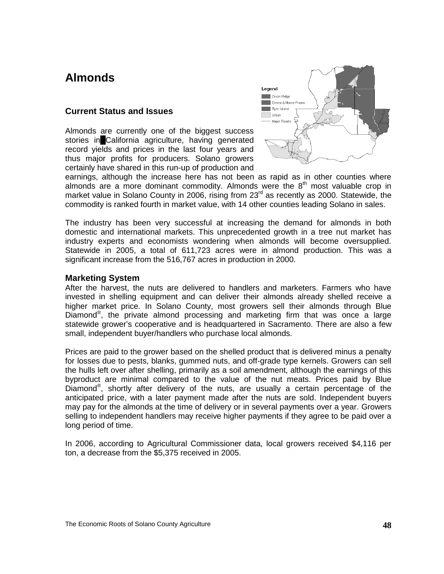## <span id="page-52-0"></span>**Almonds**

#### **Current Status and Issues**

Almonds are currently one of the biggest success stories in California agriculture, having generated record yields and prices in the last four years and thus major profits for producers. Solano growers certainly have shared in this run-up of production and



earnings, although the increase here has not been as rapid as in other counties where almonds are a more dominant commodity. Almonds were the  $8<sup>th</sup>$  most valuable crop in market value in Solano County in 2006, rising from 23<sup>rd</sup> as recently as 2000. Statewide, the commodity is ranked fourth in market value, with 14 other counties leading Solano in sales.

The industry has been very successful at increasing the demand for almonds in both domestic and international markets. This unprecedented growth in a tree nut market has industry experts and economists wondering when almonds will become oversupplied. Statewide in 2005, a total of 611,723 acres were in almond production. This was a significant increase from the 516,767 acres in production in 2000.

#### **Marketing System**

After the harvest, the nuts are delivered to handlers and marketers. Farmers who have invested in shelling equipment and can deliver their almonds already shelled receive a higher market price. In Solano County, most growers sell their almonds through Blue Diamond® , the private almond processing and marketing firm that was once a large statewide grower's cooperative and is headquartered in Sacramento. There are also a few small, independent buyer/handlers who purchase local almonds.

Prices are paid to the grower based on the shelled product that is delivered minus a penalty for losses due to pests, blanks, gummed nuts, and off-grade type kernels. Growers can sell the hulls left over after shelling, primarily as a soil amendment, although the earnings of this byproduct are minimal compared to the value of the nut meats. Prices paid by Blue Diamond® , shortly after delivery of the nuts, are usually a certain percentage of the anticipated price, with a later payment made after the nuts are sold. Independent buyers may pay for the almonds at the time of delivery or in several payments over a year. Growers selling to independent handlers may receive higher payments if they agree to be paid over a long period of time.

In 2006, according to Agricultural Commissioner data, local growers received \$4,116 per ton, a decrease from the \$5,375 received in 2005.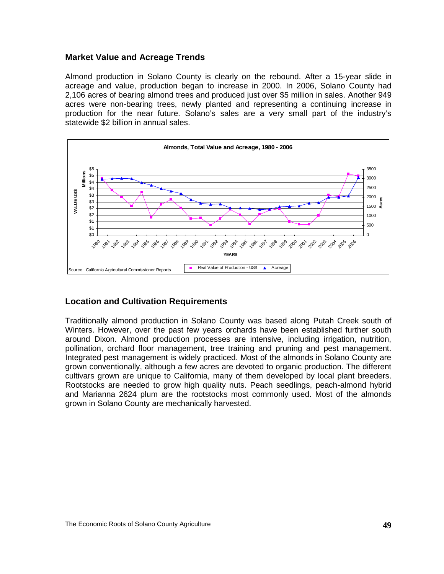#### **Market Value and Acreage Trends**

Almond production in Solano County is clearly on the rebound. After a 15-year slide in acreage and value, production began to increase in 2000. In 2006, Solano County had 2,106 acres of bearing almond trees and produced just over \$5 million in sales. Another 949 acres were non-bearing trees, newly planted and representing a continuing increase in production for the near future. Solano's sales are a very small part of the industry's statewide \$2 billion in annual sales.



### **Location and Cultivation Requirements**

Traditionally almond production in Solano County was based along Putah Creek south of Winters. However, over the past few years orchards have been established further south around Dixon. Almond production processes are intensive, including irrigation, nutrition, pollination, orchard floor management, tree training and pruning and pest management. Integrated pest management is widely practiced. Most of the almonds in Solano County are grown conventionally, although a few acres are devoted to organic production. The different cultivars grown are unique to California, many of them developed by local plant breeders. Rootstocks are needed to grow high quality nuts. Peach seedlings, peach-almond hybrid and Marianna 2624 plum are the rootstocks most commonly used. Most of the almonds grown in Solano County are mechanically harvested.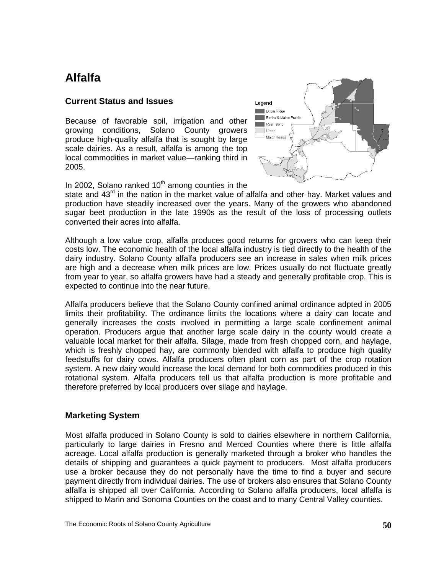## <span id="page-54-0"></span>**Alfalfa**

#### **Current Status and Issues**

Because of favorable soil, irrigation and other growing conditions, Solano County growers produce high-quality alfalfa that is sought by large scale dairies. As a result, alfalfa is among the top local commodities in market value—ranking third in 2005.



In 2002, Solano ranked  $10<sup>th</sup>$  among counties in the

state and  $43<sup>rd</sup>$  in the nation in the market value of alfalfa and other hay. Market values and production have steadily increased over the years. Many of the growers who abandoned sugar beet production in the late 1990s as the result of the loss of processing outlets converted their acres into alfalfa.

Although a low value crop, alfalfa produces good returns for growers who can keep their costs low. The economic health of the local alfalfa industry is tied directly to the health of the dairy industry. Solano County alfalfa producers see an increase in sales when milk prices are high and a decrease when milk prices are low. Prices usually do not fluctuate greatly from year to year, so alfalfa growers have had a steady and generally profitable crop. This is expected to continue into the near future.

Alfalfa producers believe that the Solano County confined animal ordinance adpted in 2005 limits their profitability. The ordinance limits the locations where a dairy can locate and generally increases the costs involved in permitting a large scale confinement animal operation. Producers argue that another large scale dairy in the county would create a valuable local market for their alfalfa. Silage, made from fresh chopped corn, and haylage, which is freshly chopped hay, are commonly blended with alfalfa to produce high quality feedstuffs for dairy cows. Alfalfa producers often plant corn as part of the crop rotation system. A new dairy would increase the local demand for both commodities produced in this rotational system. Alfalfa producers tell us that alfalfa production is more profitable and therefore preferred by local producers over silage and haylage.

### **Marketing System**

Most alfalfa produced in Solano County is sold to dairies elsewhere in northern California, particularly to large dairies in Fresno and Merced Counties where there is little alfalfa acreage. Local alfalfa production is generally marketed through a broker who handles the details of shipping and guarantees a quick payment to producers. Most alfalfa producers use a broker because they do not personally have the time to find a buyer and secure payment directly from individual dairies. The use of brokers also ensures that Solano County alfalfa is shipped all over California. According to Solano alfalfa producers, local alfalfa is shipped to Marin and Sonoma Counties on the coast and to many Central Valley counties.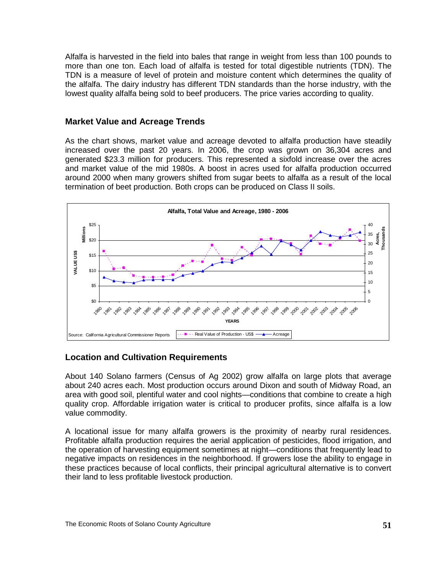Alfalfa is harvested in the field into bales that range in weight from less than 100 pounds to more than one ton. Each load of alfalfa is tested for total digestible nutrients (TDN). The TDN is a measure of level of protein and moisture content which determines the quality of the alfalfa. The dairy industry has different TDN standards than the horse industry, with the lowest quality alfalfa being sold to beef producers. The price varies according to quality.

## **Market Value and Acreage Trends**

As the chart shows, market value and acreage devoted to alfalfa production have steadily increased over the past 20 years. In 2006, the crop was grown on 36,304 acres and generated \$23.3 million for producers. This represented a sixfold increase over the acres and market value of the mid 1980s. A boost in acres used for alfalfa production occurred around 2000 when many growers shifted from sugar beets to alfalfa as a result of the local termination of beet production. Both crops can be produced on Class II soils.



### **Location and Cultivation Requirements**

About 140 Solano farmers (Census of Ag 2002) grow alfalfa on large plots that average about 240 acres each. Most production occurs around Dixon and south of Midway Road, an area with good soil, plentiful water and cool nights—conditions that combine to create a high quality crop. Affordable irrigation water is critical to producer profits, since alfalfa is a low value commodity.

A locational issue for many alfalfa growers is the proximity of nearby rural residences. Profitable alfalfa production requires the aerial application of pesticides, flood irrigation, and the operation of harvesting equipment sometimes at night—conditions that frequently lead to negative impacts on residences in the neighborhood. If growers lose the ability to engage in these practices because of local conflicts, their principal agricultural alternative is to convert their land to less profitable livestock production.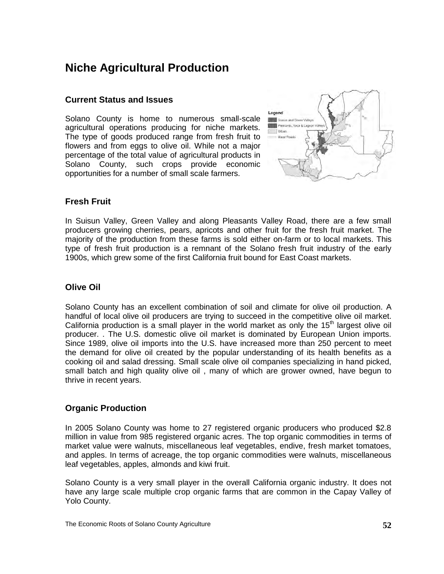## **Niche Agricultural Production**

### **Current Status and Issues**

Solano County is home to numerous small-scale agricultural operations producing for niche markets. The type of goods produced range from fresh fruit to flowers and from eggs to olive oil. While not a major percentage of the total value of agricultural products in Solano County, such crops provide economic opportunities for a number of small scale farmers.

<span id="page-56-0"></span>

## **Fresh Fruit**

In Suisun Valley, Green Valley and along Pleasants Valley Road, there are a few small producers growing cherries, pears, apricots and other fruit for the fresh fruit market. The majority of the production from these farms is sold either on-farm or to local markets. This type of fresh fruit production is a remnant of the Solano fresh fruit industry of the early 1900s, which grew some of the first California fruit bound for East Coast markets.

## **Olive Oil**

Solano County has an excellent combination of soil and climate for olive oil production. A handful of local olive oil producers are trying to succeed in the competitive olive oil market. California production is a small player in the world market as only the  $15<sup>th</sup>$  largest olive oil producer. . The U.S. domestic olive oil market is dominated by European Union imports. Since 1989, olive oil imports into the U.S. have increased more than 250 percent to meet the demand for olive oil created by the popular understanding of its health benefits as a cooking oil and salad dressing. Small scale olive oil companies specializing in hand picked, small batch and high quality olive oil , many of which are grower owned, have begun to thrive in recent years.

### **Organic Production**

In 2005 Solano County was home to 27 registered organic producers who produced \$2.8 million in value from 985 registered organic acres. The top organic commodities in terms of market value were walnuts, miscellaneous leaf vegetables, endive, fresh market tomatoes, and apples. In terms of acreage, the top organic commodities were walnuts, miscellaneous leaf vegetables, apples, almonds and kiwi fruit.

Solano County is a very small player in the overall California organic industry. It does not have any large scale multiple crop organic farms that are common in the Capay Valley of Yolo County.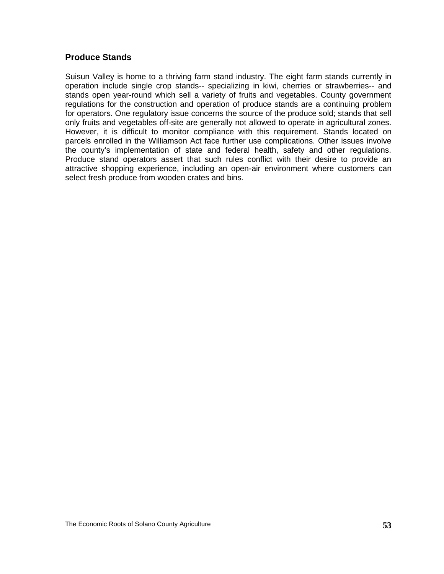#### **Produce Stands**

Suisun Valley is home to a thriving farm stand industry. The eight farm stands currently in operation include single crop stands-- specializing in kiwi, cherries or strawberries-- and stands open year-round which sell a variety of fruits and vegetables. County government regulations for the construction and operation of produce stands are a continuing problem for operators. One regulatory issue concerns the source of the produce sold; stands that sell only fruits and vegetables off-site are generally not allowed to operate in agricultural zones. However, it is difficult to monitor compliance with this requirement. Stands located on parcels enrolled in the Williamson Act face further use complications. Other issues involve the county's implementation of state and federal health, safety and other regulations. Produce stand operators assert that such rules conflict with their desire to provide an attractive shopping experience, including an open-air environment where customers can select fresh produce from wooden crates and bins.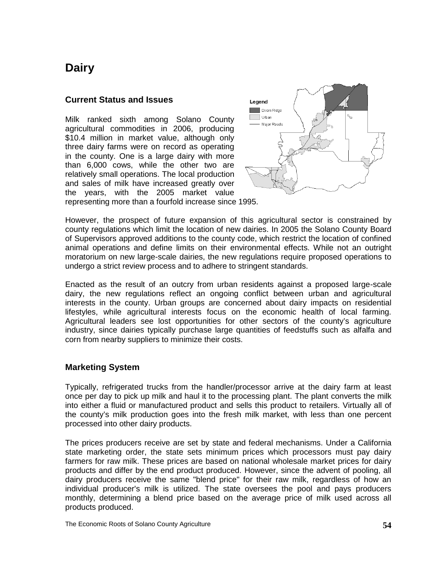## <span id="page-58-0"></span>**Dairy**

#### **Current Status and Issues**

Milk ranked sixth among Solano County agricultural commodities in 2006, producing \$10.4 million in market value, although only three dairy farms were on record as operating in the county. One is a large dairy with more than 6,000 cows, while the other two are relatively small operations. The local production and sales of milk have increased greatly over the years, with the 2005 market value



representing more than a fourfold increase since 1995.

However, the prospect of future expansion of this agricultural sector is constrained by county regulations which limit the location of new dairies. In 2005 the Solano County Board of Supervisors approved additions to the county code, which restrict the location of confined animal operations and define limits on their environmental effects. While not an outright moratorium on new large-scale dairies, the new regulations require proposed operations to undergo a strict review process and to adhere to stringent standards.

Enacted as the result of an outcry from urban residents against a proposed large-scale dairy, the new regulations reflect an ongoing conflict between urban and agricultural interests in the county. Urban groups are concerned about dairy impacts on residential lifestyles, while agricultural interests focus on the economic health of local farming. Agricultural leaders see lost opportunities for other sectors of the county's agriculture industry, since dairies typically purchase large quantities of feedstuffs such as alfalfa and corn from nearby suppliers to minimize their costs.

### **Marketing System**

Typically, refrigerated trucks from the handler/processor arrive at the dairy farm at least once per day to pick up milk and haul it to the processing plant. The plant converts the milk into either a fluid or manufactured product and sells this product to retailers. Virtually all of the county's milk production goes into the fresh milk market, with less than one percent processed into other dairy products.

The prices producers receive are set by state and federal mechanisms. Under a California state marketing order, the state sets minimum prices which processors must pay dairy farmers for raw milk. These prices are based on national wholesale market prices for dairy products and differ by the end product produced. However, since the advent of pooling, all dairy producers receive the same "blend price" for their raw milk, regardless of how an individual producer's milk is utilized. The state oversees the pool and pays producers monthly, determining a blend price based on the average price of milk used across all products produced.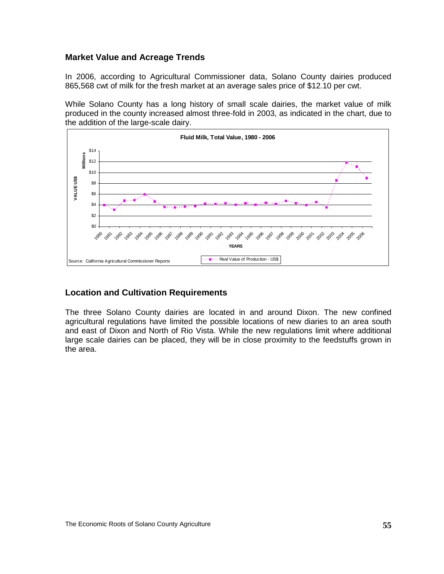### **Market Value and Acreage Trends**

In 2006, according to Agricultural Commissioner data, Solano County dairies produced 865,568 cwt of milk for the fresh market at an average sales price of \$12.10 per cwt.

While Solano County has a long history of small scale dairies, the market value of milk produced in the county increased almost three-fold in 2003, as indicated in the chart, due to the addition of the large-scale dairy.



### **Location and Cultivation Requirements**

The three Solano County dairies are located in and around Dixon. The new confined agricultural regulations have limited the possible locations of new diaries to an area south and east of Dixon and North of Rio Vista. While the new regulations limit where additional large scale dairies can be placed, they will be in close proximity to the feedstuffs grown in the area.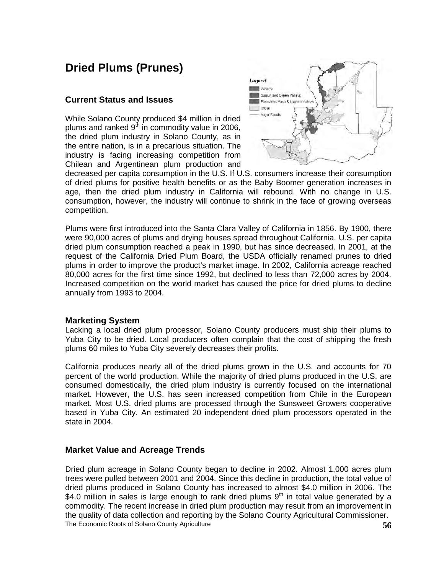## <span id="page-60-0"></span>**Dried Plums (Prunes)**

#### **Current Status and Issues**

While Solano County produced \$4 million in dried plums and ranked  $9<sup>th</sup>$  in commodity value in 2006, the dried plum industry in Solano County, as in the entire nation, is in a precarious situation. The industry is facing increasing competition from Chilean and Argentinean plum production and



decreased per capita consumption in the U.S. If U.S. consumers increase their consumption of dried plums for positive health benefits or as the Baby Boomer generation increases in age, then the dried plum industry in California will rebound. With no change in U.S. consumption, however, the industry will continue to shrink in the face of growing overseas competition.

Plums were first introduced into the Santa Clara Valley of California in 1856. By 1900, there were 90,000 acres of plums and drying houses spread throughout California. U.S. per capita dried plum consumption reached a peak in 1990, but has since decreased. In 2001, at the request of the California Dried Plum Board, the USDA officially renamed prunes to dried plums in order to improve the product's market image. In 2002, California acreage reached 80,000 acres for the first time since 1992, but declined to less than 72,000 acres by 2004. Increased competition on the world market has caused the price for dried plums to decline annually from 1993 to 2004.

#### **Marketing System**

Lacking a local dried plum processor, Solano County producers must ship their plums to Yuba City to be dried. Local producers often complain that the cost of shipping the fresh plums 60 miles to Yuba City severely decreases their profits.

California produces nearly all of the dried plums grown in the U.S. and accounts for 70 percent of the world production. While the majority of dried plums produced in the U.S. are consumed domestically, the dried plum industry is currently focused on the international market. However, the U.S. has seen increased competition from Chile in the European market. Most U.S. dried plums are processed through the Sunsweet Growers cooperative based in Yuba City. An estimated 20 independent dried plum processors operated in the state in 2004.

### **Market Value and Acreage Trends**

The Economic Roots of Solano County Agriculture **56** Dried plum acreage in Solano County began to decline in 2002. Almost 1,000 acres plum trees were pulled between 2001 and 2004. Since this decline in production, the total value of dried plums produced in Solano County has increased to almost \$4.0 million in 2006. The \$4.0 million in sales is large enough to rank dried plums  $9<sup>th</sup>$  in total value generated by a commodity. The recent increase in dried plum production may result from an improvement in the quality of data collection and reporting by the Solano County Agricultural Commissioner.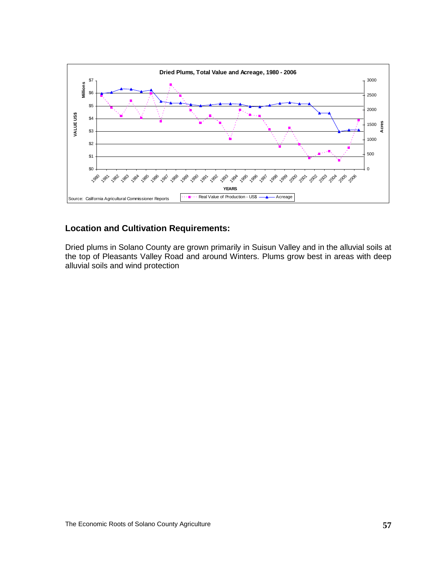

## **Location and Cultivation Requirements:**

Dried plums in Solano County are grown primarily in Suisun Valley and in the alluvial soils at the top of Pleasants Valley Road and around Winters. Plums grow best in areas with deep alluvial soils and wind protection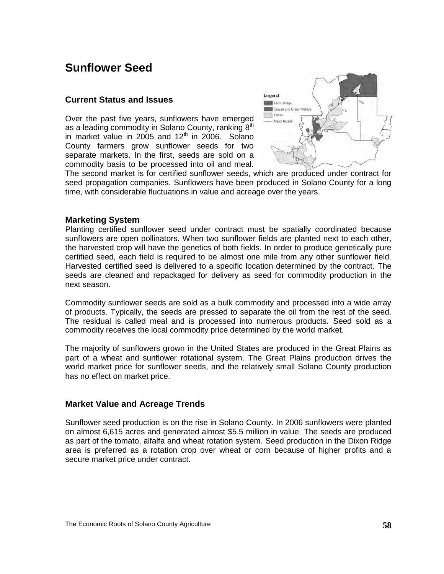## **Sunflower Seed**

#### **Current Status and Issues**

Over the past five years, sunflowers have emerged as a leading commodity in Solano County, ranking  $8<sup>th</sup>$ in market value in 2005 and  $12<sup>th</sup>$  in 2006. Solano County farmers grow sunflower seeds for two separate markets. In the first, seeds are sold on a commodity basis to be processed into oil and meal.

<span id="page-62-0"></span>

The second market is for certified sunflower seeds, which are produced under contract for seed propagation companies. Sunflowers have been produced in Solano County for a long time, with considerable fluctuations in value and acreage over the years.

#### **Marketing System**

Planting certified sunflower seed under contract must be spatially coordinated because sunflowers are open pollinators. When two sunflower fields are planted next to each other, the harvested crop will have the genetics of both fields. In order to produce genetically pure certified seed, each field is required to be almost one mile from any other sunflower field. Harvested certified seed is delivered to a specific location determined by the contract. The seeds are cleaned and repackaged for delivery as seed for commodity production in the next season.

Commodity sunflower seeds are sold as a bulk commodity and processed into a wide array of products. Typically, the seeds are pressed to separate the oil from the rest of the seed. The residual is called meal and is processed into numerous products. Seed sold as a commodity receives the local commodity price determined by the world market.

The majority of sunflowers grown in the United States are produced in the Great Plains as part of a wheat and sunflower rotational system. The Great Plains production drives the world market price for sunflower seeds, and the relatively small Solano County production has no effect on market price.

#### **Market Value and Acreage Trends**

Sunflower seed production is on the rise in Solano County. In 2006 sunflowers were planted on almost 6,615 acres and generated almost \$5.5 million in value. The seeds are produced as part of the tomato, alfalfa and wheat rotation system. Seed production in the Dixon Ridge area is preferred as a rotation crop over wheat or corn because of higher profits and a secure market price under contract.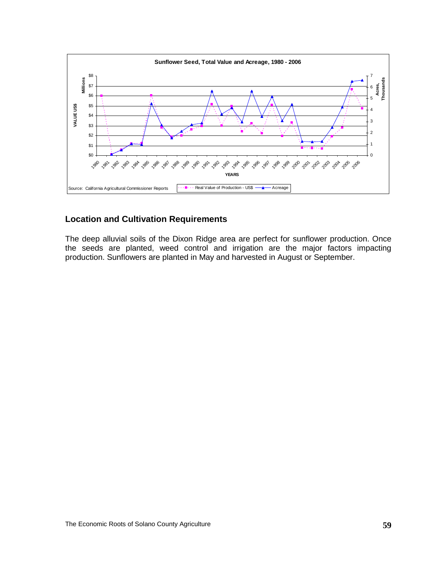

### **Location and Cultivation Requirements**

The deep alluvial soils of the Dixon Ridge area are perfect for sunflower production. Once the seeds are planted, weed control and irrigation are the major factors impacting production. Sunflowers are planted in May and harvested in August or September.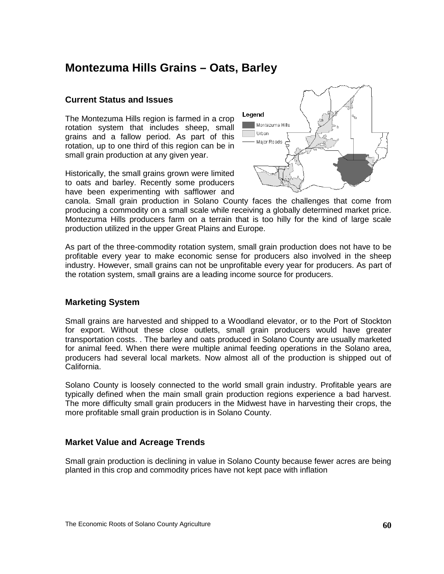## **Montezuma Hills Grains – Oats, Barley**

#### **Current Status and Issues**

The Montezuma Hills region is farmed in a crop rotation system that includes sheep, small grains and a fallow period. As part of this rotation, up to one third of this region can be in small grain production at any given year.

Historically, the small grains grown were limited to oats and barley. Recently some producers have been experimenting with safflower and

<span id="page-64-0"></span>

canola. Small grain production in Solano County faces the challenges that come from producing a commodity on a small scale while receiving a globally determined market price. Montezuma Hills producers farm on a terrain that is too hilly for the kind of large scale production utilized in the upper Great Plains and Europe.

As part of the three-commodity rotation system, small grain production does not have to be profitable every year to make economic sense for producers also involved in the sheep industry. However, small grains can not be unprofitable every year for producers. As part of the rotation system, small grains are a leading income source for producers.

#### **Marketing System**

Small grains are harvested and shipped to a Woodland elevator, or to the Port of Stockton for export. Without these close outlets, small grain producers would have greater transportation costs. . The barley and oats produced in Solano County are usually marketed for animal feed. When there were multiple animal feeding operations in the Solano area, producers had several local markets. Now almost all of the production is shipped out of California.

Solano County is loosely connected to the world small grain industry. Profitable years are typically defined when the main small grain production regions experience a bad harvest. The more difficulty small grain producers in the Midwest have in harvesting their crops, the more profitable small grain production is in Solano County.

### **Market Value and Acreage Trends**

Small grain production is declining in value in Solano County because fewer acres are being planted in this crop and commodity prices have not kept pace with inflation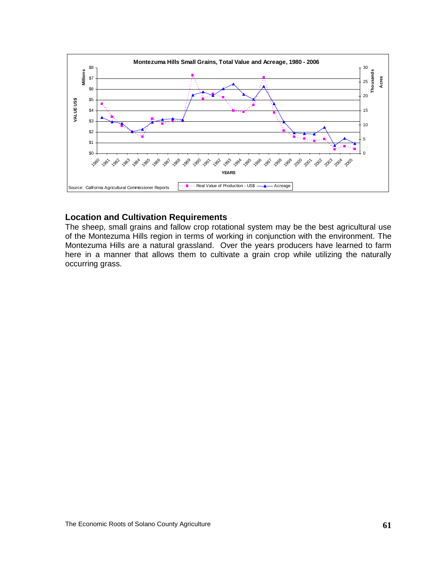

#### **Location and Cultivation Requirements**

The sheep, small grains and fallow crop rotational system may be the best agricultural use of the Montezuma Hills region in terms of working in conjunction with the environment. The Montezuma Hills are a natural grassland. Over the years producers have learned to farm here in a manner that allows them to cultivate a grain crop while utilizing the naturally occurring grass.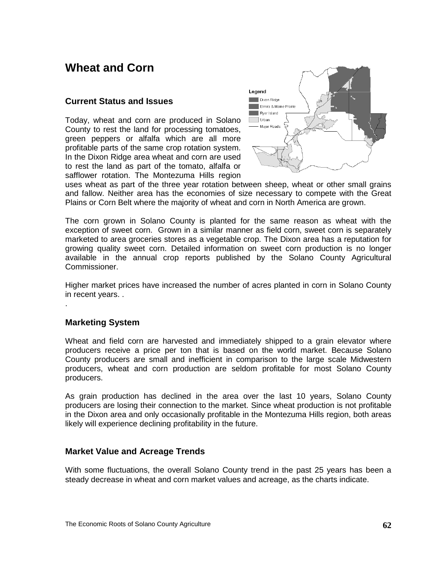## **Wheat and Corn**

#### **Current Status and Issues**

Today, wheat and corn are produced in Solano County to rest the land for processing tomatoes, green peppers or alfalfa which are all more profitable parts of the same crop rotation system. In the Dixon Ridge area wheat and corn are used to rest the land as part of the tomato, alfalfa or safflower rotation. The Montezuma Hills region

<span id="page-66-0"></span>

uses wheat as part of the three year rotation between sheep, wheat or other small grains and fallow. Neither area has the economies of size necessary to compete with the Great Plains or Corn Belt where the majority of wheat and corn in North America are grown.

The corn grown in Solano County is planted for the same reason as wheat with the exception of sweet corn. Grown in a similar manner as field corn, sweet corn is separately marketed to area groceries stores as a vegetable crop. The Dixon area has a reputation for growing quality sweet corn. Detailed information on sweet corn production is no longer available in the annual crop reports published by the Solano County Agricultural Commissioner.

Higher market prices have increased the number of acres planted in corn in Solano County in recent years. .

### **Marketing System**

.

Wheat and field corn are harvested and immediately shipped to a grain elevator where producers receive a price per ton that is based on the world market. Because Solano County producers are small and inefficient in comparison to the large scale Midwestern producers, wheat and corn production are seldom profitable for most Solano County producers.

As grain production has declined in the area over the last 10 years, Solano County producers are losing their connection to the market. Since wheat production is not profitable in the Dixon area and only occasionally profitable in the Montezuma Hills region, both areas likely will experience declining profitability in the future.

### **Market Value and Acreage Trends**

With some fluctuations, the overall Solano County trend in the past 25 years has been a steady decrease in wheat and corn market values and acreage, as the charts indicate.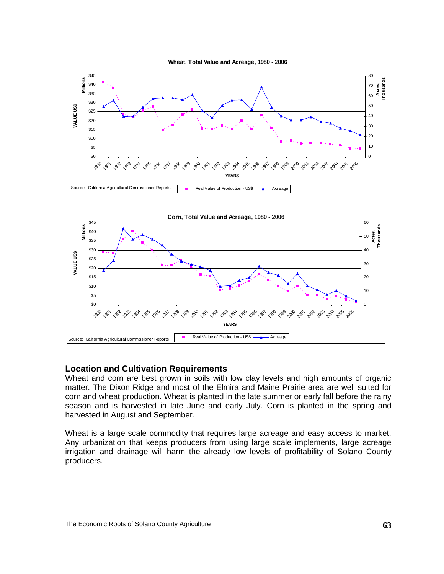



### **Location and Cultivation Requirements**

Wheat and corn are best grown in soils with low clay levels and high amounts of organic matter. The Dixon Ridge and most of the Elmira and Maine Prairie area are well suited for corn and wheat production. Wheat is planted in the late summer or early fall before the rainy season and is harvested in late June and early July. Corn is planted in the spring and harvested in August and September.

Wheat is a large scale commodity that requires large acreage and easy access to market. Any urbanization that keeps producers from using large scale implements, large acreage irrigation and drainage will harm the already low levels of profitability of Solano County producers.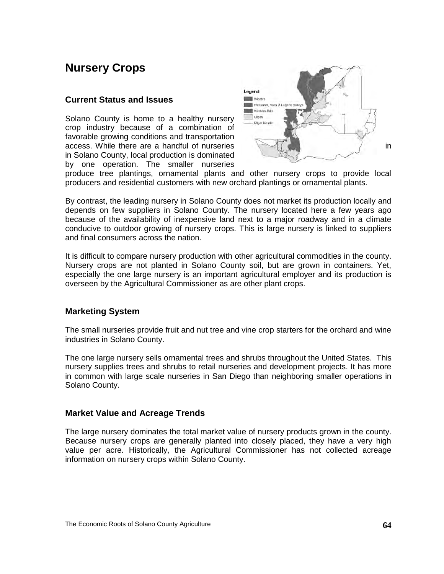## **Nursery Crops**

#### **Current Status and Issues**

Solano County is home to a healthy nursery crop industry because of a combination of favorable growing conditions and transportation access. While there are a handful of nurseries **in the same of the same of the same of the same of the same of the same of the same of the same of the same of the same of the same of the same of the same of the same of the** in Solano County, local production is dominated by one operation. The smaller nurseries

<span id="page-68-0"></span>

produce tree plantings, ornamental plants and other nursery crops to provide local producers and residential customers with new orchard plantings or ornamental plants.

By contrast, the leading nursery in Solano County does not market its production locally and depends on few suppliers in Solano County. The nursery located here a few years ago because of the availability of inexpensive land next to a major roadway and in a climate conducive to outdoor growing of nursery crops. This is large nursery is linked to suppliers and final consumers across the nation.

It is difficult to compare nursery production with other agricultural commodities in the county. Nursery crops are not planted in Solano County soil, but are grown in containers. Yet, especially the one large nursery is an important agricultural employer and its production is overseen by the Agricultural Commissioner as are other plant crops.

#### **Marketing System**

The small nurseries provide fruit and nut tree and vine crop starters for the orchard and wine industries in Solano County.

The one large nursery sells ornamental trees and shrubs throughout the United States. This nursery supplies trees and shrubs to retail nurseries and development projects. It has more in common with large scale nurseries in San Diego than neighboring smaller operations in Solano County.

#### **Market Value and Acreage Trends**

The large nursery dominates the total market value of nursery products grown in the county. Because nursery crops are generally planted into closely placed, they have a very high value per acre. Historically, the Agricultural Commissioner has not collected acreage information on nursery crops within Solano County.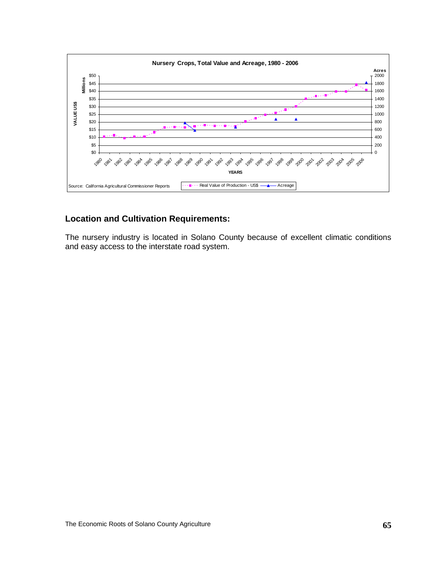

### **Location and Cultivation Requirements:**

The nursery industry is located in Solano County because of excellent climatic conditions and easy access to the interstate road system.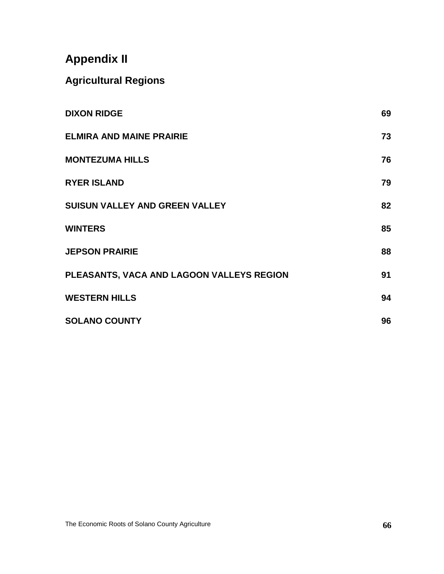# **Appendix II**

## **Agricultural Regions**

| <b>DIXON RIDGE</b>                        | 69 |
|-------------------------------------------|----|
| <b>ELMIRA AND MAINE PRAIRIE</b>           | 73 |
| <b>MONTEZUMA HILLS</b>                    | 76 |
| <b>RYER ISLAND</b>                        | 79 |
| <b>SUISUN VALLEY AND GREEN VALLEY</b>     | 82 |
| <b>WINTERS</b>                            | 85 |
| <b>JEPSON PRAIRIE</b>                     | 88 |
| PLEASANTS, VACA AND LAGOON VALLEYS REGION | 91 |
| <b>WESTERN HILLS</b>                      | 94 |
| <b>SOLANO COUNTY</b>                      | 96 |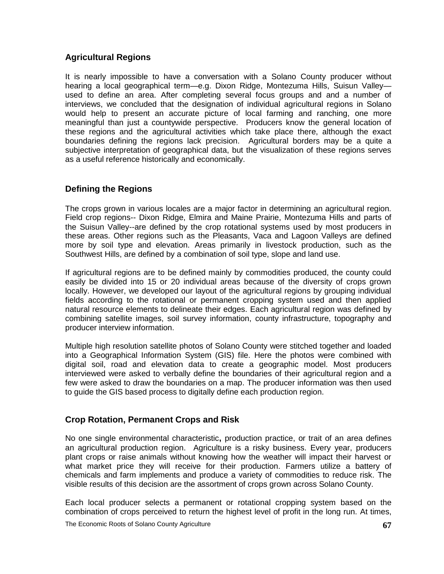## **Agricultural Regions**

It is nearly impossible to have a conversation with a Solano County producer without hearing a local geographical term—e.g. Dixon Ridge, Montezuma Hills, Suisun Valley used to define an area. After completing several focus groups and and a number of interviews, we concluded that the designation of individual agricultural regions in Solano would help to present an accurate picture of local farming and ranching, one more meaningful than just a countywide perspective. Producers know the general location of these regions and the agricultural activities which take place there, although the exact boundaries defining the regions lack precision. Agricultural borders may be a quite a subjective interpretation of geographical data, but the visualization of these regions serves as a useful reference historically and economically.

## **Defining the Regions**

The crops grown in various locales are a major factor in determining an agricultural region. Field crop regions-- Dixon Ridge, Elmira and Maine Prairie, Montezuma Hills and parts of the Suisun Valley--are defined by the crop rotational systems used by most producers in these areas. Other regions such as the Pleasants, Vaca and Lagoon Valleys are defined more by soil type and elevation. Areas primarily in livestock production, such as the Southwest Hills, are defined by a combination of soil type, slope and land use.

If agricultural regions are to be defined mainly by commodities produced, the county could easily be divided into 15 or 20 individual areas because of the diversity of crops grown locally. However, we developed our layout of the agricultural regions by grouping individual fields according to the rotational or permanent cropping system used and then applied natural resource elements to delineate their edges. Each agricultural region was defined by combining satellite images, soil survey information, county infrastructure, topography and producer interview information.

Multiple high resolution satellite photos of Solano County were stitched together and loaded into a Geographical Information System (GIS) file. Here the photos were combined with digital soil, road and elevation data to create a geographic model. Most producers interviewed were asked to verbally define the boundaries of their agricultural region and a few were asked to draw the boundaries on a map. The producer information was then used to guide the GIS based process to digitally define each production region.

## **Crop Rotation, Permanent Crops and Risk**

No one single environmental characteristic**,** production practice, or trait of an area defines an agricultural production region. Agriculture is a risky business. Every year, producers plant crops or raise animals without knowing how the weather will impact their harvest or what market price they will receive for their production. Farmers utilize a battery of chemicals and farm implements and produce a variety of commodities to reduce risk. The visible results of this decision are the assortment of crops grown across Solano County.

Each local producer selects a permanent or rotational cropping system based on the combination of crops perceived to return the highest level of profit in the long run. At times,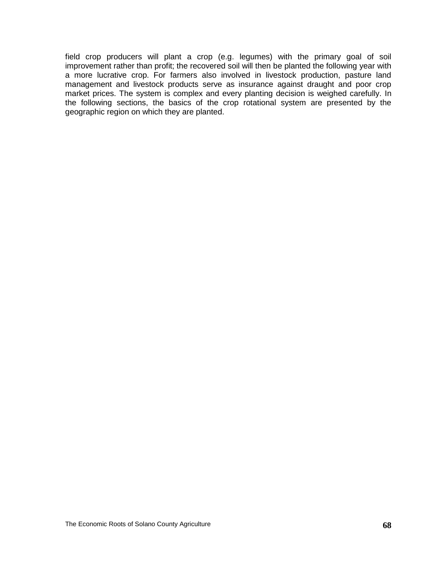field crop producers will plant a crop (e.g. legumes) with the primary goal of soil improvement rather than profit; the recovered soil will then be planted the following year with a more lucrative crop. For farmers also involved in livestock production, pasture land management and livestock products serve as insurance against draught and poor crop market prices. The system is complex and every planting decision is weighed carefully. In the following sections, the basics of the crop rotational system are presented by the geographic region on which they are planted.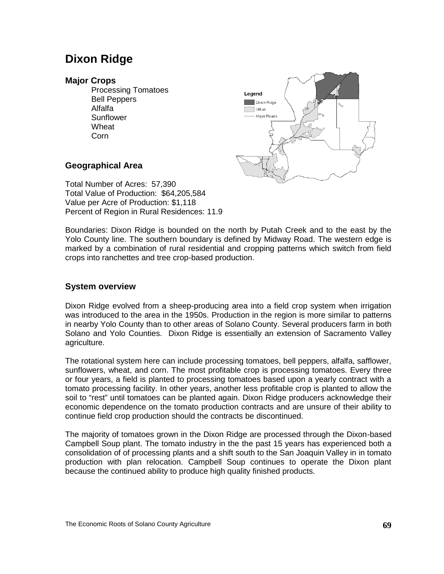## **Dixon Ridge**

#### **Major Crops**

Processing Tomatoes Bell Peppers Alfalfa **Sunflower** Wheat Corn



### **Geographical Area**

Total Number of Acres: 57,390 Total Value of Production: \$64,205,584 Value per Acre of Production: \$1,118 Percent of Region in Rural Residences: 11.9

Boundaries: Dixon Ridge is bounded on the north by Putah Creek and to the east by the Yolo County line. The southern boundary is defined by Midway Road. The western edge is marked by a combination of rural residential and cropping patterns which switch from field crops into ranchettes and tree crop-based production.

### **System overview**

Dixon Ridge evolved from a sheep-producing area into a field crop system when irrigation was introduced to the area in the 1950s. Production in the region is more similar to patterns in nearby Yolo County than to other areas of Solano County. Several producers farm in both Solano and Yolo Counties. Dixon Ridge is essentially an extension of Sacramento Valley agriculture.

The rotational system here can include processing tomatoes, bell peppers, alfalfa, safflower, sunflowers, wheat, and corn. The most profitable crop is processing tomatoes. Every three or four years, a field is planted to processing tomatoes based upon a yearly contract with a tomato processing facility. In other years, another less profitable crop is planted to allow the soil to "rest" until tomatoes can be planted again. Dixon Ridge producers acknowledge their economic dependence on the tomato production contracts and are unsure of their ability to continue field crop production should the contracts be discontinued.

The majority of tomatoes grown in the Dixon Ridge are processed through the Dixon-based Campbell Soup plant. The tomato industry in the the past 15 years has experienced both a consolidation of of processing plants and a shift south to the San Joaquin Valley in in tomato production with plan relocation. Campbell Soup continues to operate the Dixon plant because the continued ability to produce high quality finished products.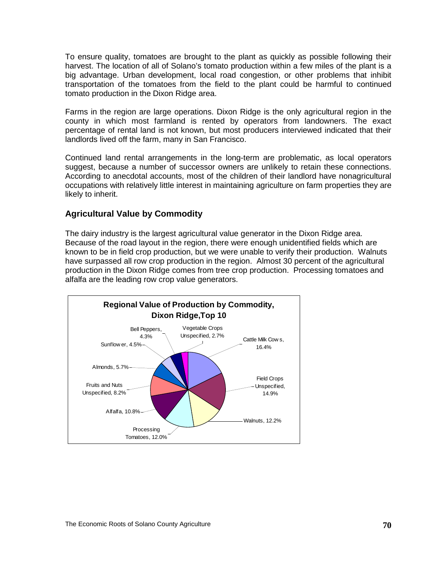To ensure quality, tomatoes are brought to the plant as quickly as possible following their harvest. The location of all of Solano's tomato production within a few miles of the plant is a big advantage. Urban development, local road congestion, or other problems that inhibit transportation of the tomatoes from the field to the plant could be harmful to continued tomato production in the Dixon Ridge area.

Farms in the region are large operations. Dixon Ridge is the only agricultural region in the county in which most farmland is rented by operators from landowners. The exact percentage of rental land is not known, but most producers interviewed indicated that their landlords lived off the farm, many in San Francisco.

Continued land rental arrangements in the long-term are problematic, as local operators suggest, because a number of successor owners are unlikely to retain these connections. According to anecdotal accounts, most of the children of their landlord have nonagricultural occupations with relatively little interest in maintaining agriculture on farm properties they are likely to inherit.

#### **Agricultural Value by Commodity**

The dairy industry is the largest agricultural value generator in the Dixon Ridge area. Because of the road layout in the region, there were enough unidentified fields which are known to be in field crop production, but we were unable to verify their production. Walnuts have surpassed all row crop production in the region. Almost 30 percent of the agricultural production in the Dixon Ridge comes from tree crop production. Processing tomatoes and alfalfa are the leading row crop value generators.

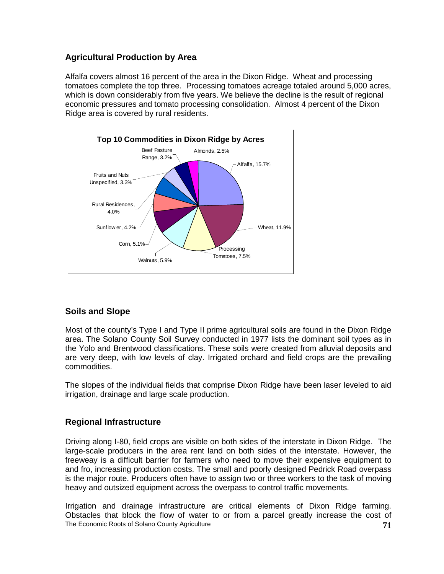## **Agricultural Production by Area**

Alfalfa covers almost 16 percent of the area in the Dixon Ridge. Wheat and processing tomatoes complete the top three. Processing tomatoes acreage totaled around 5,000 acres, which is down considerably from five years. We believe the decline is the result of regional economic pressures and tomato processing consolidation. Almost 4 percent of the Dixon Ridge area is covered by rural residents.



## **Soils and Slope**

Most of the county's Type I and Type II prime agricultural soils are found in the Dixon Ridge area. The Solano County Soil Survey conducted in 1977 lists the dominant soil types as in the Yolo and Brentwood classifications. These soils were created from alluvial deposits and are very deep, with low levels of clay. Irrigated orchard and field crops are the prevailing commodities.

The slopes of the individual fields that comprise Dixon Ridge have been laser leveled to aid irrigation, drainage and large scale production.

#### **Regional Infrastructure**

Driving along I-80, field crops are visible on both sides of the interstate in Dixon Ridge. The large-scale producers in the area rent land on both sides of the interstate. However, the freeweay is a difficult barrier for farmers who need to move their expensive equipment to and fro, increasing production costs. The small and poorly designed Pedrick Road overpass is the major route. Producers often have to assign two or three workers to the task of moving heavy and outsized equipment across the overpass to control traffic movements.

The Economic Roots of Solano County Agriculture **71** Irrigation and drainage infrastructure are critical elements of Dixon Ridge farming. Obstacles that block the flow of water to or from a parcel greatly increase the cost of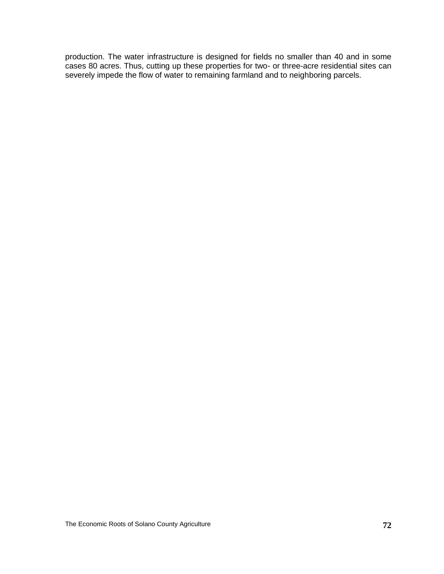production. The water infrastructure is designed for fields no smaller than 40 and in some cases 80 acres. Thus, cutting up these properties for two- or three-acre residential sites can severely impede the flow of water to remaining farmland and to neighboring parcels.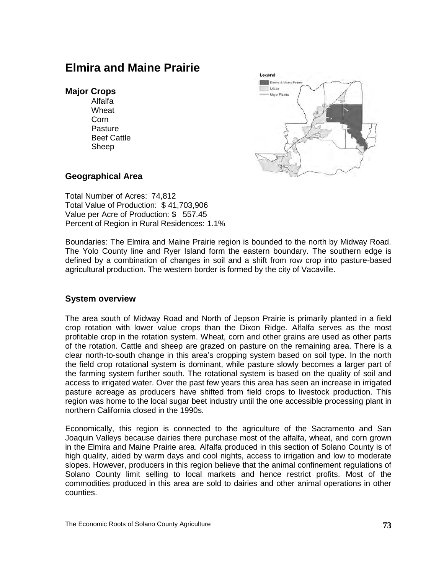## **Elmira and Maine Prairie**

#### **Major Crops**

Alfalfa Wheat Corn **Pasture** Beef Cattle Sheep



#### **Geographical Area**

Total Number of Acres: 74,812 Total Value of Production: \$ 41,703,906 Value per Acre of Production: \$ 557.45 Percent of Region in Rural Residences: 1.1%

Boundaries: The Elmira and Maine Prairie region is bounded to the north by Midway Road. The Yolo County line and Ryer Island form the eastern boundary. The southern edge is defined by a combination of changes in soil and a shift from row crop into pasture-based agricultural production. The western border is formed by the city of Vacaville.

#### **System overview**

The area south of Midway Road and North of Jepson Prairie is primarily planted in a field crop rotation with lower value crops than the Dixon Ridge. Alfalfa serves as the most profitable crop in the rotation system. Wheat, corn and other grains are used as other parts of the rotation. Cattle and sheep are grazed on pasture on the remaining area. There is a clear north-to-south change in this area's cropping system based on soil type. In the north the field crop rotational system is dominant, while pasture slowly becomes a larger part of the farming system further south. The rotational system is based on the quality of soil and access to irrigated water. Over the past few years this area has seen an increase in irrigated pasture acreage as producers have shifted from field crops to livestock production. This region was home to the local sugar beet industry until the one accessible processing plant in northern California closed in the 1990s.

Economically, this region is connected to the agriculture of the Sacramento and San Joaquin Valleys because dairies there purchase most of the alfalfa, wheat, and corn grown in the Elmira and Maine Prairie area. Alfalfa produced in this section of Solano County is of high quality, aided by warm days and cool nights, access to irrigation and low to moderate slopes. However, producers in this region believe that the animal confinement regulations of Solano County limit selling to local markets and hence restrict profits. Most of the commodities produced in this area are sold to dairies and other animal operations in other counties.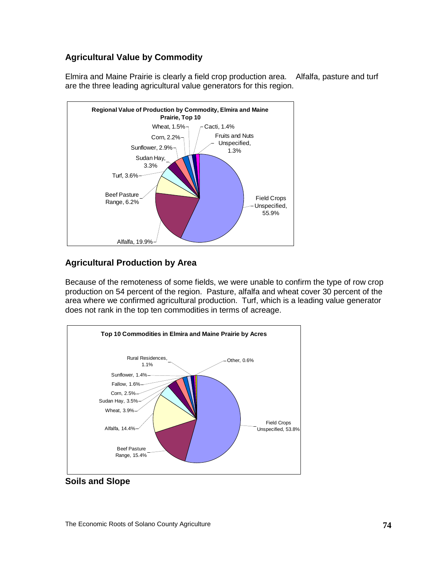## **Agricultural Value by Commodity**

Elmira and Maine Prairie is clearly a field crop production area. Alfalfa, pasture and turf are the three leading agricultural value generators for this region.



## **Agricultural Production by Area**

Because of the remoteness of some fields, we were unable to confirm the type of row crop production on 54 percent of the region. Pasture, alfalfa and wheat cover 30 percent of the area where we confirmed agricultural production. Turf, which is a leading value generator does not rank in the top ten commodities in terms of acreage.



**Soils and Slope**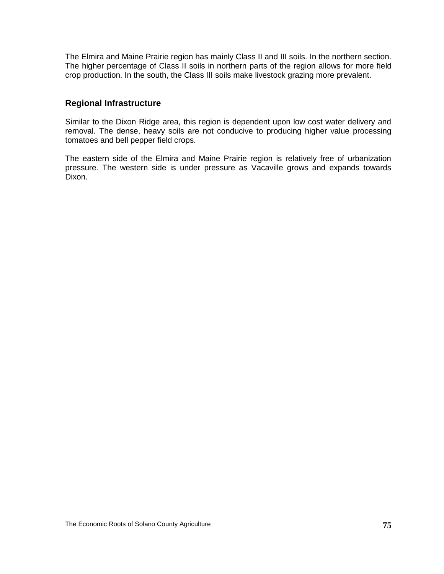The Elmira and Maine Prairie region has mainly Class II and III soils. In the northern section. The higher percentage of Class II soils in northern parts of the region allows for more field crop production. In the south, the Class III soils make livestock grazing more prevalent.

#### **Regional Infrastructure**

Similar to the Dixon Ridge area, this region is dependent upon low cost water delivery and removal. The dense, heavy soils are not conducive to producing higher value processing tomatoes and bell pepper field crops.

The eastern side of the Elmira and Maine Prairie region is relatively free of urbanization pressure. The western side is under pressure as Vacaville grows and expands towards Dixon.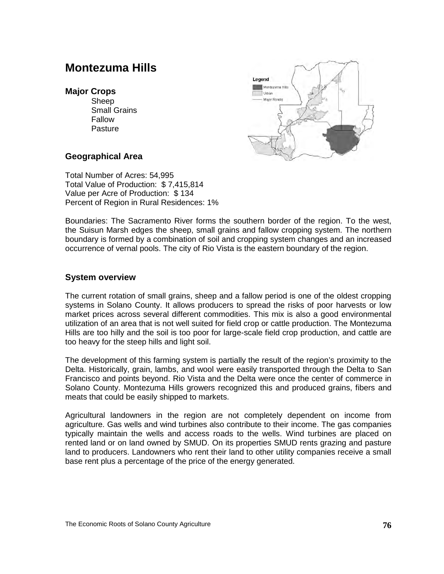## **Montezuma Hills**

#### **Major Crops**

Sheep Small Grains Fallow **Pasture** 



#### **Geographical Area**

Total Number of Acres: 54,995 Total Value of Production: \$ 7,415,814 Value per Acre of Production: \$ 134 Percent of Region in Rural Residences: 1%

Boundaries: The Sacramento River forms the southern border of the region. To the west, the Suisun Marsh edges the sheep, small grains and fallow cropping system. The northern boundary is formed by a combination of soil and cropping system changes and an increased occurrence of vernal pools. The city of Rio Vista is the eastern boundary of the region.

#### **System overview**

The current rotation of small grains, sheep and a fallow period is one of the oldest cropping systems in Solano County. It allows producers to spread the risks of poor harvests or low market prices across several different commodities. This mix is also a good environmental utilization of an area that is not well suited for field crop or cattle production. The Montezuma Hills are too hilly and the soil is too poor for large-scale field crop production, and cattle are too heavy for the steep hills and light soil.

The development of this farming system is partially the result of the region's proximity to the Delta. Historically, grain, lambs, and wool were easily transported through the Delta to San Francisco and points beyond. Rio Vista and the Delta were once the center of commerce in Solano County. Montezuma Hills growers recognized this and produced grains, fibers and meats that could be easily shipped to markets.

Agricultural landowners in the region are not completely dependent on income from agriculture. Gas wells and wind turbines also contribute to their income. The gas companies typically maintain the wells and access roads to the wells. Wind turbines are placed on rented land or on land owned by SMUD. On its properties SMUD rents grazing and pasture land to producers. Landowners who rent their land to other utility companies receive a small base rent plus a percentage of the price of the energy generated.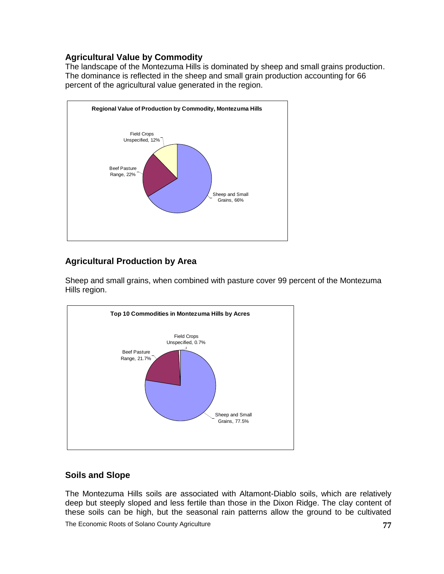## **Agricultural Value by Commodity**

The landscape of the Montezuma Hills is dominated by sheep and small grains production. The dominance is reflected in the sheep and small grain production accounting for 66 percent of the agricultural value generated in the region.



## **Agricultural Production by Area**

Sheep and small grains, when combined with pasture cover 99 percent of the Montezuma Hills region.



## **Soils and Slope**

The Montezuma Hills soils are associated with Altamont-Diablo soils, which are relatively deep but steeply sloped and less fertile than those in the Dixon Ridge. The clay content of these soils can be high, but the seasonal rain patterns allow the ground to be cultivated

The Economic Roots of Solano County Agriculture **77**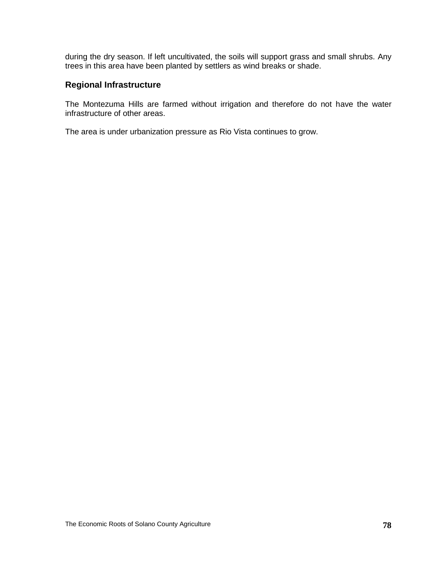during the dry season. If left uncultivated, the soils will support grass and small shrubs. Any trees in this area have been planted by settlers as wind breaks or shade.

### **Regional Infrastructure**

The Montezuma Hills are farmed without irrigation and therefore do not have the water infrastructure of other areas.

The area is under urbanization pressure as Rio Vista continues to grow.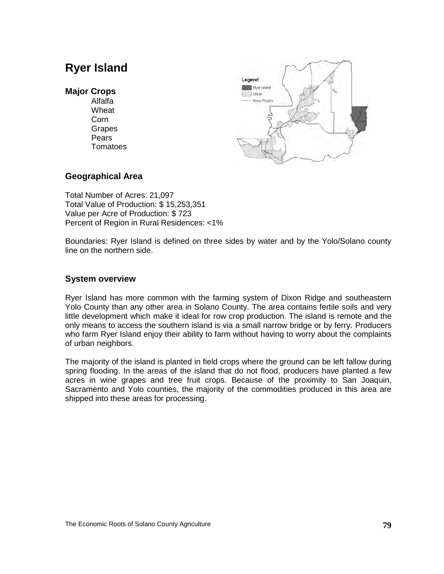## **Ryer Island**

#### **Major Crops**

Alfalfa Wheat Corn **Grapes** Pears **Tomatoes** 



#### **Geographical Area**

Total Number of Acres: 21,097 Total Value of Production: \$ 15,253,351 Value per Acre of Production: \$ 723 Percent of Region in Rural Residences: <1%

Boundaries: Ryer Island is defined on three sides by water and by the Yolo/Solano county line on the northern side.

#### **System overview**

Ryer Island has more common with the farming system of Dixon Ridge and southeastern Yolo County than any other area in Solano County. The area contains fertile soils and very little development which make it ideal for row crop production. The island is remote and the only means to access the southern island is via a small narrow bridge or by ferry. Producers who farm Ryer Island enjoy their ability to farm without having to worry about the complaints of urban neighbors.

The majority of the island is planted in field crops where the ground can be left fallow during spring flooding. In the areas of the island that do not flood, producers have planted a few acres in wine grapes and tree fruit crops. Because of the proximity to San Joaquin, Sacramento and Yolo counties, the majority of the commodities produced in this area are shipped into these areas for processing.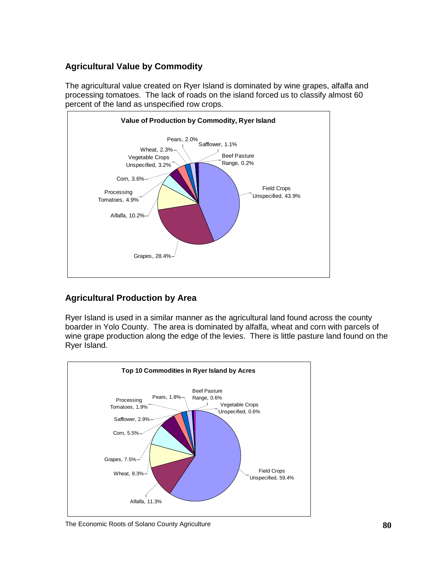## **Agricultural Value by Commodity**

The agricultural value created on Ryer Island is dominated by wine grapes, alfalfa and processing tomatoes. The lack of roads on the island forced us to classify almost 60 percent of the land as unspecified row crops.



## **Agricultural Production by Area**

Ryer Island is used in a similar manner as the agricultural land found across the county boarder in Yolo County. The area is dominated by alfalfa, wheat and corn with parcels of wine grape production along the edge of the levies. There is little pasture land found on the Ryer Island.



The Economic Roots of Solano County Agriculture **80**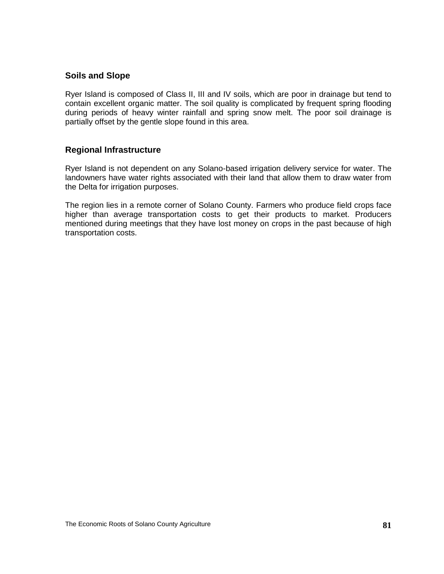#### **Soils and Slope**

Ryer Island is composed of Class II, III and IV soils, which are poor in drainage but tend to contain excellent organic matter. The soil quality is complicated by frequent spring flooding during periods of heavy winter rainfall and spring snow melt. The poor soil drainage is partially offset by the gentle slope found in this area.

#### **Regional Infrastructure**

Ryer Island is not dependent on any Solano-based irrigation delivery service for water. The landowners have water rights associated with their land that allow them to draw water from the Delta for irrigation purposes.

The region lies in a remote corner of Solano County. Farmers who produce field crops face higher than average transportation costs to get their products to market. Producers mentioned during meetings that they have lost money on crops in the past because of high transportation costs.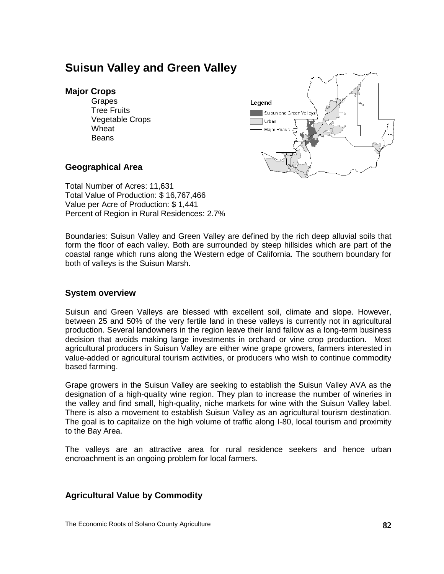## **Suisun Valley and Green Valley**

#### **Major Crops**

Grapes Tree Fruits Vegetable Crops Wheat Beans



#### **Geographical Area**

Total Number of Acres: 11,631 Total Value of Production: \$ 16,767,466 Value per Acre of Production: \$ 1,441 Percent of Region in Rural Residences: 2.7%

Boundaries: Suisun Valley and Green Valley are defined by the rich deep alluvial soils that form the floor of each valley. Both are surrounded by steep hillsides which are part of the coastal range which runs along the Western edge of California. The southern boundary for both of valleys is the Suisun Marsh.

#### **System overview**

Suisun and Green Valleys are blessed with excellent soil, climate and slope. However, between 25 and 50% of the very fertile land in these valleys is currently not in agricultural production. Several landowners in the region leave their land fallow as a long-term business decision that avoids making large investments in orchard or vine crop production. Most agricultural producers in Suisun Valley are either wine grape growers, farmers interested in value-added or agricultural tourism activities, or producers who wish to continue commodity based farming.

Grape growers in the Suisun Valley are seeking to establish the Suisun Valley AVA as the designation of a high-quality wine region. They plan to increase the number of wineries in the valley and find small, high-quality, niche markets for wine with the Suisun Valley label. There is also a movement to establish Suisun Valley as an agricultural tourism destination. The goal is to capitalize on the high volume of traffic along I-80, local tourism and proximity to the Bay Area.

The valleys are an attractive area for rural residence seekers and hence urban encroachment is an ongoing problem for local farmers.

#### **Agricultural Value by Commodity**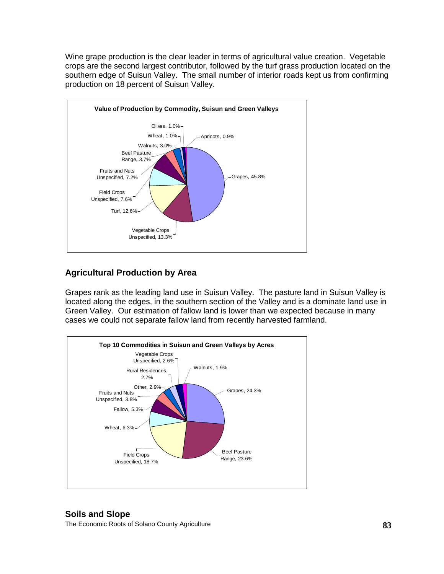Wine grape production is the clear leader in terms of agricultural value creation. Vegetable crops are the second largest contributor, followed by the turf grass production located on the southern edge of Suisun Valley. The small number of interior roads kept us from confirming production on 18 percent of Suisun Valley.



## **Agricultural Production by Area**

Grapes rank as the leading land use in Suisun Valley. The pasture land in Suisun Valley is located along the edges, in the southern section of the Valley and is a dominate land use in Green Valley. Our estimation of fallow land is lower than we expected because in many cases we could not separate fallow land from recently harvested farmland.



## **Soils and Slope**

The Economic Roots of Solano County Agriculture **83**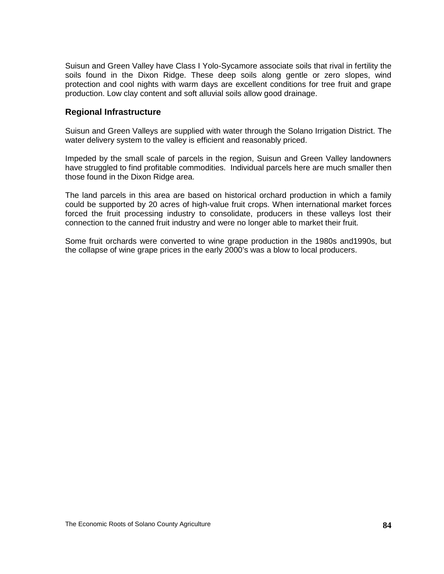Suisun and Green Valley have Class I Yolo-Sycamore associate soils that rival in fertility the soils found in the Dixon Ridge. These deep soils along gentle or zero slopes, wind protection and cool nights with warm days are excellent conditions for tree fruit and grape production. Low clay content and soft alluvial soils allow good drainage.

#### **Regional Infrastructure**

Suisun and Green Valleys are supplied with water through the Solano Irrigation District. The water delivery system to the valley is efficient and reasonably priced.

Impeded by the small scale of parcels in the region, Suisun and Green Valley landowners have struggled to find profitable commodities. Individual parcels here are much smaller then those found in the Dixon Ridge area.

The land parcels in this area are based on historical orchard production in which a family could be supported by 20 acres of high-value fruit crops. When international market forces forced the fruit processing industry to consolidate, producers in these valleys lost their connection to the canned fruit industry and were no longer able to market their fruit.

Some fruit orchards were converted to wine grape production in the 1980s and1990s, but the collapse of wine grape prices in the early 2000's was a blow to local producers.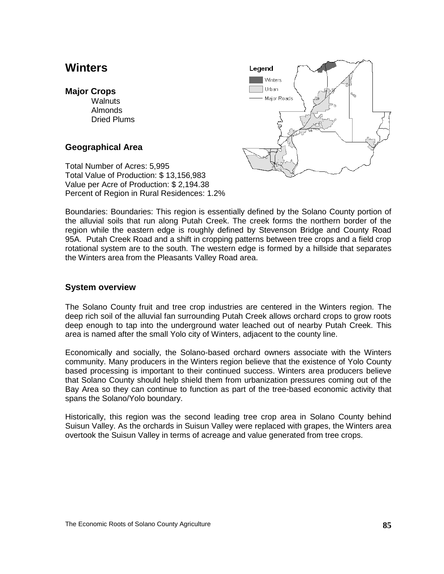## **Winters**

#### **Major Crops**

**Walnuts** Almonds Dried Plums

### **Geographical Area**

Total Number of Acres: 5,995 Total Value of Production: \$ 13,156,983 Value per Acre of Production: \$ 2,194.38 Percent of Region in Rural Residences: 1.2%



Boundaries: Boundaries: This region is essentially defined by the Solano County portion of the alluvial soils that run along Putah Creek. The creek forms the northern border of the region while the eastern edge is roughly defined by Stevenson Bridge and County Road 95A. Putah Creek Road and a shift in cropping patterns between tree crops and a field crop rotational system are to the south. The western edge is formed by a hillside that separates the Winters area from the Pleasants Valley Road area.

#### **System overview**

The Solano County fruit and tree crop industries are centered in the Winters region. The deep rich soil of the alluvial fan surrounding Putah Creek allows orchard crops to grow roots deep enough to tap into the underground water leached out of nearby Putah Creek. This area is named after the small Yolo city of Winters, adjacent to the county line.

Economically and socially, the Solano-based orchard owners associate with the Winters community. Many producers in the Winters region believe that the existence of Yolo County based processing is important to their continued success. Winters area producers believe that Solano County should help shield them from urbanization pressures coming out of the Bay Area so they can continue to function as part of the tree-based economic activity that spans the Solano/Yolo boundary.

Historically, this region was the second leading tree crop area in Solano County behind Suisun Valley. As the orchards in Suisun Valley were replaced with grapes, the Winters area overtook the Suisun Valley in terms of acreage and value generated from tree crops.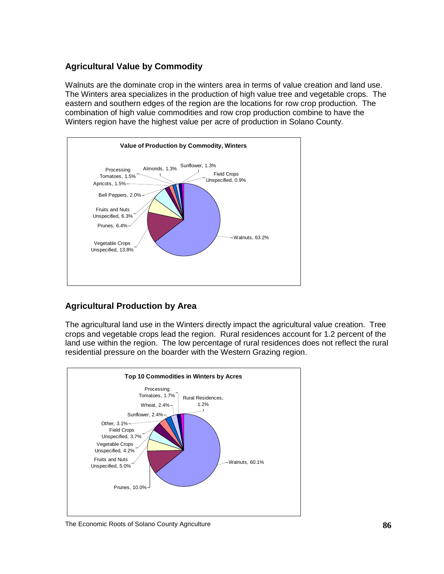## **Agricultural Value by Commodity**

Walnuts are the dominate crop in the winters area in terms of value creation and land use. The Winters area specializes in the production of high value tree and vegetable crops. The eastern and southern edges of the region are the locations for row crop production. The combination of high value commodities and row crop production combine to have the Winters region have the highest value per acre of production in Solano County.



## **Agricultural Production by Area**

The agricultural land use in the Winters directly impact the agricultural value creation. Tree crops and vegetable crops lead the region. Rural residences account for 1.2 percent of the land use within the region. The low percentage of rural residences does not reflect the rural residential pressure on the boarder with the Western Grazing region.



The Economic Roots of Solano County Agriculture **86**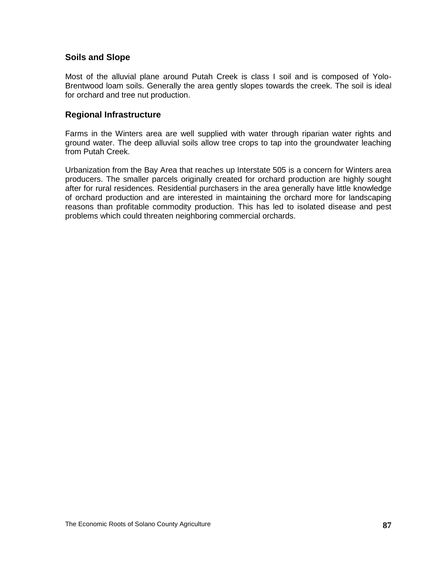#### **Soils and Slope**

Most of the alluvial plane around Putah Creek is class I soil and is composed of Yolo-Brentwood loam soils. Generally the area gently slopes towards the creek. The soil is ideal for orchard and tree nut production.

#### **Regional Infrastructure**

Farms in the Winters area are well supplied with water through riparian water rights and ground water. The deep alluvial soils allow tree crops to tap into the groundwater leaching from Putah Creek.

Urbanization from the Bay Area that reaches up Interstate 505 is a concern for Winters area producers. The smaller parcels originally created for orchard production are highly sought after for rural residences. Residential purchasers in the area generally have little knowledge of orchard production and are interested in maintaining the orchard more for landscaping reasons than profitable commodity production. This has led to isolated disease and pest problems which could threaten neighboring commercial orchards.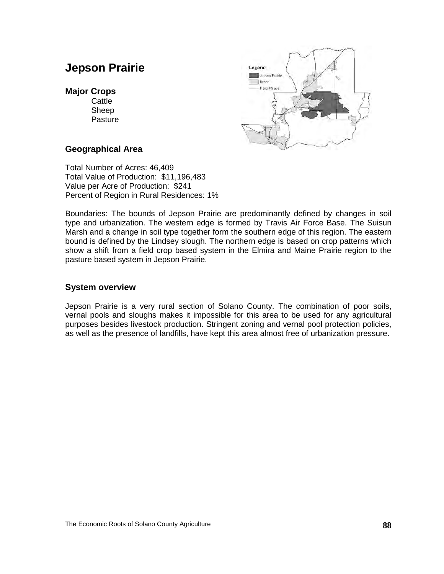## **Jepson Prairie**

#### **Major Crops**

**Cattle** Sheep **Pasture** 



#### **Geographical Area**

Total Number of Acres: 46,409 Total Value of Production: \$11,196,483 Value per Acre of Production: \$241 Percent of Region in Rural Residences: 1%

Boundaries: The bounds of Jepson Prairie are predominantly defined by changes in soil type and urbanization. The western edge is formed by Travis Air Force Base. The Suisun Marsh and a change in soil type together form the southern edge of this region. The eastern bound is defined by the Lindsey slough. The northern edge is based on crop patterns which show a shift from a field crop based system in the Elmira and Maine Prairie region to the pasture based system in Jepson Prairie.

#### **System overview**

Jepson Prairie is a very rural section of Solano County. The combination of poor soils, vernal pools and sloughs makes it impossible for this area to be used for any agricultural purposes besides livestock production. Stringent zoning and vernal pool protection policies, as well as the presence of landfills, have kept this area almost free of urbanization pressure.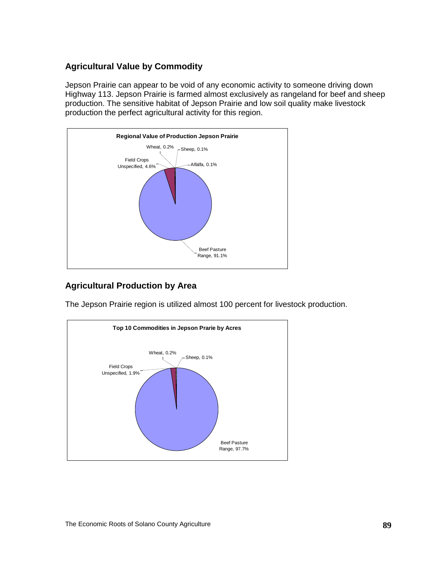## **Agricultural Value by Commodity**

Jepson Prairie can appear to be void of any economic activity to someone driving down Highway 113. Jepson Prairie is farmed almost exclusively as rangeland for beef and sheep production. The sensitive habitat of Jepson Prairie and low soil quality make livestock production the perfect agricultural activity for this region.



## **Agricultural Production by Area**

The Jepson Prairie region is utilized almost 100 percent for livestock production.

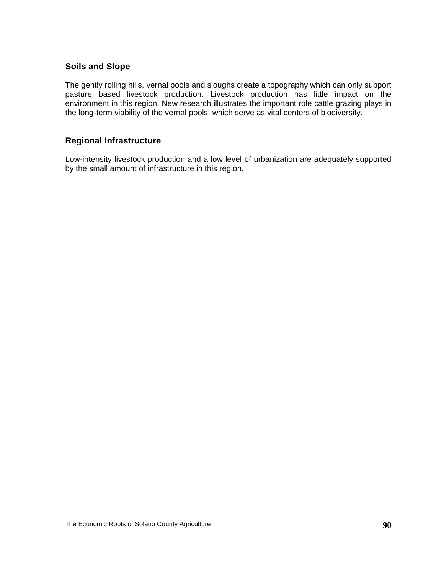#### **Soils and Slope**

The gently rolling hills, vernal pools and sloughs create a topography which can only support pasture based livestock production. Livestock production has little impact on the environment in this region. New research illustrates the important role cattle grazing plays in the long-term viability of the vernal pools, which serve as vital centers of biodiversity.

## **Regional Infrastructure**

Low-intensity livestock production and a low level of urbanization are adequately supported by the small amount of infrastructure in this region.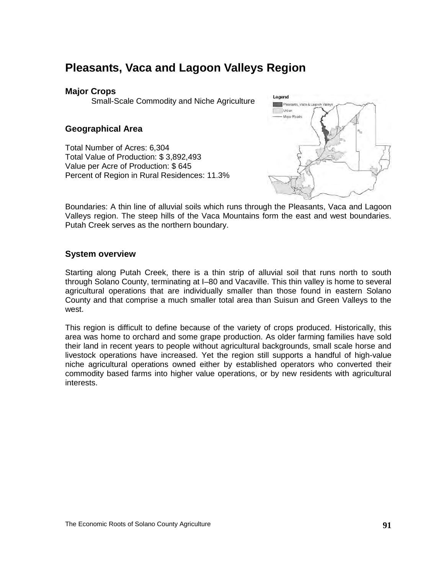## **Pleasants, Vaca and Lagoon Valleys Region**

#### **Major Crops**

Small-Scale Commodity and Niche Agriculture

### **Geographical Area**

Total Number of Acres: 6,304 Total Value of Production: \$ 3,892,493 Value per Acre of Production: \$ 645 Percent of Region in Rural Residences: 11.3%



Boundaries: A thin line of alluvial soils which runs through the Pleasants, Vaca and Lagoon Valleys region. The steep hills of the Vaca Mountains form the east and west boundaries. Putah Creek serves as the northern boundary.

#### **System overview**

Starting along Putah Creek, there is a thin strip of alluvial soil that runs north to south through Solano County, terminating at I–80 and Vacaville. This thin valley is home to several agricultural operations that are individually smaller than those found in eastern Solano County and that comprise a much smaller total area than Suisun and Green Valleys to the west.

This region is difficult to define because of the variety of crops produced. Historically, this area was home to orchard and some grape production. As older farming families have sold their land in recent years to people without agricultural backgrounds, small scale horse and livestock operations have increased. Yet the region still supports a handful of high-value niche agricultural operations owned either by established operators who converted their commodity based farms into higher value operations, or by new residents with agricultural interests.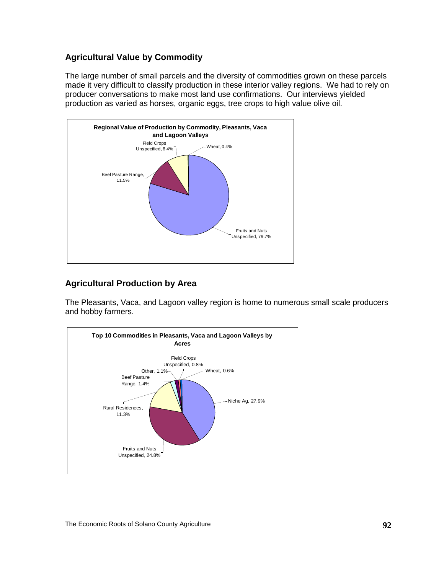## **Agricultural Value by Commodity**

The large number of small parcels and the diversity of commodities grown on these parcels made it very difficult to classify production in these interior valley regions. We had to rely on producer conversations to make most land use confirmations. Our interviews yielded production as varied as horses, organic eggs, tree crops to high value olive oil.



## **Agricultural Production by Area**

The Pleasants, Vaca, and Lagoon valley region is home to numerous small scale producers and hobby farmers.

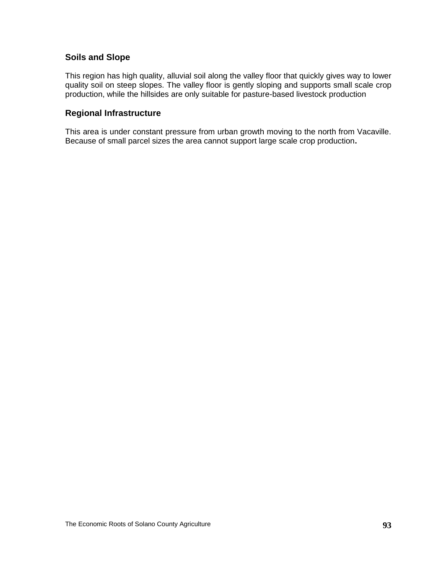### **Soils and Slope**

This region has high quality, alluvial soil along the valley floor that quickly gives way to lower quality soil on steep slopes. The valley floor is gently sloping and supports small scale crop production, while the hillsides are only suitable for pasture-based livestock production

#### **Regional Infrastructure**

This area is under constant pressure from urban growth moving to the north from Vacaville. Because of small parcel sizes the area cannot support large scale crop production**.**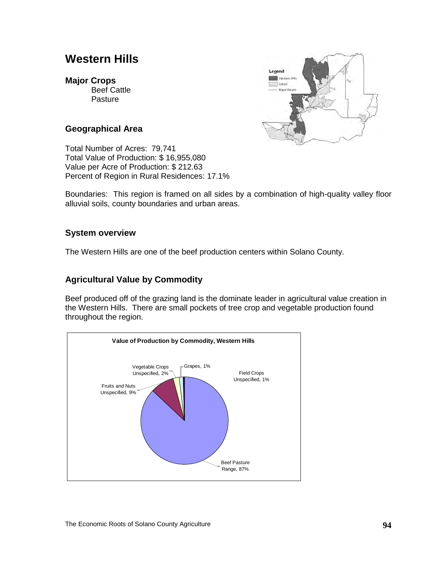## **Western Hills**

#### **Major Crops**

Beef Cattle Pasture



#### **Geographical Area**

Total Number of Acres: 79,741 Total Value of Production: \$ 16,955,080 Value per Acre of Production: \$ 212.63 Percent of Region in Rural Residences: 17.1%

Boundaries: This region is framed on all sides by a combination of high-quality valley floor alluvial soils, county boundaries and urban areas.

#### **System overview**

The Western Hills are one of the beef production centers within Solano County.

### **Agricultural Value by Commodity**

Beef produced off of the grazing land is the dominate leader in agricultural value creation in the Western Hills. There are small pockets of tree crop and vegetable production found throughout the region.

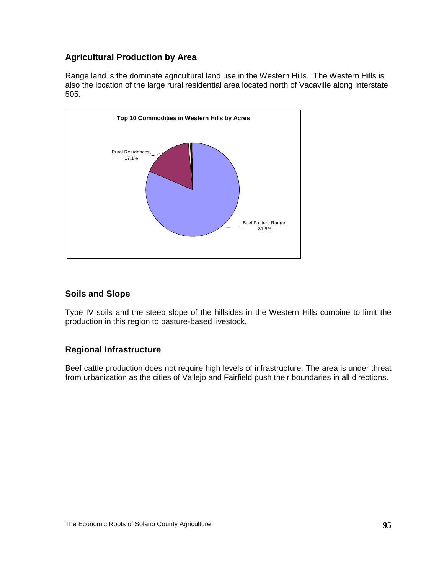## **Agricultural Production by Area**

Range land is the dominate agricultural land use in the Western Hills. The Western Hills is also the location of the large rural residential area located north of Vacaville along Interstate 505.



### **Soils and Slope**

Type IV soils and the steep slope of the hillsides in the Western Hills combine to limit the production in this region to pasture-based livestock.

## **Regional Infrastructure**

Beef cattle production does not require high levels of infrastructure. The area is under threat from urbanization as the cities of Vallejo and Fairfield push their boundaries in all directions.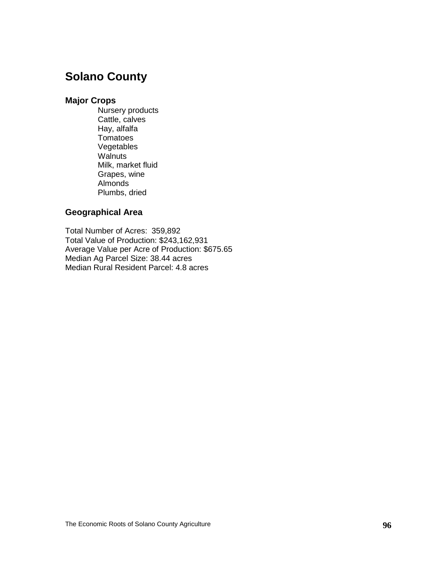## **Solano County**

#### **Major Crops**

Nursery products Cattle, calves Hay, alfalfa **Tomatoes** Vegetables **Walnuts** Milk, market fluid Grapes, wine Almonds Plumbs, dried

## **Geographical Area**

Total Number of Acres: 359,892 Total Value of Production: \$243,162,931 Average Value per Acre of Production: \$675.65 Median Ag Parcel Size: 38.44 acres Median Rural Resident Parcel: 4.8 acres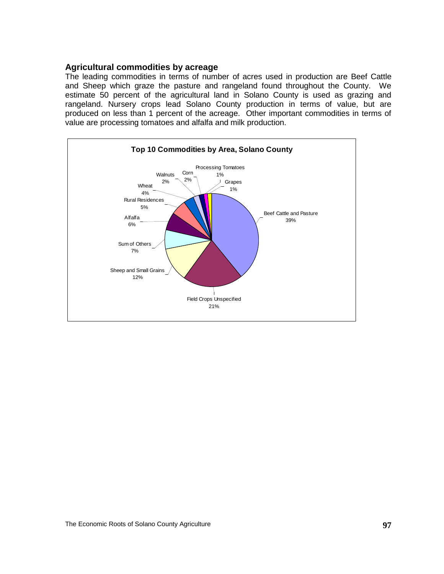#### **Agricultural commodities by acreage**

The leading commodities in terms of number of acres used in production are Beef Cattle and Sheep which graze the pasture and rangeland found throughout the County. We estimate 50 percent of the agricultural land in Solano County is used as grazing and rangeland. Nursery crops lead Solano County production in terms of value, but are produced on less than 1 percent of the acreage. Other important commodities in terms of value are processing tomatoes and alfalfa and milk production.

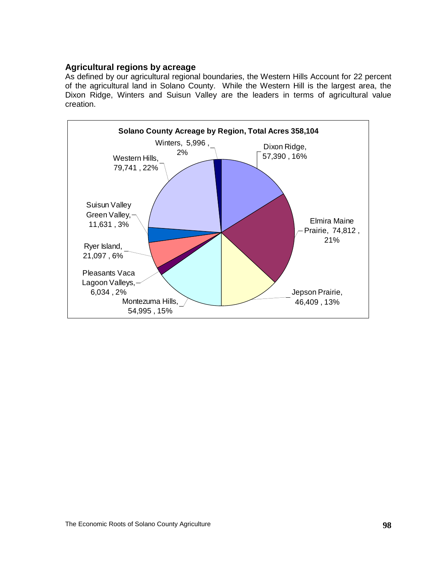#### **Agricultural regions by acreage**

As defined by our agricultural regional boundaries, the Western Hills Account for 22 percent of the agricultural land in Solano County. While the Western Hill is the largest area, the Dixon Ridge, Winters and Suisun Valley are the leaders in terms of agricultural value creation.

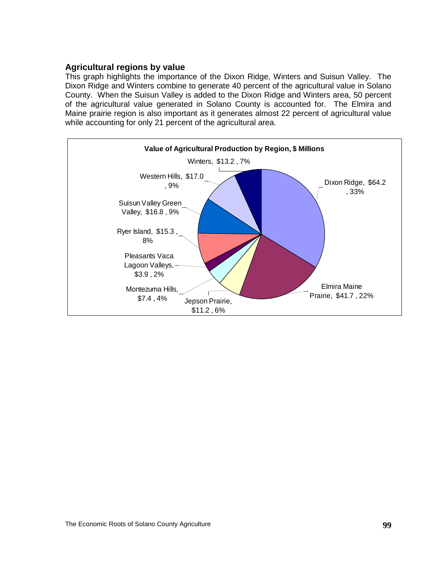#### **Agricultural regions by value**

This graph highlights the importance of the Dixon Ridge, Winters and Suisun Valley. The Dixon Ridge and Winters combine to generate 40 percent of the agricultural value in Solano County. When the Suisun Valley is added to the Dixon Ridge and Winters area, 50 percent of the agricultural value generated in Solano County is accounted for. The Elmira and Maine prairie region is also important as it generates almost 22 percent of agricultural value while accounting for only 21 percent of the agricultural area.

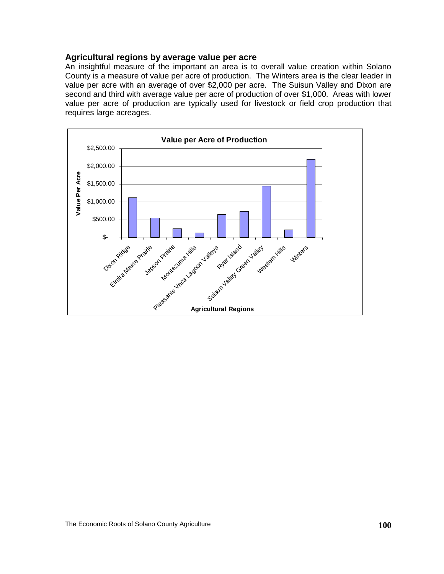#### **Agricultural regions by average value per acre**

An insightful measure of the important an area is to overall value creation within Solano County is a measure of value per acre of production. The Winters area is the clear leader in value per acre with an average of over \$2,000 per acre. The Suisun Valley and Dixon are second and third with average value per acre of production of over \$1,000. Areas with lower value per acre of production are typically used for livestock or field crop production that requires large acreages.

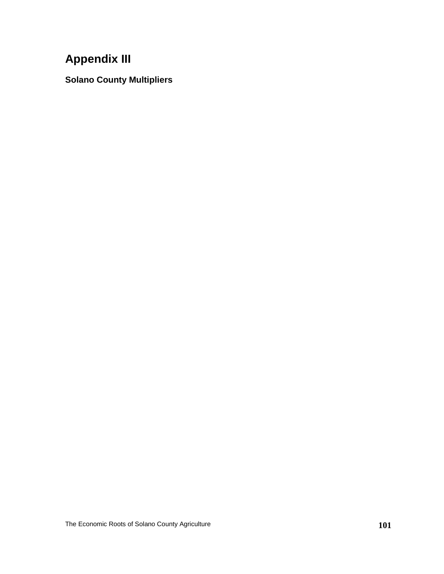# **Appendix III**

**Solano County Multipliers**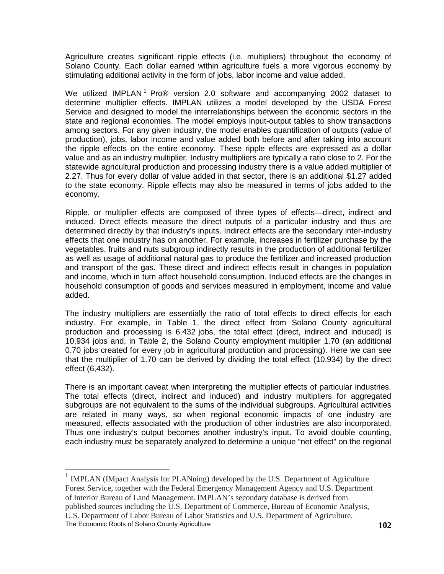Agriculture creates significant ripple effects (i.e. multipliers) throughout the economy of Solano County. Each dollar earned within agriculture fuels a more vigorous economy by stimulating additional activity in the form of jobs, labor income and value added.

We utilized IMPLAN<sup>[1](#page-106-0)</sup> Pro® version 2.0 software and accompanying 2002 dataset to determine multiplier effects. IMPLAN utilizes a model developed by the USDA Forest Service and designed to model the interrelationships between the economic sectors in the state and regional economies. The model employs input-output tables to show transactions among sectors. For any given industry, the model enables quantification of outputs (value of production), jobs, labor income and value added both before and after taking into account the ripple effects on the entire economy. These ripple effects are expressed as a dollar value and as an industry multiplier. Industry multipliers are typically a ratio close to 2. For the statewide agricultural production and processing industry there is a value added multiplier of 2.27. Thus for every dollar of value added in that sector, there is an additional \$1.27 added to the state economy. Ripple effects may also be measured in terms of jobs added to the economy.

Ripple, or multiplier effects are composed of three types of effects—direct, indirect and induced. Direct effects measure the direct outputs of a particular industry and thus are determined directly by that industry's inputs. Indirect effects are the secondary inter-industry effects that one industry has on another. For example, increases in fertilizer purchase by the vegetables, fruits and nuts subgroup indirectly results in the production of additional fertilizer as well as usage of additional natural gas to produce the fertilizer and increased production and transport of the gas. These direct and indirect effects result in changes in population and income, which in turn affect household consumption. Induced effects are the changes in household consumption of goods and services measured in employment, income and value added.

The industry multipliers are essentially the ratio of total effects to direct effects for each industry. For example, in Table 1, the direct effect from Solano County agricultural production and processing is 6,432 jobs, the total effect (direct, indirect and induced) is 10,934 jobs and, in Table 2, the Solano County employment multiplier 1.70 (an additional 0.70 jobs created for every job in agricultural production and processing). Here we can see that the multiplier of 1.70 can be derived by dividing the total effect (10,934) by the direct effect (6,432).

There is an important caveat when interpreting the multiplier effects of particular industries. The total effects (direct, indirect and induced) and industry multipliers for aggregated subgroups are not equivalent to the sums of the individual subgroups. Agricultural activities are related in many ways, so when regional economic impacts of one industry are measured, effects associated with the production of other industries are also incorporated. Thus one industry's output becomes another industry's input. To avoid double counting, each industry must be separately analyzed to determine a unique "net effect" on the regional

<span id="page-106-0"></span>The Economic Roots of Solano County Agriculture **102 102** <sup>1</sup> IMPLAN (IMpact Analysis for PLANning) developed by the U.S. Department of Agriculture Forest Service, together with the Federal Emergency Management Agency and U.S. Department of Interior Bureau of Land Management. IMPLAN's secondary database is derived from published sources including the U.S. Department of Commerce, Bureau of Economic Analysis, U.S. Department of Labor Bureau of Labor Statistics and U.S. Department of Agriculture.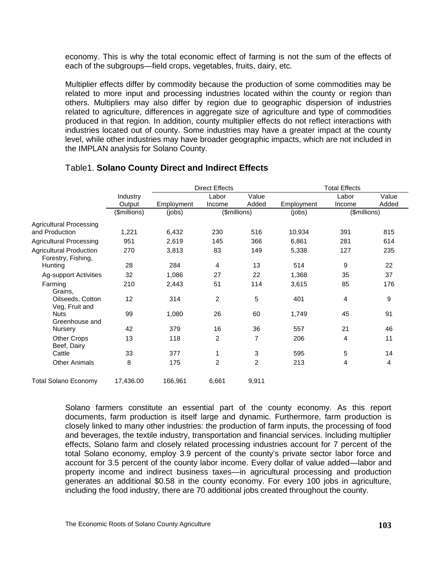economy. This is why the total economic effect of farming is not the sum of the effects of each of the subgroups—field crops, vegetables, fruits, dairy, etc.

Multiplier effects differ by commodity because the production of some commodities may be related to more input and processing industries located within the county or region than others. Multipliers may also differ by region due to geographic dispersion of industries related to agriculture, differences in aggregate size of agriculture and type of commodities produced in that region. In addition, county multiplier effects do not reflect interactions with industries located out of county. Some industries may have a greater impact at the county level, while other industries may have broader geographic impacts, which are not included in the IMPLAN analysis for Solano County.

|                                                      |                    | <b>Direct Effects</b>  |                 |                | <b>Total Effects</b> |                 |                |
|------------------------------------------------------|--------------------|------------------------|-----------------|----------------|----------------------|-----------------|----------------|
|                                                      | Industry<br>Output | Employment             | Labor<br>Income | Value<br>Added | Employment           | Labor<br>Income | Value<br>Added |
|                                                      |                    |                        |                 |                |                      |                 |                |
|                                                      | (\$millions)       | (jobs)<br>(\$millions) |                 | (jobs)         | (\$millions)         |                 |                |
| Agricultural Processing<br>and Production            | 1,221              | 6,432                  | 230             | 516            | 10,934               | 391             | 815            |
| Agricultural Processing                              | 951                | 2,619                  | 145             | 366            | 6,861                | 281             | 614            |
| <b>Agricultural Production</b><br>Forestry, Fishing, | 270                | 3,813                  | 83              | 149            | 5,338                | 127             | 235            |
| Hunting                                              | 28                 | 284                    | 4               | 13             | 514                  | 9               | 22             |
| <b>Ag-support Activities</b>                         | 32                 | 1,086                  | 27              | 22             | 1,368                | 35              | 37             |
| Farming<br>Grains,                                   | 210                | 2,443                  | 51              | 114            | 3,615                | 85              | 176            |
| Oilseeds, Cotton<br>Veg, Fruit and                   | 12                 | 314                    | 2               | 5              | 401                  | 4               | 9              |
| <b>Nuts</b><br>Greenhouse and                        | 99                 | 1,080                  | 26              | 60             | 1,749                | 45              | 91             |
| Nursery                                              | 42                 | 379                    | 16              | 36             | 557                  | 21              | 46             |
| <b>Other Crops</b><br>Beef, Dairy                    | 13                 | 118                    | 2               | 7              | 206                  | 4               | 11             |
| Cattle                                               | 33                 | 377                    | 1               | 3              | 595                  | 5               | 14             |
| <b>Other Animals</b>                                 | 8                  | 175                    | $\overline{2}$  | $\overline{2}$ | 213                  | 4               | 4              |
| Total Solano Economy                                 | 17,436.00          | 166,961                | 6,661           | 9,911          |                      |                 |                |

#### Table1. **Solano County Direct and Indirect Effects**

Solano farmers constitute an essential part of the county economy. As this report documents, farm production is itself large and dynamic. Furthermore, farm production is closely linked to many other industries: the production of farm inputs, the processing of food and beverages, the textile industry, transportation and financial services. Including multiplier effects, Solano farm and closely related processing industries account for 7 percent of the total Solano economy, employ 3.9 percent of the county's private sector labor force and account for 3.5 percent of the county labor income. Every dollar of value added—labor and property income and indirect business taxes—in agricultural processing and production generates an additional \$0.58 in the county economy. For every 100 jobs in agriculture, including the food industry, there are 70 additional jobs created throughout the county.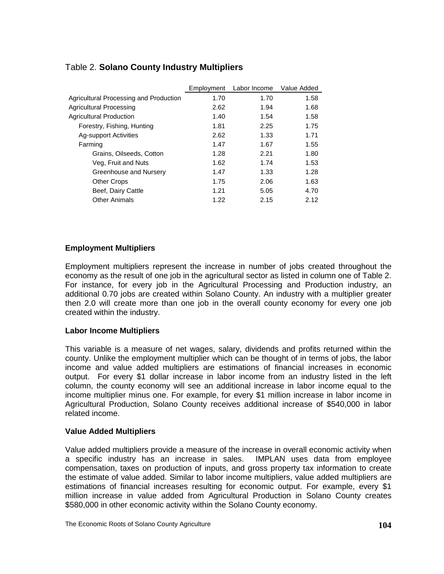|                                        | Employment | Labor Income | Value Added |
|----------------------------------------|------------|--------------|-------------|
| Agricultural Processing and Production | 1.70       | 1.70         | 1.58        |
| <b>Agricultural Processing</b>         | 2.62       | 1.94         | 1.68        |
| <b>Agricultural Production</b>         | 1.40       | 1.54         | 1.58        |
| Forestry, Fishing, Hunting             | 1.81       | 2.25         | 1.75        |
| <b>Ag-support Activities</b>           | 2.62       | 1.33         | 1.71        |
| Farming                                | 1.47       | 1.67         | 1.55        |
| Grains, Oilseeds, Cotton               | 1.28       | 2.21         | 1.80        |
| Veg, Fruit and Nuts                    | 1.62       | 1.74         | 1.53        |
| Greenhouse and Nursery                 | 1.47       | 1.33         | 1.28        |
| <b>Other Crops</b>                     | 1.75       | 2.06         | 1.63        |
| Beef, Dairy Cattle                     | 1.21       | 5.05         | 4.70        |
| <b>Other Animals</b>                   | 1.22       | 2.15         | 2.12        |

## Table 2. **Solano County Industry Multipliers**

### **Employment Multipliers**

Employment multipliers represent the increase in number of jobs created throughout the economy as the result of one job in the agricultural sector as listed in column one of Table 2. For instance, for every job in the Agricultural Processing and Production industry, an additional 0.70 jobs are created within Solano County. An industry with a multiplier greater then 2.0 will create more than one job in the overall county economy for every one job created within the industry.

#### **Labor Income Multipliers**

This variable is a measure of net wages, salary, dividends and profits returned within the county. Unlike the employment multiplier which can be thought of in terms of jobs, the labor income and value added multipliers are estimations of financial increases in economic output. For every \$1 dollar increase in labor income from an industry listed in the left column, the county economy will see an additional increase in labor income equal to the income multiplier minus one. For example, for every \$1 million increase in labor income in Agricultural Production, Solano County receives additional increase of \$540,000 in labor related income.

#### **Value Added Multipliers**

Value added multipliers provide a measure of the increase in overall economic activity when a specific industry has an increase in sales. IMPLAN uses data from employee compensation, taxes on production of inputs, and gross property tax information to create the estimate of value added. Similar to labor income multipliers, value added multipliers are estimations of financial increases resulting for economic output. For example, every \$1 million increase in value added from Agricultural Production in Solano County creates \$580,000 in other economic activity within the Solano County economy.